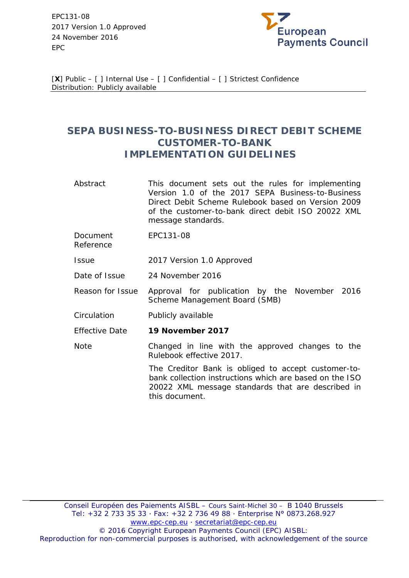EPC131-08 2017 Version 1.0 Approved 24 November 2016 EPC



[**X**] Public – [ ] Internal Use – [ ] Confidential – [ ] Strictest Confidence Distribution: Publicly available

# **SEPA BUSINESS-TO-BUSINESS DIRECT DEBIT SCHEME CUSTOMER-TO-BANK IMPLEMENTATION GUIDELINES**

- Abstract This document sets out the rules for implementing Version 1.0 of the 2017 SEPA Business-to-Business Direct Debit Scheme Rulebook based on Version 2009 of the customer-to-bank direct debit ISO 20022 XML message standards.
- Document Reference EPC131-08
- Issue 2017 Version 1.0 Approved
- Date of Issue 24 November 2016
- Reason for Issue Approval for publication by the November 2016 Scheme Management Board (SMB)
- Circulation Publicly available
- Effective Date **19 November 2017**
- Note Changed in line with the approved changes to the Rulebook effective 2017.

The Creditor Bank is obliged to accept customer-tobank collection instructions which are based on the ISO 20022 XML message standards that are described in this document.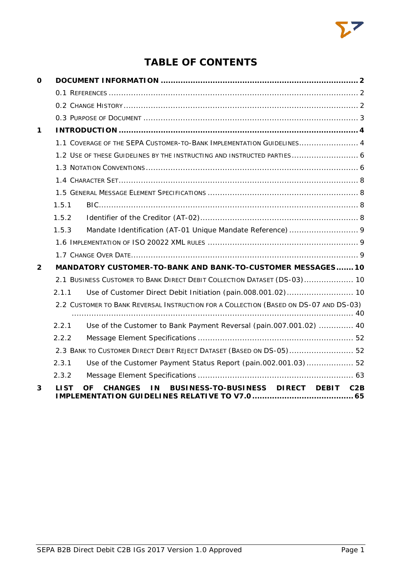# **TABLE OF CONTENTS**

| O            |       |                                                                                       |
|--------------|-------|---------------------------------------------------------------------------------------|
|              |       |                                                                                       |
|              |       |                                                                                       |
|              |       |                                                                                       |
| 1            |       |                                                                                       |
|              |       | 1.1 COVERAGE OF THE SEPA CUSTOMER-TO-BANK IMPLEMENTATION GUIDELINES 4                 |
|              |       | 1.2 USE OF THESE GUIDELINES BY THE INSTRUCTING AND INSTRUCTED PARTIES 6               |
|              |       |                                                                                       |
|              |       |                                                                                       |
|              |       |                                                                                       |
|              | 1.5.1 |                                                                                       |
|              | 1.5.2 |                                                                                       |
|              | 1.5.3 |                                                                                       |
|              |       |                                                                                       |
|              |       |                                                                                       |
| $\mathbf{2}$ |       | MANDATORY CUSTOMER-TO-BANK AND BANK-TO-CUSTOMER MESSAGES 10                           |
|              |       | 2.1 BUSINESS CUSTOMER TO BANK DIRECT DEBIT COLLECTION DATASET (DS-03) 10              |
|              | 2.1.1 | Use of Customer Direct Debit Initiation (pain.008.001.02) 10                          |
|              |       | 2.2 CUSTOMER TO BANK REVERSAL INSTRUCTION FOR A COLLECTION (BASED ON DS-07 AND DS-03) |
|              | 2.2.1 | Use of the Customer to Bank Payment Reversal (pain.007.001.02)  40                    |
|              | 2.2.2 |                                                                                       |
|              |       | 2.3 BANK TO CUSTOMER DIRECT DEBIT REJECT DATASET (BASED ON DS-05) 52                  |
|              | 2.3.1 | Use of the Customer Payment Status Report (pain.002.001.03) 52                        |
|              | 2.3.2 |                                                                                       |
| 3            | LI ST | BUSINESS-TO-BUSINESS DIRECT DEBIT<br>ΩF<br><b>CHANGES</b><br>I N<br>C2B               |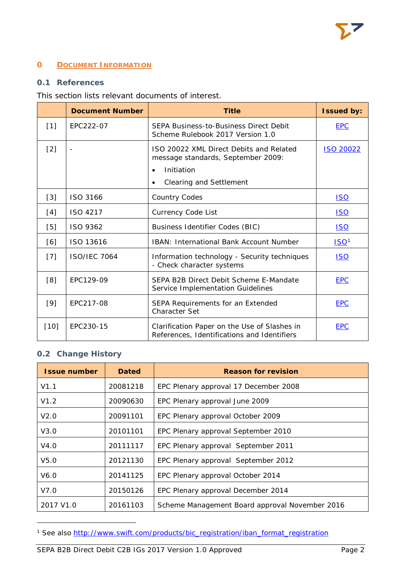# <span id="page-2-0"></span>**0 DOCUMENT INFORMATION**

# <span id="page-2-1"></span>**0.1 References**

# This section lists relevant documents of interest.

|        | <b>Document Number</b> | <b>Title</b>                                                                                                                               | <b>Issued by:</b> |
|--------|------------------------|--------------------------------------------------------------------------------------------------------------------------------------------|-------------------|
| $[1]$  | EPC222-07              | <b>SEPA Business-to-Business Direct Debit</b><br>Scheme Rulebook 2017 Version 1.0                                                          | <b>EPC</b>        |
| $[2]$  |                        | ISO 20022 XML Direct Debits and Related<br>message standards, September 2009:<br>Initiation<br>$\bullet$<br><b>Clearing and Settlement</b> | <b>ISO 20022</b>  |
| $[3]$  | ISO 3166               | <b>Country Codes</b>                                                                                                                       | <b>ISO</b>        |
| [4]    | ISO 4217               | <b>Currency Code List</b>                                                                                                                  | <u>ISO</u>        |
| [5]    | ISO 9362               | Business Identifier Codes (BIC)                                                                                                            | <u>ISO</u>        |
| [6]    | ISO 13616              | IBAN: International Bank Account Number                                                                                                    | ISO <sup>1</sup>  |
| $[7]$  | <b>ISO/IEC 7064</b>    | Information technology - Security techniques<br>- Check character systems                                                                  | <u>ISO</u>        |
| [8]    | EPC129-09              | SEPA B2B Direct Debit Scheme E-Mandate<br>Service Implementation Guidelines                                                                | <b>EPC</b>        |
| [9]    | EPC217-08              | SEPA Requirements for an Extended<br><b>Character Set</b>                                                                                  | <b>EPC</b>        |
| $[10]$ | EPC230-15              | Clarification Paper on the Use of Slashes in<br>References, Identifications and Identifiers                                                | <b>EPC</b>        |

# <span id="page-2-2"></span>**0.2 Change History**

1

| <b>Issue number</b>   | <b>Dated</b> | <b>Reason for revision</b>                     |
|-----------------------|--------------|------------------------------------------------|
| V1.1                  | 20081218     | EPC Plenary approval 17 December 2008          |
| V1.2                  | 20090630     | EPC Plenary approval June 2009                 |
| V2.0                  | 20091101     | EPC Plenary approval October 2009              |
| V3.0                  | 20101101     | EPC Plenary approval September 2010            |
| V4.0                  | 20111117     | EPC Plenary approval September 2011            |
| V5.0                  | 20121130     | EPC Plenary approval September 2012            |
| V6.0                  | 20141125     | EPC Plenary approval October 2014              |
| V7.0                  | 20150126     | EPC Plenary approval December 2014             |
| 2017 V <sub>1.0</sub> | 20161103     | Scheme Management Board approval November 2016 |

<span id="page-2-3"></span><sup>&</sup>lt;sup>1</sup> See also [http://www.swift.com/products/bic\\_registration/iban\\_format\\_registration](http://www.swift.com/products/bic_registration/iban_format_registration)

SEPA B2B Direct Debit C2B IGs 2017 Version 1.0 Approved Page 2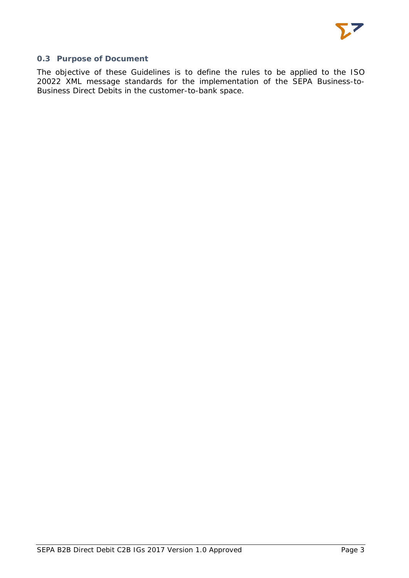# <span id="page-3-0"></span>**0.3 Purpose of Document**

The objective of these Guidelines is to define the rules to be applied to the ISO 20022 XML message standards for the implementation of the SEPA Business-to-Business Direct Debits in the customer-to-bank space.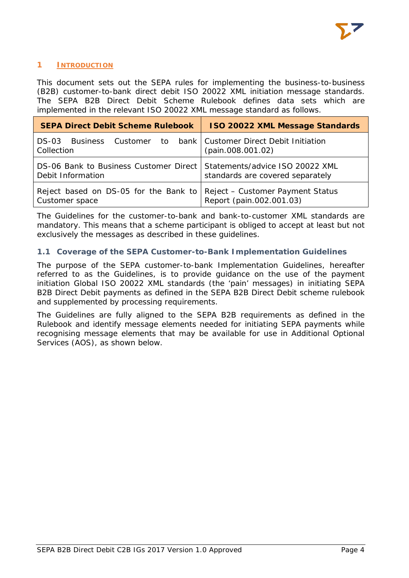

# <span id="page-4-0"></span>**1 INTRODUCTION**

This document sets out the SEPA rules for implementing the business-to-business (B2B) customer-to-bank direct debit ISO 20022 XML initiation message standards. The SEPA B2B Direct Debit Scheme Rulebook defines data sets which are implemented in the relevant ISO 20022 XML message standard as follows.

| <b>SEPA Direct Debit Scheme Rulebook</b>                                                      | <b>ISO 20022 XML Message Standards</b> |  |
|-----------------------------------------------------------------------------------------------|----------------------------------------|--|
| DS-03 Business Customer to bank   Customer Direct Debit Initiation<br>Collection              | (pain.008.001.02)                      |  |
| DS-06 Bank to Business Customer Direct   Statements/advice ISO 20022 XML<br>Debit Information | standards are covered separately       |  |
| Reject based on DS-05 for the Bank to Reject – Customer Payment Status<br>Customer space      | Report (pain.002.001.03)               |  |

The Guidelines for the customer-to-bank and bank-to-customer XML standards are mandatory. This means that a scheme participant is obliged to accept at least but not exclusively the messages as described in these guidelines.

# <span id="page-4-1"></span>**1.1 Coverage of the SEPA Customer-to-Bank Implementation Guidelines**

The purpose of the SEPA customer-to-bank Implementation Guidelines, hereafter referred to as the Guidelines, is to provide guidance on the use of the payment initiation Global ISO 20022 XML standards (the 'pain' messages) in initiating SEPA B2B Direct Debit payments as defined in the SEPA B2B Direct Debit scheme rulebook and supplemented by processing requirements.

The Guidelines are fully aligned to the SEPA B2B requirements as defined in the Rulebook and identify message elements needed for initiating SEPA payments while recognising message elements that may be available for use in Additional Optional Services (AOS), as shown below.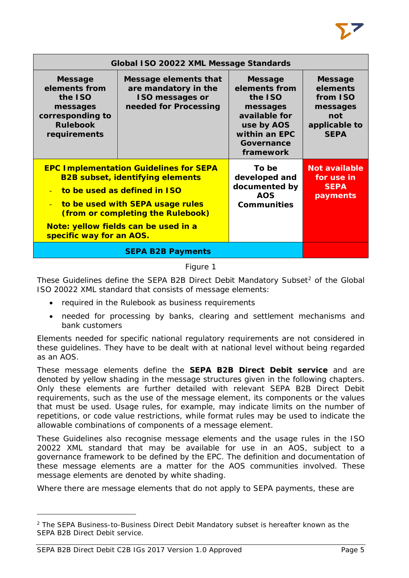| Global ISO 20022 XML Message Standards                                                                        |                                                                                                                                                                                                                                           |                                                                                                                                   |                                                                                           |  |
|---------------------------------------------------------------------------------------------------------------|-------------------------------------------------------------------------------------------------------------------------------------------------------------------------------------------------------------------------------------------|-----------------------------------------------------------------------------------------------------------------------------------|-------------------------------------------------------------------------------------------|--|
| <b>Message</b><br>elements from<br>the ISO<br>messages<br>corresponding to<br><b>Rulebook</b><br>requirements | Message elements that<br>are mandatory in the<br><b>ISO messages or</b><br>needed for Processing                                                                                                                                          | <b>Message</b><br>elements from<br>the ISO<br>messages<br>available for<br>use by AOS<br>within an EPC<br>Governance<br>framework | <b>Message</b><br>elements<br>from ISO<br>messages<br>not<br>applicable to<br><b>SEPA</b> |  |
| $\equiv$<br>specific way for an AOS.                                                                          | <b>EPC Implementation Guidelines for SEPA</b><br><b>B2B subset, identifying elements</b><br>to be used as defined in ISO<br>to be used with SEPA usage rules<br>(from or completing the Rulebook)<br>Note: yellow fields can be used in a | To be<br>developed and<br>documented by<br><b>AOS</b><br><b>Communities</b>                                                       | <b>Not available</b><br>for use in<br><b>SEPA</b><br>payments                             |  |
|                                                                                                               | <b>SEPA B2B Payments</b>                                                                                                                                                                                                                  |                                                                                                                                   |                                                                                           |  |

# Figure 1

These Guidelines define the SEPA B[2](#page-5-0)B Direct Debit Mandatory Subset<sup>2</sup> of the Global ISO 20022 XML standard that consists of message elements:

- required in the Rulebook as business requirements
- needed for processing by banks, clearing and settlement mechanisms and bank customers

Elements needed for specific national regulatory requirements are not considered in these guidelines. They have to be dealt with at national level without being regarded as an AOS.

These message elements define the **SEPA B2B Direct Debit service** and are denoted by yellow shading in the message structures given in the following chapters. Only these elements are further detailed with relevant SEPA B2B Direct Debit requirements, such as the use of the message element, its components or the values that must be used. Usage rules, for example, may indicate limits on the number of repetitions, or code value restrictions, while format rules may be used to indicate the allowable combinations of components of a message element.

These Guidelines also recognise message elements and the usage rules in the ISO 20022 XML standard that may be available for use in an AOS, subject to a governance framework to be defined by the EPC. The definition and documentation of these message elements are a matter for the AOS communities involved. These message elements are denoted by white shading.

Where there are message elements that do not apply to SEPA payments, these are

1

<span id="page-5-0"></span><sup>&</sup>lt;sup>2</sup> The SEPA Business-to-Business Direct Debit Mandatory subset is hereafter known as the SEPA B2B Direct Debit service.

SEPA B2B Direct Debit C2B IGs 2017 Version 1.0 Approved Page 5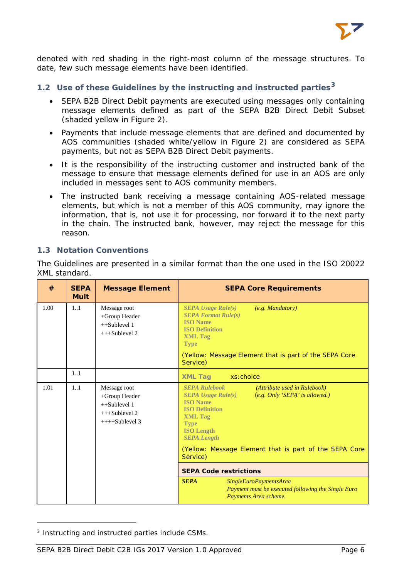

denoted with red shading in the right-most column of the message structures. To date, few such message elements have been identified.

# <span id="page-6-0"></span>**1.2 Use of these Guidelines by the instructing and instructed parties[3](#page-6-2)**

- SEPA B2B Direct Debit payments are executed using messages only containing message elements defined as part of the SEPA B2B Direct Debit Subset (shaded yellow in Figure 2).
- Payments that include message elements that are defined and documented by AOS communities (shaded white/yellow in Figure 2) are considered as SEPA payments, but not as SEPA B2B Direct Debit payments.
- It is the responsibility of the instructing customer and instructed bank of the message to ensure that message elements defined for use in an AOS are only included in messages sent to AOS community members.
- The instructed bank receiving a message containing AOS-related message elements, but which is not a member of this AOS community, may ignore the information, that is, not use it for processing, nor forward it to the next party in the chain. The instructed bank, however, may reject the message for this reason.

#### <span id="page-6-1"></span>**1.3 Notation Conventions**

The Guidelines are presented in a similar format than the one used in the ISO 20022 XML standard.

| #    | <b>SEPA</b><br><b>Mult</b> | <b>Message Element</b>                                                                 | <b>SEPA Core Requirements</b>                                                                                                                                                                                                                                                                       |
|------|----------------------------|----------------------------------------------------------------------------------------|-----------------------------------------------------------------------------------------------------------------------------------------------------------------------------------------------------------------------------------------------------------------------------------------------------|
| 1.00 | 11                         | Message root<br>$+$ Group Header<br>$++Sublevel 1$<br>$+++Sublevel 2$                  | $SEPA$ Usage Rule $(s)$<br>(e.g. Mandatory)<br><b>SEPA Format Rule(s)</b><br><b>ISO</b> Name<br><b>ISO Definition</b><br><b>XML Tag</b><br><b>Type</b><br>(Yellow: Message Element that is part of the SEPA Core<br>Service)                                                                        |
|      | 11                         |                                                                                        | <b>XML Tag</b><br>xs: choice                                                                                                                                                                                                                                                                        |
| 1.01 | 11                         | Message root<br>+Group Header<br>$++Sublevel 1$<br>$+++Sublevel 2$<br>$+++S$ ublevel 3 | <b>SEPA Rulebook</b><br>(Attribute used in Rulebook)<br>$SEPA$ Usage Rule $(s)$<br>(e.g. Only 'SEPA' is allowed.)<br><b>ISO Name</b><br><b>ISO Definition</b><br><b>XML Tag</b><br><b>Type</b><br><b>ISO Length</b><br><b>SEPA Length</b><br>(Yellow: Message Element that is part of the SEPA Core |
|      |                            |                                                                                        | Service)                                                                                                                                                                                                                                                                                            |
|      |                            |                                                                                        | <b>SEPA Code restrictions</b>                                                                                                                                                                                                                                                                       |
|      |                            |                                                                                        | <b>SEPA</b><br>SingleEuroPaymentsArea<br>Payment must be executed following the Single Euro<br>Payments Area scheme.                                                                                                                                                                                |

<span id="page-6-2"></span><sup>3</sup> Instructing and instructed parties include CSMs.

1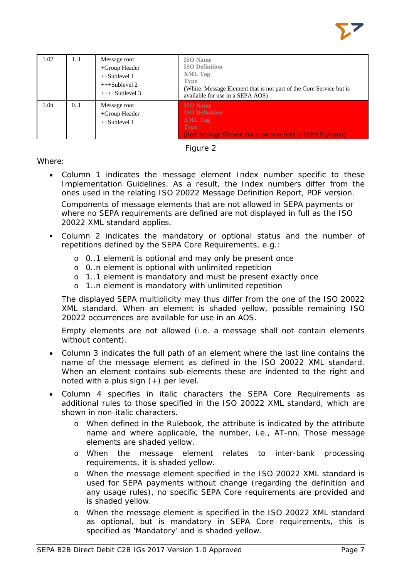

| 1.02             | 11  | Message root<br>+Group Header<br>$++Sublevel 1$<br>$+++Sublevel 2$<br>$++++Sublevel 3$ | <b>ISO</b> Name<br><b>ISO Definition</b><br><b>XML</b> Tag<br><b>Type</b><br>(White: Message Element that is not part of the Core Service but is<br>available for use in a SEPA AOS) |
|------------------|-----|----------------------------------------------------------------------------------------|--------------------------------------------------------------------------------------------------------------------------------------------------------------------------------------|
| 1.0 <sub>n</sub> | 0.1 | Message root<br>$+$ Group Header<br>$++Sublevel 1$                                     | <b>ISO</b> Name<br><b>ISO Definition</b><br>XML Tag<br><b>Type</b><br>(Red: Message Element that is not to be used in SEPA Payments)                                                 |



Where:

- Column 1 indicates the message element Index number specific to these Implementation Guidelines. As a result, the Index numbers differ from the ones used in the relating ISO 20022 Message Definition Report, PDF version. Components of message elements that are not allowed in SEPA payments or where no SEPA requirements are defined are not displayed in full as the ISO 20022 XML standard applies.
- Column 2 indicates the mandatory or optional status and the number of repetitions defined by the SEPA Core Requirements, e.g.:
	- o 0..1 element is optional and may only be present once
	- o 0..n element is optional with unlimited repetition
	- o 1..1 element is mandatory and must be present exactly once
	- o 1..n element is mandatory with unlimited repetition

The displayed SEPA multiplicity may thus differ from the one of the ISO 20022 XML standard. When an element is shaded yellow, possible remaining ISO 20022 occurrences are available for use in an AOS.

Empty elements are not allowed (i.e. a message shall not contain elements without content).

- Column 3 indicates the full path of an element where the last line contains the name of the message element as defined in the ISO 20022 XML standard. When an element contains sub-elements these are indented to the right and noted with a plus sign  $(+)$  per level.
- Column 4 specifies in italic characters the SEPA Core Requirements as additional rules to those specified in the ISO 20022 XML standard, which are shown in non-italic characters.
	- o When defined in the Rulebook, the attribute is indicated by the attribute name and where applicable, the number, i.e., AT-nn. Those message elements are shaded yellow.
	- o When the message element relates to inter-bank processing requirements, it is shaded yellow.
	- o When the message element specified in the ISO 20022 XML standard is used for SEPA payments without change (regarding the definition and any usage rules), no specific SEPA Core requirements are provided and is shaded yellow.
	- o When the message element is specified in the ISO 20022 XML standard as optional, but is mandatory in SEPA Core requirements, this is specified as 'Mandatory' and is shaded yellow.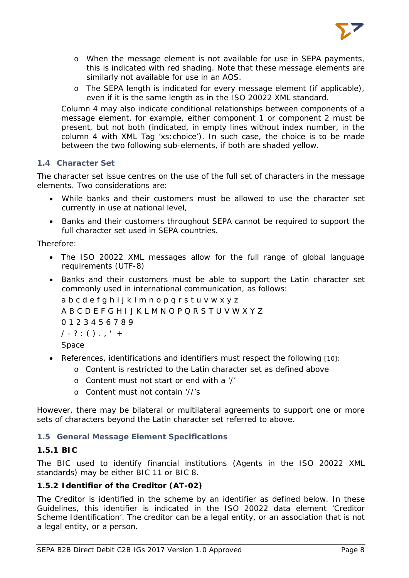

- o When the message element is not available for use in SEPA payments, this is indicated with red shading. Note that these message elements are similarly not available for use in an AOS.
- o The SEPA length is indicated for every message element (if applicable), even if it is the same length as in the ISO 20022 XML standard.

Column 4 may also indicate conditional relationships between components of a message element, for example, either component 1 or component 2 must be present, but not both (indicated, in empty lines without index number, in the column 4 with XML Tag 'xs:choice'). In such case, the choice is to be made between the two following sub-elements, if both are shaded yellow.

# <span id="page-8-0"></span>**1.4 Character Set**

The character set issue centres on the use of the full set of characters in the message elements. Two considerations are:

- While banks and their customers must be allowed to use the character set currently in use at national level,
- Banks and their customers throughout SEPA cannot be required to support the full character set used in SEPA countries.

Therefore:

- The ISO 20022 XML messages allow for the full range of global language requirements (UTF-8)
- Banks and their customers must be able to support the Latin character set commonly used in international communication, as follows:

a b c d e f g h i j k l m n o p q r s t u v w x y z A B C D E F G H I J K L M N O P Q R S T U V W X Y Z 0 1 2 3 4 5 6 7 8 9  $/ - ? : () . , ' +$ 

Space

- References, identifications and identifiers must respect the following [10]:
	- o Content is restricted to the Latin character set as defined above
	- o Content must not start or end with a '/'
	- o Content must not contain '//'s

However, there may be bilateral or multilateral agreements to support one or more sets of characters beyond the Latin character set referred to above.

### <span id="page-8-1"></span>**1.5 General Message Element Specifications**

# <span id="page-8-2"></span>**1.5.1 BIC**

The BIC used to identify financial institutions (Agents in the ISO 20022 XML standards) may be either BIC 11 or BIC 8.

# <span id="page-8-3"></span>**1.5.2 Identifier of the Creditor (AT-02)**

The Creditor is identified in the scheme by an identifier as defined below. In these Guidelines, this identifier is indicated in the ISO 20022 data element 'Creditor Scheme Identification'. The creditor can be a legal entity, or an association that is not a legal entity, or a person.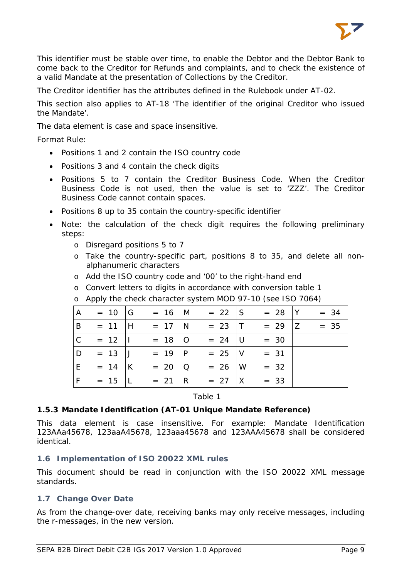

This identifier must be stable over time, to enable the Debtor and the Debtor Bank to come back to the Creditor for Refunds and complaints, and to check the existence of a valid Mandate at the presentation of Collections by the Creditor.

The Creditor identifier has the attributes defined in the Rulebook under AT-02.

This section also applies to AT-18 'The identifier of the original Creditor who issued the Mandate'.

The data element is case and space insensitive.

#### *Format Rule*:

- Positions 1 and 2 contain the ISO country code
- Positions 3 and 4 contain the check digits
- Positions 5 to 7 contain the Creditor Business Code. When the Creditor Business Code is not used, then the value is set to 'ZZZ'. The Creditor Business Code cannot contain spaces.
- Positions 8 up to 35 contain the country-specific identifier
- Note: the calculation of the check digit requires the following preliminary steps:
	- o Disregard positions 5 to 7
	- o Take the country-specific part, positions 8 to 35, and delete all nonalphanumeric characters
	- o Add the ISO country code and '00' to the right-hand end
	- o Convert letters to digits in accordance with conversion table 1
	- o Apply the check character system MOD 97-10 (see ISO 7064)

| $\overline{A}$ | $= 10$ G         |               | $= 16$  M $= 22$  S | $= 28$  Y  | $= 34$ |
|----------------|------------------|---------------|---------------------|------------|--------|
| B              | $= 11$ H         | $= 17$ N      | $= 23$ T            | $= 29$   Z | $= 35$ |
| $\overline{C}$ | $= 12$           | $= 18$   O    | $= 24$ U            | $= 30$     |        |
| D              | $= 13$ J         | $= 19$  P     | $= 25$ V            | $= 31$     |        |
| E.             | $= 14$ K         | $= 20 \mid Q$ | $= 26$ W            | $= 32$     |        |
| F.             | $= 15 \text{ L}$ |               | $= 21$  R $= 27$  X | $= 33$     |        |

Table 1

#### <span id="page-9-0"></span>**1.5.3 Mandate Identification (AT-01 Unique Mandate Reference)**

This data element is case insensitive. For example: Mandate Identification 123AAa45678, 123aaA45678, 123aaa45678 and 123AAA45678 shall be considered identical.

#### <span id="page-9-1"></span>**1.6 Implementation of ISO 20022 XML rules**

This document should be read in conjunction with the ISO 20022 XML message standards.

#### <span id="page-9-2"></span>**1.7 Change Over Date**

As from the change-over date, receiving banks may only receive messages, including the r-messages, in the new version.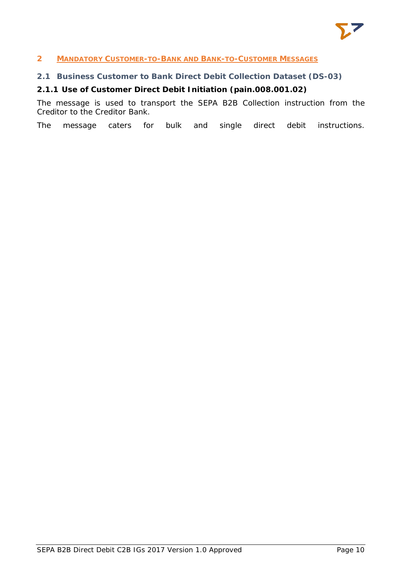

### <span id="page-10-0"></span>**2 MANDATORY CUSTOMER-TO-BANK AND BANK-TO-CUSTOMER MESSAGES**

# <span id="page-10-1"></span>**2.1 Business Customer to Bank Direct Debit Collection Dataset (DS-03)**

# <span id="page-10-2"></span>**2.1.1 Use of Customer Direct Debit Initiation (pain.008.001.02)**

The message is used to transport the SEPA B2B Collection instruction from the Creditor to the Creditor Bank.

The message caters for bulk and single direct debit instructions.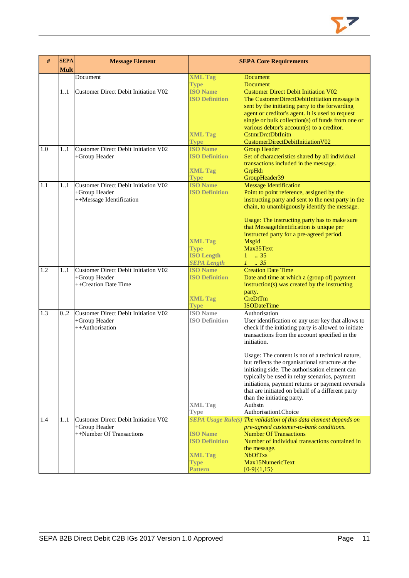

| #   | <b>SEPA</b><br><b>Mult</b> | <b>Message Element</b>                                                                   | <b>SEPA Core Requirements</b>                                             |                                                                                                                                                                                                                                                                                                                                                                        |  |  |
|-----|----------------------------|------------------------------------------------------------------------------------------|---------------------------------------------------------------------------|------------------------------------------------------------------------------------------------------------------------------------------------------------------------------------------------------------------------------------------------------------------------------------------------------------------------------------------------------------------------|--|--|
|     |                            | Document                                                                                 | <b>XML Tag</b>                                                            | <b>Document</b>                                                                                                                                                                                                                                                                                                                                                        |  |  |
|     |                            |                                                                                          | <b>Type</b>                                                               | <b>Document</b>                                                                                                                                                                                                                                                                                                                                                        |  |  |
|     | 11                         | <b>Customer Direct Debit Initiation V02</b>                                              | <b>ISO Name</b><br><b>ISO Definition</b><br><b>XML Tag</b><br><b>Type</b> | <b>Customer Direct Debit Initiation V02</b><br>The CustomerDirectDebitInitiation message is<br>sent by the initiating party to the forwarding<br>agent or creditor's agent. It is used to request<br>single or bulk collection(s) of funds from one or<br>various debtor's $account(s)$ to a creditor.<br><b>CstmrDrctDbtInitn</b><br>CustomerDirectDebitInitiationV02 |  |  |
| 1.0 | 11                         | <b>Customer Direct Debit Initiation V02</b><br>+Group Header                             | <b>ISO Name</b><br><b>ISO Definition</b>                                  | <b>Group Header</b><br>Set of characteristics shared by all individual                                                                                                                                                                                                                                                                                                 |  |  |
|     |                            |                                                                                          | <b>XML Tag</b>                                                            | transactions included in the message.<br>GrpHdr                                                                                                                                                                                                                                                                                                                        |  |  |
| 1.1 |                            | <b>Customer Direct Debit Initiation V02</b>                                              | <b>Type</b><br><b>ISO Name</b>                                            | GroupHeader39                                                                                                                                                                                                                                                                                                                                                          |  |  |
|     | 11                         | +Group Header<br>++Message Identification                                                | <b>ISO Definition</b>                                                     | <b>Message Identification</b><br>Point to point reference, assigned by the<br>instructing party and sent to the next party in the<br>chain, to unambiguously identify the message.                                                                                                                                                                                     |  |  |
|     |                            |                                                                                          | <b>XML Tag</b><br><b>Type</b><br><b>ISO Length</b>                        | Usage: The instructing party has to make sure<br>that MessageIdentification is unique per<br>instructed party for a pre-agreed period.<br>MsgId<br>Max35Text<br>$1 \t . 35$                                                                                                                                                                                            |  |  |
|     |                            |                                                                                          | <b>SEPA Length</b>                                                        | $1-.35$                                                                                                                                                                                                                                                                                                                                                                |  |  |
| 1.2 | 11                         | <b>Customer Direct Debit Initiation V02</b><br>+Group Header<br>++Creation Date Time     | <b>ISO Name</b><br><b>ISO Definition</b><br><b>XML Tag</b><br><b>Type</b> | <b>Creation Date Time</b><br>Date and time at which a (group of) payment<br>$instruction(s)$ was created by the instructing<br>party.<br>CreDtTm<br><b>ISODateTime</b>                                                                                                                                                                                                 |  |  |
| 1.3 | 0.2                        | <b>Customer Direct Debit Initiation V02</b>                                              | <b>ISO</b> Name                                                           | Authorisation                                                                                                                                                                                                                                                                                                                                                          |  |  |
|     |                            | +Group Header<br>++Authorisation                                                         | <b>ISO Definition</b>                                                     | User identification or any user key that allows to<br>check if the initiating party is allowed to initiate<br>transactions from the account specified in the<br>initiation.                                                                                                                                                                                            |  |  |
|     |                            |                                                                                          |                                                                           | Usage: The content is not of a technical nature,<br>but reflects the organisational structure at the<br>initiating side. The authorisation element can<br>typically be used in relay scenarios, payment<br>initiations, payment returns or payment reversals<br>that are initiated on behalf of a different party<br>than the initiating party.                        |  |  |
|     |                            |                                                                                          | <b>XML Tag</b>                                                            | Authstn                                                                                                                                                                                                                                                                                                                                                                |  |  |
|     |                            |                                                                                          | <b>Type</b>                                                               | Authorisation1Choice                                                                                                                                                                                                                                                                                                                                                   |  |  |
| 1.4 | 11                         | <b>Customer Direct Debit Initiation V02</b><br>+Group Header<br>++Number Of Transactions | <b>ISO Name</b><br><b>ISO Definition</b><br><b>XML Tag</b>                | SEPA Usage Rule(s) The validation of this data element depends on<br>pre-agreed customer-to-bank conditions.<br><b>Number Of Transactions</b><br>Number of individual transactions contained in<br>the message.<br><b>NbOfTxs</b>                                                                                                                                      |  |  |
|     |                            |                                                                                          | <b>Type</b><br>Pattern                                                    | Max15NumericText<br>$[0-9]{1,15}$                                                                                                                                                                                                                                                                                                                                      |  |  |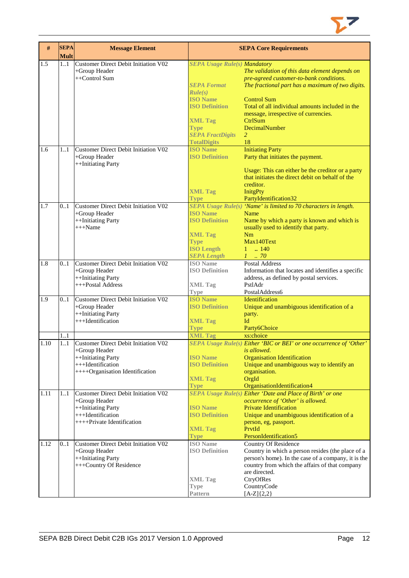

| $\#$ | <b>SEPA</b><br><b>Mult</b> | <b>Message Element</b>                      |                                     | <b>SEPA Core Requirements</b>                                       |
|------|----------------------------|---------------------------------------------|-------------------------------------|---------------------------------------------------------------------|
| 1.5  | 11                         | <b>Customer Direct Debit Initiation V02</b> | <b>SEPA Usage Rule(s) Mandatory</b> |                                                                     |
|      |                            | +Group Header                               |                                     | The validation of this data element depends on                      |
|      |                            | ++Control Sum                               |                                     | pre-agreed customer-to-bank conditions.                             |
|      |                            |                                             | <b>SEPA Format</b>                  | The fractional part has a maximum of two digits.                    |
|      |                            |                                             | Rule(s)                             |                                                                     |
|      |                            |                                             | <b>ISO Name</b>                     | <b>Control Sum</b>                                                  |
|      |                            |                                             | <b>ISO Definition</b>               | Total of all individual amounts included in the                     |
|      |                            |                                             |                                     | message, irrespective of currencies.                                |
|      |                            |                                             | <b>XML Tag</b>                      | CtrlSum                                                             |
|      |                            |                                             | <b>Type</b>                         | DecimalNumber                                                       |
|      |                            |                                             | <b>SEPA FractDigits</b>             | 2                                                                   |
|      |                            |                                             | <b>TotalDigits</b>                  | 18                                                                  |
| 1.6  | 11                         | Customer Direct Debit Initiation V02        | <b>ISO Name</b>                     | <b>Initiating Party</b>                                             |
|      |                            | +Group Header                               | <b>ISO Definition</b>               | Party that initiates the payment.                                   |
|      |                            | ++Initiating Party                          |                                     |                                                                     |
|      |                            |                                             |                                     | Usage: This can either be the creditor or a party                   |
|      |                            |                                             |                                     | that initiates the direct debit on behalf of the                    |
|      |                            |                                             |                                     | creditor.                                                           |
|      |                            |                                             | <b>XML Tag</b>                      | <b>InitgPty</b>                                                     |
|      |                            |                                             | <b>Type</b>                         | PartyIdentification32                                               |
| 1.7  | 0.1                        | Customer Direct Debit Initiation V02        |                                     | SEPA Usage Rule(s) 'Name' is limited to 70 characters in length.    |
|      |                            | +Group Header                               | <b>ISO Name</b>                     | Name                                                                |
|      |                            | ++Initiating Party                          | <b>ISO Definition</b>               | Name by which a party is known and which is                         |
|      |                            | $+++Name$                                   |                                     | usually used to identify that party.                                |
|      |                            |                                             | <b>XML Tag</b>                      | Nm                                                                  |
|      |                            |                                             | <b>Type</b>                         | Max140Text                                                          |
|      |                            |                                             | <b>ISO Length</b>                   | $1 \t . 140$                                                        |
|      |                            |                                             | <b>SEPA Length</b>                  | $1 \thinspace \ldots \thinspace 70$                                 |
| 1.8  | 01                         | Customer Direct Debit Initiation V02        | <b>ISO</b> Name                     | <b>Postal Address</b>                                               |
|      |                            | +Group Header                               | <b>ISO Definition</b>               | Information that locates and identifies a specific                  |
|      |                            | ++Initiating Party                          |                                     | address, as defined by postal services.                             |
|      |                            | +++Postal Address                           | <b>XML Tag</b>                      | PstlAdr                                                             |
|      |                            |                                             | <b>Type</b>                         | PostalAddress6                                                      |
| 1.9  | 0.1                        | <b>Customer Direct Debit Initiation V02</b> | <b>ISO Name</b>                     | Identification                                                      |
|      |                            | +Group Header                               | <b>ISO Definition</b>               | Unique and unambiguous identification of a                          |
|      |                            | ++Initiating Party                          |                                     | party.                                                              |
|      |                            | +++Identification                           | <b>XML Tag</b>                      | Id                                                                  |
|      |                            |                                             | <b>Type</b>                         | Party6Choice                                                        |
|      | 1.1                        |                                             | <b>XML Tag</b>                      | xs:choice                                                           |
| 1.10 | 1.1                        | Customer Direct Debit Initiation V02        |                                     | SEPA Usage Rule(s) Either 'BIC or BEI' or one occurrence of 'Other' |
|      |                            | $+$ Group Header                            |                                     | is allowed.                                                         |
|      |                            | ++Initiating Party                          | <b>ISO Name</b>                     | <b>Organisation Identification</b>                                  |
|      |                            | +++Identification                           | <b>ISO Definition</b>               | Unique and unambiguous way to identify an                           |
|      |                            | ++++Organisation Identification             |                                     | organisation.                                                       |
|      |                            |                                             | <b>XML Tag</b>                      | OrgId                                                               |
|      |                            |                                             | <b>Type</b>                         | OrganisationIdentification4                                         |
| 1.11 | 1.1                        | Customer Direct Debit Initiation V02        |                                     | <b>SEPA Usage Rule(s) Either 'Date and Place of Birth' or one</b>   |
|      |                            | +Group Header                               |                                     | occurrence of 'Other' is allowed.                                   |
|      |                            | ++Initiating Party                          | <b>ISO</b> Name                     | <b>Private Identification</b>                                       |
|      |                            | +++Identification                           | <b>ISO Definition</b>               | Unique and unambiguous identification of a                          |
|      |                            | ++++Private Identification                  |                                     | person, eg, passport.                                               |
|      |                            |                                             | <b>XML Tag</b>                      | PrvtId                                                              |
|      |                            |                                             | <b>Type</b>                         | PersonIdentification5                                               |
| 1.12 | 0.1                        | Customer Direct Debit Initiation V02        | <b>ISO</b> Name                     | Country Of Residence                                                |
|      |                            | +Group Header                               | <b>ISO Definition</b>               | Country in which a person resides (the place of a                   |
|      |                            | ++Initiating Party                          |                                     | person's home). In the case of a company, it is the                 |
|      |                            | +++Country Of Residence                     |                                     | country from which the affairs of that company                      |
|      |                            |                                             |                                     | are directed.                                                       |
|      |                            |                                             | <b>XML</b> Tag                      | CtryOfRes                                                           |
|      |                            |                                             | <b>Type</b>                         | CountryCode                                                         |
|      |                            |                                             | <b>Pattern</b>                      | $[A-Z]{2,2}$                                                        |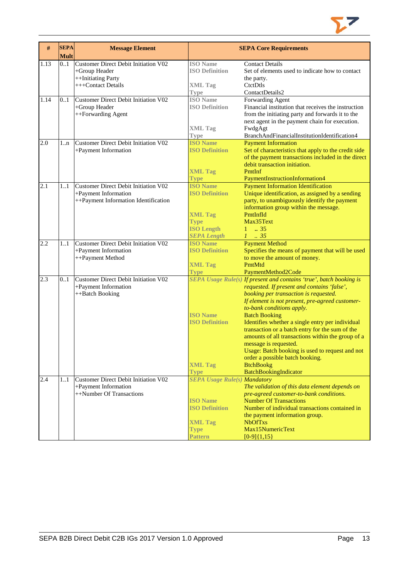

| #    | <b>SEPA</b><br><b>Mult</b> | <b>Message Element</b>                      |                                     | <b>SEPA Core Requirements</b>                                                                        |
|------|----------------------------|---------------------------------------------|-------------------------------------|------------------------------------------------------------------------------------------------------|
| 1.13 | 0.1                        | <b>Customer Direct Debit Initiation V02</b> | <b>ISO</b> Name                     | <b>Contact Details</b>                                                                               |
|      |                            | +Group Header                               | <b>ISO Definition</b>               | Set of elements used to indicate how to contact                                                      |
|      |                            | ++Initiating Party                          |                                     | the party.                                                                                           |
|      |                            | +++Contact Details                          | <b>XML Tag</b>                      | CtctDtls                                                                                             |
|      |                            |                                             | Type                                | ContactDetails2                                                                                      |
| 1.14 | 0.1                        | <b>Customer Direct Debit Initiation V02</b> | <b>ISO</b> Name                     | Forwarding Agent                                                                                     |
|      |                            | +Group Header                               | <b>ISO Definition</b>               | Financial institution that receives the instruction                                                  |
|      |                            | ++Forwarding Agent                          |                                     | from the initiating party and forwards it to the                                                     |
|      |                            |                                             |                                     | next agent in the payment chain for execution.                                                       |
|      |                            |                                             | <b>XML Tag</b>                      | FwdgAgt                                                                                              |
|      |                            |                                             | <b>Type</b>                         | BranchAndFinancialInstitutionIdentification4                                                         |
| 2.0  | $1 \dots n$                | <b>Customer Direct Debit Initiation V02</b> | <b>ISO Name</b>                     | <b>Payment Information</b>                                                                           |
|      |                            | +Payment Information                        | <b>ISO Definition</b>               | Set of characteristics that apply to the credit side                                                 |
|      |                            |                                             |                                     | of the payment transactions included in the direct                                                   |
|      |                            |                                             |                                     | debit transaction initiation.                                                                        |
|      |                            |                                             | <b>XML Tag</b>                      | PmtInf                                                                                               |
|      |                            |                                             | <b>Type</b>                         | PaymentInstructionInformation4                                                                       |
| 2.1  | 1.1                        | <b>Customer Direct Debit Initiation V02</b> | <b>ISO Name</b>                     | <b>Payment Information Identification</b>                                                            |
|      |                            | +Payment Information                        | <b>ISO Definition</b>               | Unique identification, as assigned by a sending                                                      |
|      |                            | ++Payment Information Identification        |                                     | party, to unambiguously identify the payment                                                         |
|      |                            |                                             |                                     | information group within the message.                                                                |
|      |                            |                                             | <b>XML Tag</b>                      | PmtInfId                                                                                             |
|      |                            |                                             | <b>Type</b>                         | Max35Text                                                                                            |
|      |                            |                                             | <b>ISO Length</b>                   | .35<br>$\mathbf{1}$                                                                                  |
|      |                            |                                             | <b>SEPA Length</b>                  | $1 \t35$                                                                                             |
| 2.2  | 11                         | <b>Customer Direct Debit Initiation V02</b> | <b>ISO Name</b>                     | <b>Payment Method</b>                                                                                |
|      |                            | +Payment Information                        | <b>ISO Definition</b>               | Specifies the means of payment that will be used                                                     |
|      |                            | ++Payment Method                            |                                     | to move the amount of money.                                                                         |
|      |                            |                                             | <b>XML Tag</b>                      | PmtMtd                                                                                               |
|      |                            |                                             | <b>Type</b>                         | PaymentMethod2Code                                                                                   |
| 2.3  | 0.1                        | <b>Customer Direct Debit Initiation V02</b> |                                     | SEPA Usage Rule(s) If present and contains 'true', batch booking is                                  |
|      |                            | +Payment Information                        |                                     | requested. If present and contains 'false',                                                          |
|      |                            | ++Batch Booking                             |                                     | booking per transaction is requested.                                                                |
|      |                            |                                             |                                     | If element is not present, pre-agreed customer-                                                      |
|      |                            |                                             | <b>ISO Name</b>                     | to-bank conditions apply.                                                                            |
|      |                            |                                             | <b>ISO Definition</b>               | <b>Batch Booking</b>                                                                                 |
|      |                            |                                             |                                     | Identifies whether a single entry per individual                                                     |
|      |                            |                                             |                                     | transaction or a batch entry for the sum of the<br>amounts of all transactions within the group of a |
|      |                            |                                             |                                     | message is requested.                                                                                |
|      |                            |                                             |                                     | Usage: Batch booking is used to request and not                                                      |
|      |                            |                                             |                                     | order a possible batch booking.                                                                      |
|      |                            |                                             | <b>XML Tag</b>                      | <b>BtchBookg</b>                                                                                     |
|      |                            |                                             | <b>Type</b>                         | BatchBookingIndicator                                                                                |
| 2.4  | 11                         | <b>Customer Direct Debit Initiation V02</b> | <b>SEPA Usage Rule(s) Mandatory</b> |                                                                                                      |
|      |                            | +Payment Information                        |                                     | The validation of this data element depends on                                                       |
|      |                            | ++Number Of Transactions                    |                                     | pre-agreed customer-to-bank conditions.                                                              |
|      |                            |                                             | <b>ISO Name</b>                     | <b>Number Of Transactions</b>                                                                        |
|      |                            |                                             | <b>ISO Definition</b>               | Number of individual transactions contained in                                                       |
|      |                            |                                             |                                     | the payment information group.                                                                       |
|      |                            |                                             | <b>XML Tag</b>                      | <b>NbOfTxs</b>                                                                                       |
|      |                            |                                             | <b>Type</b>                         | Max15NumericText                                                                                     |
|      |                            |                                             | <b>Pattern</b>                      | $[0-9]{1,15}$                                                                                        |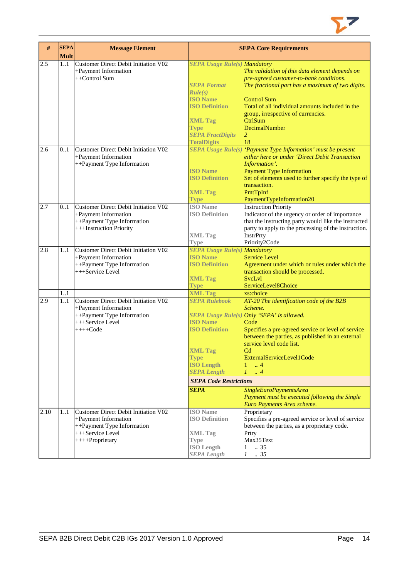

| $\#$ | <b>SEPA</b><br><b>Mult</b> | <b>Message Element</b>                                                                                                            | <b>SEPA Core Requirements</b>                                                                                                                                                                                  |                                                                                                                                                                                                                                                                                                                                                                                                                                                   |  |  |
|------|----------------------------|-----------------------------------------------------------------------------------------------------------------------------------|----------------------------------------------------------------------------------------------------------------------------------------------------------------------------------------------------------------|---------------------------------------------------------------------------------------------------------------------------------------------------------------------------------------------------------------------------------------------------------------------------------------------------------------------------------------------------------------------------------------------------------------------------------------------------|--|--|
| 2.5  | 11                         | Customer Direct Debit Initiation V02<br>+Payment Information<br>++Control Sum                                                     | <b>SEPA Usage Rule(s) Mandatory</b><br><b>SEPA Format</b><br>Rule(s)<br><b>ISO Name</b><br><b>ISO Definition</b><br><b>XML Tag</b><br><b>Type</b><br><b>SEPA FractDigits</b><br><b>TotalDigits</b>             | The validation of this data element depends on<br>pre-agreed customer-to-bank conditions.<br>The fractional part has a maximum of two digits.<br><b>Control Sum</b><br>Total of all individual amounts included in the<br>group, irrespective of currencies.<br>CtrlSum<br>DecimalNumber<br>$\overline{2}$<br>18                                                                                                                                  |  |  |
| 2.6  | 0.1                        | Customer Direct Debit Initiation V02<br>+Payment Information<br>++Payment Type Information                                        | <b>ISO Name</b><br><b>ISO Definition</b><br><b>XML Tag</b><br><b>Type</b>                                                                                                                                      | SEPA Usage Rule(s) 'Payment Type Information' must be present<br>either here or under 'Direct Debit Transaction<br>Information'.<br><b>Payment Type Information</b><br>Set of elements used to further specify the type of<br>transaction.<br>PmtTpInf<br>PaymentTypeInformation20                                                                                                                                                                |  |  |
| 2.7  | 0.1                        | Customer Direct Debit Initiation V02<br>+Payment Information<br>++Payment Type Information<br>+++Instruction Priority             | <b>ISO</b> Name<br><b>ISO Definition</b><br><b>XML Tag</b><br><b>Type</b>                                                                                                                                      | <b>Instruction Priority</b><br>Indicator of the urgency or order of importance<br>that the instructing party would like the instructed<br>party to apply to the processing of the instruction.<br>InstrPrty<br>Priority2Code                                                                                                                                                                                                                      |  |  |
| 2.8  | 11                         | Customer Direct Debit Initiation V02<br>+Payment Information<br>++Payment Type Information<br>+++Service Level                    | <b>SEPA Usage Rule(s) Mandatory</b><br><b>ISO Name</b><br><b>ISO Definition</b><br><b>XML Tag</b><br><b>Type</b>                                                                                               | <b>Service Level</b><br>Agreement under which or rules under which the<br>transaction should be processed.<br><b>SvcLvl</b><br>ServiceLevel8Choice                                                                                                                                                                                                                                                                                                |  |  |
| 2.9  | 1.1<br>11                  | Customer Direct Debit Initiation V02<br>+Payment Information<br>++Payment Type Information<br>+++Service Level<br>$+++Code$       | <b>XML Tag</b><br><b>SEPA Rulebook</b><br><b>ISO Name</b><br><b>ISO Definition</b><br><b>XML Tag</b><br><b>Type</b><br><b>ISO Length</b><br><b>SEPA Length</b><br><b>SEPA Code Restrictions</b><br><b>SEPA</b> | xs:choice<br>AT-20 The identification code of the B2B<br>Scheme.<br>SEPA Usage Rule(s) Only 'SEPA' is allowed.<br>Code<br>Specifies a pre-agreed service or level of service<br>between the parties, as published in an external<br>service level code list.<br>$_{\mathrm{Cd}}$<br>ExternalServiceLevel1Code<br>$\therefore$ 4<br>$\mathbf{1}$<br>L<br>$\overline{4}$<br>SingleEuroPaymentsArea<br>Payment must be executed following the Single |  |  |
| 2.10 | 11                         | Customer Direct Debit Initiation V02<br>+Payment Information<br>++Payment Type Information<br>+++Service Level<br>++++Proprietary | <b>ISO</b> Name<br><b>ISO Definition</b><br><b>XML Tag</b><br><b>Type</b><br><b>ISO Length</b><br><b>SEPA Length</b>                                                                                           | Euro Payments Area scheme.<br>Proprietary<br>Specifies a pre-agreed service or level of service<br>between the parties, as a proprietary code.<br>Prtry<br>Max35Text<br>.35<br>$\mathbf{1}$<br>$1 \t . 35$                                                                                                                                                                                                                                        |  |  |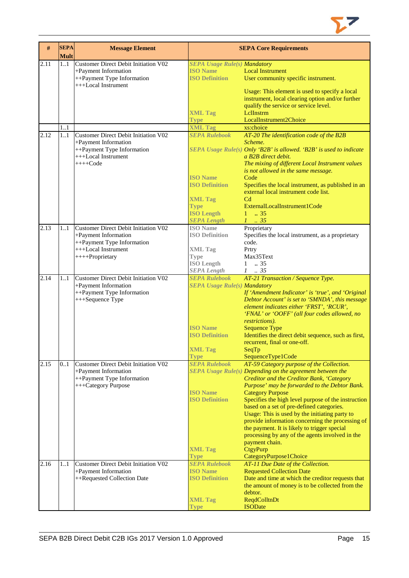

| $\#$ | <b>SEPA</b><br><b>Mult</b> | <b>Message Element</b>                                       |                                         | <b>SEPA Core Requirements</b>                                                                        |
|------|----------------------------|--------------------------------------------------------------|-----------------------------------------|------------------------------------------------------------------------------------------------------|
| 2.11 | 1.1                        | Customer Direct Debit Initiation V02                         | <b>SEPA Usage Rule(s) Mandatory</b>     |                                                                                                      |
|      |                            | +Payment Information                                         | <b>ISO Name</b>                         | <b>Local Instrument</b>                                                                              |
|      |                            | ++Payment Type Information<br>+++Local Instrument            | <b>ISO Definition</b>                   | User community specific instrument.                                                                  |
|      |                            |                                                              |                                         | Usage: This element is used to specify a local                                                       |
|      |                            |                                                              |                                         | instrument, local clearing option and/or further                                                     |
|      |                            |                                                              |                                         | qualify the service or service level.                                                                |
|      |                            |                                                              | <b>XML Tag</b><br><b>Type</b>           | LelInstrm<br>LocalInstrument2Choice                                                                  |
|      | 1.1                        |                                                              | <b>XML Tag</b>                          | xs:choice                                                                                            |
| 2.12 | 1.1                        | Customer Direct Debit Initiation V02                         | <b>SEPA Rulebook</b>                    | AT-20 The identification code of the B2B                                                             |
|      |                            | +Payment Information                                         |                                         | Scheme.                                                                                              |
|      |                            | ++Payment Type Information                                   |                                         | SEPA Usage Rule(s) Only 'B2B' is allowed. 'B2B' is used to indicate                                  |
|      |                            | +++Local Instrument<br>$+++Code$                             |                                         | a B2B direct debit.                                                                                  |
|      |                            |                                                              |                                         | The mixing of different Local Instrument values<br>is not allowed in the same message.               |
|      |                            |                                                              | <b>ISO Name</b>                         | Code                                                                                                 |
|      |                            |                                                              | <b>ISO Definition</b>                   | Specifies the local instrument, as published in an                                                   |
|      |                            |                                                              |                                         | external local instrument code list.                                                                 |
|      |                            |                                                              | <b>XML Tag</b><br><b>Type</b>           | C <sub>d</sub><br>ExternalLocalInstrument1Code                                                       |
|      |                            |                                                              | <b>ISO Length</b>                       | $1 \t . 35$                                                                                          |
|      |                            |                                                              | <b>SEPA Length</b>                      | $1-.35$                                                                                              |
| 2.13 | 1.1                        | Customer Direct Debit Initiation V02                         | <b>ISO</b> Name                         | Proprietary                                                                                          |
|      |                            | +Payment Information                                         | <b>ISO Definition</b>                   | Specifies the local instrument, as a proprietary                                                     |
|      |                            | ++Payment Type Information<br>+++Local Instrument            |                                         | code.                                                                                                |
|      |                            | ++++Proprietary                                              | <b>XML Tag</b><br><b>Type</b>           | Prtry<br>Max35Text                                                                                   |
|      |                            |                                                              | <b>ISO</b> Length                       | $\ldots$ 35<br>$\mathbf{1}$                                                                          |
|      |                            |                                                              | <b>SEPA Length</b>                      | $\therefore$ 35<br>1                                                                                 |
| 2.14 | 1.1                        | Customer Direct Debit Initiation V02                         | <b>SEPA Rulebook</b>                    | AT-21 Transaction / Sequence Type.                                                                   |
|      |                            | +Payment Information                                         | <b>SEPA Usage Rule(s) Mandatory</b>     |                                                                                                      |
|      |                            | ++Payment Type Information<br>+++Sequence Type               |                                         | If 'Amendment Indicator' is 'true', and 'Original<br>Debtor Account' is set to 'SMNDA', this message |
|      |                            |                                                              |                                         | element indicates either 'FRST', 'RCUR',                                                             |
|      |                            |                                                              |                                         | 'FNAL' or 'OOFF' (all four codes allowed, no                                                         |
|      |                            |                                                              |                                         | restrictions).                                                                                       |
|      |                            |                                                              | <b>ISO Name</b>                         | <b>Sequence Type</b>                                                                                 |
|      |                            |                                                              | <b>ISO Definition</b>                   | Identifies the direct debit sequence, such as first,<br>recurrent, final or one-off.                 |
|      |                            |                                                              | <b>XML Tag</b>                          | SeqTp                                                                                                |
|      |                            |                                                              | <b>Type</b>                             | SequenceType1Code                                                                                    |
| 2.15 | 0.1                        | <b>Customer Direct Debit Initiation V02</b>                  | <b>SEPA Rulebook</b>                    | AT-59 Category purpose of the Collection.                                                            |
|      |                            | +Payment Information                                         |                                         | SEPA Usage Rule(s) Depending on the agreement between the                                            |
|      |                            | ++Payment Type Information<br>+++Category Purpose            |                                         | Creditor and the Creditor Bank, 'Category<br>Purpose' may be forwarded to the Debtor Bank.           |
|      |                            |                                                              | <b>ISO Name</b>                         | <b>Category Purpose</b>                                                                              |
|      |                            |                                                              | <b>ISO Definition</b>                   | Specifies the high level purpose of the instruction                                                  |
|      |                            |                                                              |                                         | based on a set of pre-defined categories.                                                            |
|      |                            |                                                              |                                         | Usage: This is used by the initiating party to                                                       |
|      |                            |                                                              |                                         | provide information concerning the processing of<br>the payment. It is likely to trigger special     |
|      |                            |                                                              |                                         | processing by any of the agents involved in the                                                      |
|      |                            |                                                              |                                         | payment chain.                                                                                       |
|      |                            |                                                              | <b>XML Tag</b>                          | CtgyPurp                                                                                             |
|      |                            |                                                              | <b>Type</b>                             | CategoryPurpose1Choice                                                                               |
| 2.16 | 11                         | Customer Direct Debit Initiation V02<br>+Payment Information | <b>SEPA Rulebook</b><br><b>ISO Name</b> | AT-11 Due Date of the Collection.<br><b>Requested Collection Date</b>                                |
|      |                            | ++Requested Collection Date                                  | <b>ISO Definition</b>                   | Date and time at which the creditor requests that                                                    |
|      |                            |                                                              |                                         | the amount of money is to be collected from the                                                      |
|      |                            |                                                              |                                         | debtor.                                                                                              |
|      |                            |                                                              | <b>XML Tag</b>                          | ReqdColltnDt                                                                                         |
|      |                            |                                                              | <b>Type</b>                             | <b>ISODate</b>                                                                                       |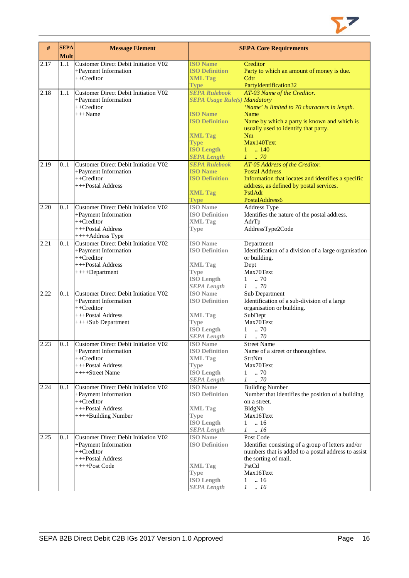

| $\#$ | <b>SEPA</b><br><b>Mult</b> | <b>Message Element</b>                                                                                                     |                                                                                                                                                                                     | <b>SEPA Core Requirements</b>                                                                                                                                                                                                   |
|------|----------------------------|----------------------------------------------------------------------------------------------------------------------------|-------------------------------------------------------------------------------------------------------------------------------------------------------------------------------------|---------------------------------------------------------------------------------------------------------------------------------------------------------------------------------------------------------------------------------|
| 2.17 | 11                         | Customer Direct Debit Initiation V02<br>+Payment Information<br>++Creditor                                                 | <b>ISO Name</b><br><b>ISO Definition</b><br><b>XML Tag</b><br><b>Type</b>                                                                                                           | Creditor<br>Party to which an amount of money is due.<br>Cdtr<br>PartyIdentification32                                                                                                                                          |
| 2.18 | 11                         | Customer Direct Debit Initiation V02<br>+Payment Information<br>$++Creditor$<br>$+++Name$                                  | <b>SEPA Rulebook</b><br><b>SEPA Usage Rule(s) Mandatory</b><br><b>ISO</b> Name<br><b>ISO Definition</b><br><b>XML Tag</b><br><b>Type</b><br><b>ISO Length</b><br><b>SEPA Length</b> | AT-03 Name of the Creditor.<br>'Name' is limited to 70 characters in length.<br>Name<br>Name by which a party is known and which is<br>usually used to identify that party.<br>Nm<br>Max140Text<br>$1 \t  140$<br>$1 \cdot .70$ |
| 2.19 | 0.1                        | Customer Direct Debit Initiation V02<br>+Payment Information<br>$++Creditor$<br>+++Postal Address                          | <b>SEPA Rulebook</b><br><b>ISO Name</b><br><b>ISO Definition</b><br><b>XML Tag</b><br><b>Type</b>                                                                                   | AT-05 Address of the Creditor.<br><b>Postal Address</b><br>Information that locates and identifies a specific<br>address, as defined by postal services.<br>PstlAdr<br>PostalAddress6                                           |
| 2.20 | 0.1                        | Customer Direct Debit Initiation V02<br>+Payment Information<br>$++Creditor$<br>+++Postal Address<br>++++Address Type      | <b>ISO Name</b><br><b>ISO Definition</b><br><b>XML Tag</b><br><b>Type</b>                                                                                                           | <b>Address Type</b><br>Identifies the nature of the postal address.<br>AdrTp<br>AddressType2Code                                                                                                                                |
| 2.21 | 01                         | <b>Customer Direct Debit Initiation V02</b><br>+Payment Information<br>$++Creditor$<br>+++Postal Address<br>++++Department | <b>ISO Name</b><br><b>ISO Definition</b><br><b>XML Tag</b><br><b>Type</b><br><b>ISO</b> Length<br><b>SEPA Length</b>                                                                | Department<br>Identification of a division of a large organisation<br>or building.<br>Dept<br>Max70Text<br>70<br>1<br>$1 \t . 70$                                                                                               |
| 2.22 | 0.1                        | Customer Direct Debit Initiation V02<br>+Payment Information<br>$++Creditor$<br>+++Postal Address<br>++++Sub Department    | <b>ISO Name</b><br><b>ISO Definition</b><br><b>XML Tag</b><br><b>Type</b><br><b>ISO Length</b><br><b>SEPA Length</b>                                                                | Sub Department<br>Identification of a sub-division of a large<br>organisation or building.<br>SubDept<br>Max70Text<br>.70<br>$\mathbf{1}$<br>.70<br>$\mathcal{I}$                                                               |
| 2.23 | 01                         | Customer Direct Debit Initiation V02<br>+Payment Information<br>++Creditor<br>+++Postal Address<br>++++Street Name         | <b>ISO</b> Name<br><b>ISO Definition</b><br><b>XML Tag</b><br><b>Type</b><br><b>ISO Length</b><br><b>SEPA Length</b>                                                                | <b>Street Name</b><br>Name of a street or thoroughfare.<br>StrtNm<br>Max70Text<br>$1 \t . 70$<br>$1 \quad .70$                                                                                                                  |
| 2.24 | 0.1                        | Customer Direct Debit Initiation V02<br>+Payment Information<br>++Creditor<br>+++Postal Address<br>++++Building Number     | <b>ISO</b> Name<br><b>ISO Definition</b><br><b>XML Tag</b><br><b>Type</b><br><b>ISO Length</b><br><b>SEPA Length</b>                                                                | <b>Building Number</b><br>Number that identifies the position of a building<br>on a street.<br>BldgNb<br>Max16Text<br>$\mathbf{1}$<br>.16<br>$\mathcal{I}$<br>$\therefore$ 16                                                   |
| 2.25 | 0.1                        | Customer Direct Debit Initiation V02<br>+Payment Information<br>++Creditor<br>+++Postal Address<br>++++Post Code           | <b>ISO</b> Name<br><b>ISO Definition</b><br><b>XML Tag</b><br><b>Type</b><br><b>ISO Length</b><br><b>SEPA Length</b>                                                                | Post Code<br>Identifier consisting of a group of letters and/or<br>numbers that is added to a postal address to assist<br>the sorting of mail.<br>PstCd<br>Max16Text<br>$\ln 16$<br>$\mathbf{1}$<br>$1 \quad .16$               |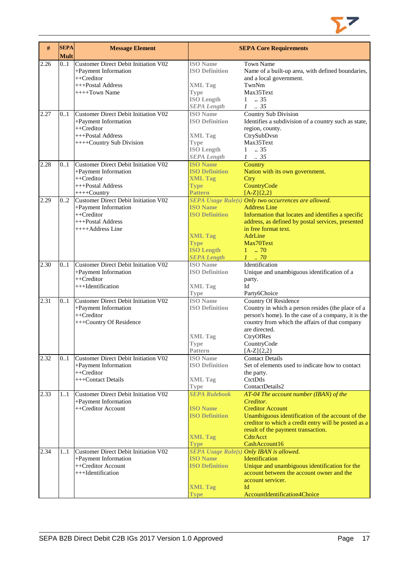

| #    | <b>SEPA</b><br><b>Mult</b> | <b>Message Element</b>                                                                                                      |                                                                                                                      | <b>SEPA Core Requirements</b>                                                                                                                                                                                                                                            |
|------|----------------------------|-----------------------------------------------------------------------------------------------------------------------------|----------------------------------------------------------------------------------------------------------------------|--------------------------------------------------------------------------------------------------------------------------------------------------------------------------------------------------------------------------------------------------------------------------|
| 2.26 | 0.1                        | Customer Direct Debit Initiation V02<br>+Payment Information<br>++Creditor<br>+++Postal Address<br>$++++$ Town Name         | <b>ISO</b> Name<br><b>ISO Definition</b><br><b>XML Tag</b><br><b>Type</b><br><b>ISO Length</b><br><b>SEPA Length</b> | <b>Town Name</b><br>Name of a built-up area, with defined boundaries,<br>and a local government.<br>TwnNm<br>Max35Text<br>$1 \t . 35$<br>$1 \quad35$                                                                                                                     |
| 2.27 | 01                         | Customer Direct Debit Initiation V02<br>+Payment Information<br>++Creditor<br>+++Postal Address<br>++++Country Sub Division | <b>ISO</b> Name<br><b>ISO Definition</b><br><b>XML Tag</b><br><b>Type</b><br><b>ISO Length</b><br><b>SEPA Length</b> | <b>Country Sub Division</b><br>Identifies a subdivision of a country such as state,<br>region, county.<br>CtrySubDvsn<br>Max35Text<br>$1-.35$<br>$1 \t . 35$                                                                                                             |
| 2.28 | 0.1                        | Customer Direct Debit Initiation V02<br>+Payment Information<br>$++Creditor$<br>+++Postal Address<br>$++++$ Country         | <b>ISO Name</b><br><b>ISO Definition</b><br><b>XML Tag</b><br><b>Type</b><br><b>Pattern</b>                          | Country<br>Nation with its own government.<br><b>Ctry</b><br>CountryCode<br>$[A-Z](2,2)$                                                                                                                                                                                 |
| 2.29 | 0.2                        | Customer Direct Debit Initiation V02<br>+Payment Information<br>$++Creditor$<br>+++Postal Address<br>++++Address Line       | <b>ISO Name</b><br><b>ISO Definition</b><br><b>XML Tag</b><br><b>Type</b><br><b>ISO Length</b><br><b>SEPA Length</b> | SEPA Usage Rule(s) Only two occurrences are allowed.<br><b>Address Line</b><br>Information that locates and identifies a specific<br>address, as defined by postal services, presented<br>in free format text.<br>AdrLine<br>Max70Text<br>$1 \t . 70$<br>$1 \cdot .70$   |
| 2.30 | 0.1                        | Customer Direct Debit Initiation V02<br>+Payment Information<br>$++Creditor$<br>+++Identification                           | <b>ISO</b> Name<br><b>ISO Definition</b><br><b>XML Tag</b>                                                           | Identification<br>Unique and unambiguous identification of a<br>party.<br>Id                                                                                                                                                                                             |
| 2.31 | 0.1                        | Customer Direct Debit Initiation V02<br>+Payment Information<br>++Creditor<br>+++Country Of Residence                       | <b>Type</b><br><b>ISO</b> Name<br><b>ISO Definition</b><br><b>XML Tag</b><br><b>Type</b><br>Pattern                  | Party6Choice<br><b>Country Of Residence</b><br>Country in which a person resides (the place of a<br>person's home). In the case of a company, it is the<br>country from which the affairs of that company<br>are directed.<br>CtryOfRes<br>CountryCode<br>$[A-Z]\{2,2\}$ |
| 2.32 | 01                         | Customer Direct Debit Initiation V02<br>+Payment Information<br>++Creditor<br>+++Contact Details                            | <b>ISO</b> Name<br><b>ISO Definition</b><br><b>XML Tag</b><br><b>Type</b>                                            | Contact Details<br>Set of elements used to indicate how to contact<br>the party.<br>CtctDtls<br>ContactDetails2                                                                                                                                                          |
| 2.33 | 11                         | Customer Direct Debit Initiation V02<br>+Payment Information<br>++Creditor Account                                          | <b>SEPA Rulebook</b><br><b>ISO Name</b><br><b>ISO Definition</b><br><b>XML Tag</b><br><b>Type</b>                    | $AT-04$ The account number (IBAN) of the<br>Creditor.<br><b>Creditor Account</b><br>Unambiguous identification of the account of the<br>creditor to which a credit entry will be posted as a<br>result of the payment transaction.<br>CdtrAcct<br>CashAccount16          |
| 2.34 | 11                         | Customer Direct Debit Initiation V02<br>+Payment Information<br>++Creditor Account<br>+++Identification                     | <b>ISO Name</b><br><b>ISO Definition</b><br><b>XML Tag</b><br><b>Type</b>                                            | <b>SEPA Usage Rule(s) Only IBAN is allowed.</b><br>Identification<br>Unique and unambiguous identification for the<br>account between the account owner and the<br>account servicer.<br>Id<br>AccountIdentification4Choice                                               |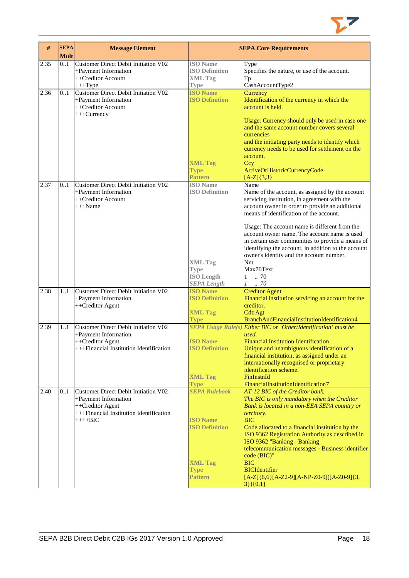

| #    | <b>SEPA</b><br><b>Mult</b> | <b>Message Element</b>                                                                                                                  |                                                                                                                                        | <b>SEPA Core Requirements</b>                                                                                                                                                                                                                                                                                                                                                                                                                                                                                                     |
|------|----------------------------|-----------------------------------------------------------------------------------------------------------------------------------------|----------------------------------------------------------------------------------------------------------------------------------------|-----------------------------------------------------------------------------------------------------------------------------------------------------------------------------------------------------------------------------------------------------------------------------------------------------------------------------------------------------------------------------------------------------------------------------------------------------------------------------------------------------------------------------------|
| 2.35 | 0.1                        | Customer Direct Debit Initiation V02<br>+Payment Information<br>++Creditor Account<br>$+++Type$                                         | <b>ISO</b> Name<br><b>ISO Definition</b><br><b>XML Tag</b><br>Type                                                                     | Type<br>Specifies the nature, or use of the account.<br>Тp<br>CashAccountType2                                                                                                                                                                                                                                                                                                                                                                                                                                                    |
| 2.36 | 0.1                        | Customer Direct Debit Initiation V02<br>+Payment Information<br>++Creditor Account<br>+++Currency                                       | <b>ISO Name</b><br><b>ISO Definition</b><br><b>XML Tag</b><br><b>Type</b>                                                              | Currency<br>Identification of the currency in which the<br>account is held.<br>Usage: Currency should only be used in case one<br>and the same account number covers several<br>currencies<br>and the initiating party needs to identify which<br>currency needs to be used for settlement on the<br>account.<br>Ccy<br>ActiveOrHistoricCurrencyCode                                                                                                                                                                              |
| 2.37 | 0.1                        | <b>Customer Direct Debit Initiation V02</b><br>+Payment Information<br>++Creditor Account<br>$+++Name$                                  | <b>Pattern</b><br><b>ISO</b> Name<br><b>ISO Definition</b><br><b>XML Tag</b><br><b>Type</b><br><b>ISO Length</b><br><b>SEPA</b> Length | $[A-Z]\{3,3\}$<br>Name<br>Name of the account, as assigned by the account<br>servicing institution, in agreement with the<br>account owner in order to provide an additional<br>means of identification of the account.<br>Usage: The account name is different from the<br>account owner name. The account name is used<br>in certain user communities to provide a means of<br>identifying the account, in addition to the account<br>owner's identity and the account number.<br>Nm<br>Max70Text<br>$1-.70$<br>$1$ $\,$ . $70$ |
| 2.38 | 1.1                        | <b>Customer Direct Debit Initiation V02</b><br>+Payment Information<br>++Creditor Agent                                                 | <b>ISO Name</b><br><b>ISO Definition</b><br><b>XML Tag</b><br><b>Type</b>                                                              | <b>Creditor Agent</b><br>Financial institution servicing an account for the<br>creditor.<br>CdtrAgt<br>BranchAndFinancialInstitutionIdentification4                                                                                                                                                                                                                                                                                                                                                                               |
| 2.39 | 1.1                        | <b>Customer Direct Debit Initiation V02</b><br>+Payment Information<br>++Creditor Agent<br>+++Financial Institution Identification      | <b>ISO Name</b><br><b>ISO Definition</b><br><b>XML Tag</b><br><b>Type</b>                                                              | <b>SEPA Usage Rule(s) Either BIC or 'Other/Identification' must be</b><br>used.<br><b>Financial Institution Identification</b><br>Unique and unambiguous identification of a<br>financial institution, as assigned under an<br>internationally recognised or proprietary<br>identification scheme.<br>FinInstnId<br>FinancialInstitutionIdentification7                                                                                                                                                                           |
| 2.40 | 01                         | Customer Direct Debit Initiation V02<br>+Payment Information<br>++Creditor Agent<br>+++Financial Institution Identification<br>$+++BIC$ | <b>SEPA Rulebook</b><br><b>ISO</b> Name<br><b>ISO Definition</b><br><b>XML Tag</b><br><b>Type</b><br>Pattern                           | AT-12 BIC of the Creditor bank.<br>The BIC is only mandatory when the Creditor<br>Bank is located in a non-EEA SEPA country or<br>territory.<br><b>BIC</b><br>Code allocated to a financial institution by the<br>ISO 9362 Registration Authority as described in<br>ISO 9362 "Banking - Banking<br>telecommunication messages - Business identifier<br>code (BIC)".<br><b>BIC</b><br><b>BICIdentifier</b><br>$[A-Z]\{6,6\}[A-Z2-9][A-NP-Z0-9][A-Z0-9]\{3,$<br>$3\}$ (0,1)                                                        |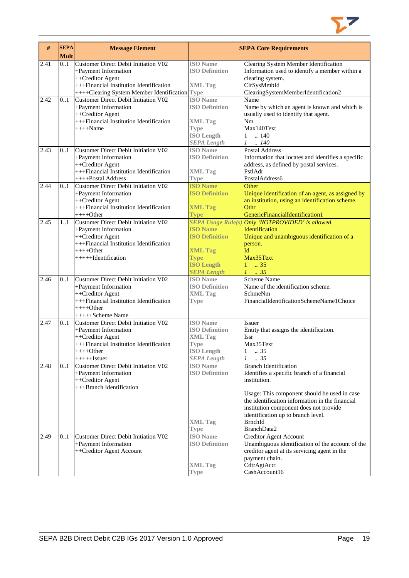

| $\#$ | <b>SEPA</b><br><b>Mult</b> | <b>Message Element</b>                                                                                                                                                        |                                                                                                                      | <b>SEPA Core Requirements</b>                                                                                                                                                                                                                                                                                   |
|------|----------------------------|-------------------------------------------------------------------------------------------------------------------------------------------------------------------------------|----------------------------------------------------------------------------------------------------------------------|-----------------------------------------------------------------------------------------------------------------------------------------------------------------------------------------------------------------------------------------------------------------------------------------------------------------|
| 2.41 | 0.1                        | Customer Direct Debit Initiation V02<br>+Payment Information<br>++Creditor Agent<br>+++Financial Institution Identification<br>++++Clearing System Member Identification Type | <b>ISO</b> Name<br><b>ISO Definition</b><br><b>XML Tag</b>                                                           | Clearing System Member Identification<br>Information used to identify a member within a<br>clearing system.<br>ClrSysMmbId<br>ClearingSystemMemberIdentification2                                                                                                                                               |
| 2.42 | 0.1                        | Customer Direct Debit Initiation V02<br>+Payment Information<br>++Creditor Agent<br>+++Financial Institution Identification<br>$++++$ Name                                    | <b>ISO</b> Name<br><b>ISO Definition</b><br><b>XML Tag</b><br><b>Type</b><br><b>ISO Length</b><br><b>SEPA Length</b> | Name<br>Name by which an agent is known and which is<br>usually used to identify that agent.<br>Nm<br>Max140Text<br>$\ldots$ 140<br>$\mathbf{1}$<br>.140<br>$\mathcal{I}$                                                                                                                                       |
| 2.43 | 0.1                        | <b>Customer Direct Debit Initiation V02</b><br>+Payment Information<br>++Creditor Agent<br>+++Financial Institution Identification<br>++++Postal Address                      | <b>ISO</b> Name<br><b>ISO Definition</b><br><b>XML Tag</b><br><b>Type</b>                                            | <b>Postal Address</b><br>Information that locates and identifies a specific<br>address, as defined by postal services.<br>PstlAdr<br>PostalAddress6                                                                                                                                                             |
| 2.44 | 0.1                        | Customer Direct Debit Initiation V02<br>+Payment Information<br>++Creditor Agent<br>+++Financial Institution Identification<br>$+++Other$                                     | <b>ISO Name</b><br><b>ISO Definition</b><br><b>XML Tag</b><br><b>Type</b>                                            | Other<br>Unique identification of an agent, as assigned by<br>an institution, using an identification scheme.<br>Othr<br>GenericFinancialIdentification1                                                                                                                                                        |
| 2.45 | $\overline{1}$ 1           | Customer Direct Debit Initiation V02<br>+Payment Information<br>++Creditor Agent<br>+++Financial Institution Identification<br>$+++O$ ther<br>++++++Identification            | <b>ISO</b> Name<br><b>ISO Definition</b><br><b>XML Tag</b><br><b>Type</b><br><b>ISO Length</b><br><b>SEPA Length</b> | SEPA Usage Rule(s) Only 'NOTPROVIDED' is allowed.<br><b>Identification</b><br>Unique and unambiguous identification of a<br>person.<br>Id<br>Max35Text<br>$1 \t . 35$<br>$1 \t35$                                                                                                                               |
| 2.46 | 0.1                        | Customer Direct Debit Initiation V02<br>+Payment Information<br>++Creditor Agent<br>+++Financial Institution Identification<br>$+++Other$<br>+++++Scheme Name                 | <b>ISO</b> Name<br><b>ISO Definition</b><br><b>XML Tag</b><br><b>Type</b>                                            | Scheme Name<br>Name of the identification scheme.<br>SchmeNm<br>FinancialIdentificationSchemeName1Choice                                                                                                                                                                                                        |
| 2.47 | 0.1                        | <b>Customer Direct Debit Initiation V02</b><br>+Payment Information<br>++Creditor Agent<br>+++Financial Institution Identification<br>++++Other<br>$+++++Issuer$              | <b>ISO</b> Name<br><b>ISO Definition</b><br><b>XML Tag</b><br><b>Type</b><br><b>ISO Length</b><br><b>SEPA Length</b> | Issuer<br>Entity that assigns the identification.<br><b>Issr</b><br>Max35Text<br>1<br>.35<br>$\mathcal{I}$<br>.35                                                                                                                                                                                               |
| 2.48 | 0.1                        | Customer Direct Debit Initiation V02<br>+Payment Information<br>++Creditor Agent<br>+++Branch Identification                                                                  | <b>ISO Name</b><br><b>ISO Definition</b><br><b>XML Tag</b><br>Type                                                   | <b>Branch Identification</b><br>Identifies a specific branch of a financial<br>institution.<br>Usage: This component should be used in case<br>the identification information in the financial<br>institution component does not provide<br>identification up to branch level.<br><b>BrnchId</b><br>BranchData2 |
| 2.49 | 0.1                        | Customer Direct Debit Initiation V02<br>+Payment Information<br>++Creditor Agent Account                                                                                      | <b>ISO</b> Name<br><b>ISO Definition</b><br><b>XML Tag</b><br>Type                                                   | <b>Creditor Agent Account</b><br>Unambiguous identification of the account of the<br>creditor agent at its servicing agent in the<br>payment chain.<br>CdtrAgtAcct<br>CashAccount16                                                                                                                             |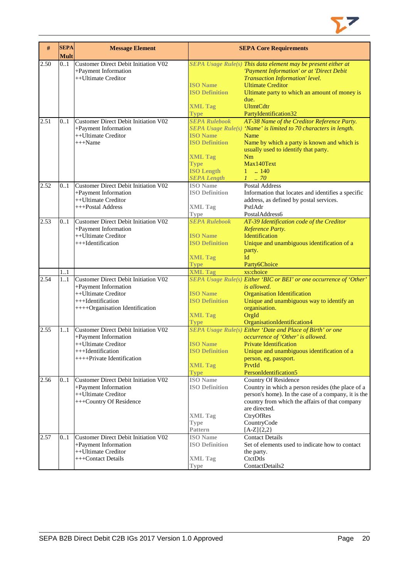

| #    | <b>SEPA</b><br><b>Mult</b> | <b>Message Element</b>                                                              |                                                    | <b>SEPA Core Requirements</b>                                                                                                                 |
|------|----------------------------|-------------------------------------------------------------------------------------|----------------------------------------------------|-----------------------------------------------------------------------------------------------------------------------------------------------|
| 2.50 | 0.1                        | Customer Direct Debit Initiation V02<br>+Payment Information<br>++Ultimate Creditor |                                                    | SEPA Usage Rule(s) This data element may be present either at<br>'Payment Information' or at 'Direct Debit<br>Transaction Information' level. |
|      |                            |                                                                                     | <b>ISO Name</b><br><b>ISO Definition</b>           | <b>Ultimate Creditor</b><br>Ultimate party to which an amount of money is                                                                     |
|      |                            |                                                                                     | <b>XML Tag</b><br><b>Type</b>                      | due.<br><b>UltmtCdtr</b><br>PartyIdentification32                                                                                             |
| 2.51 | 0.1                        | Customer Direct Debit Initiation V02<br>+Payment Information                        | <b>SEPA Rulebook</b>                               | AT-38 Name of the Creditor Reference Party.<br>SEPA Usage Rule(s) 'Name' is limited to 70 characters in length.                               |
|      |                            | ++Ultimate Creditor<br>$+++Name$                                                    | <b>ISO Name</b><br><b>ISO Definition</b>           | Name<br>Name by which a party is known and which is<br>usually used to identify that party.                                                   |
|      |                            |                                                                                     | <b>XML Tag</b><br><b>Type</b><br><b>ISO Length</b> | Nm<br>Max140Text<br>$1 \t  140$                                                                                                               |
|      |                            |                                                                                     | <b>SEPA Length</b>                                 | $1 \dots 70$                                                                                                                                  |
| 2.52 | 0.1                        | Customer Direct Debit Initiation V02                                                | <b>ISO</b> Name                                    | <b>Postal Address</b>                                                                                                                         |
|      |                            | +Payment Information                                                                | <b>ISO Definition</b>                              | Information that locates and identifies a specific                                                                                            |
|      |                            | ++Ultimate Creditor                                                                 |                                                    | address, as defined by postal services.<br>PstlAdr                                                                                            |
|      |                            | +++Postal Address                                                                   | <b>XML Tag</b><br><b>Type</b>                      | Postal Address6                                                                                                                               |
| 2.53 | 0.1                        | Customer Direct Debit Initiation V02                                                | <b>SEPA Rulebook</b>                               | AT-39 Identification code of the Creditor                                                                                                     |
|      |                            | +Payment Information                                                                |                                                    | Reference Party.                                                                                                                              |
|      |                            | ++Ultimate Creditor                                                                 | <b>ISO Name</b>                                    | Identification                                                                                                                                |
|      |                            | +++Identification                                                                   | <b>ISO Definition</b>                              | Unique and unambiguous identification of a                                                                                                    |
|      |                            |                                                                                     |                                                    | party.                                                                                                                                        |
|      |                            |                                                                                     | <b>XML Tag</b>                                     | Id                                                                                                                                            |
|      |                            |                                                                                     | <b>Type</b>                                        | Party6Choice                                                                                                                                  |
| 2.54 | 11<br>11                   | <b>Customer Direct Debit Initiation V02</b>                                         | <b>XML Tag</b>                                     | xs:choice<br>SEPA Usage Rule(s) Either 'BIC or BEI' or one occurrence of 'Other'                                                              |
|      |                            | +Payment Information                                                                |                                                    | is allowed.                                                                                                                                   |
|      |                            | ++Ultimate Creditor                                                                 | <b>ISO Name</b>                                    | <b>Organisation Identification</b>                                                                                                            |
|      |                            | +++Identification                                                                   | <b>ISO Definition</b>                              | Unique and unambiguous way to identify an                                                                                                     |
|      |                            | ++++Organisation Identification                                                     |                                                    | organisation.                                                                                                                                 |
|      |                            |                                                                                     | <b>XML Tag</b>                                     | OrgId                                                                                                                                         |
|      |                            |                                                                                     | <b>Type</b>                                        | OrganisationIdentification4                                                                                                                   |
| 2.55 | 11                         | <b>Customer Direct Debit Initiation V02</b>                                         |                                                    | SEPA Usage Rule(s) Either 'Date and Place of Birth' or one                                                                                    |
|      |                            | +Payment Information                                                                |                                                    | occurrence of 'Other' is allowed.                                                                                                             |
|      |                            | ++Ultimate Creditor                                                                 | <b>ISO Name</b>                                    | <b>Private Identification</b>                                                                                                                 |
|      |                            | +++Identification<br>++++Private Identification                                     | <b>ISO Definition</b>                              | Unique and unambiguous identification of a<br>person, eg, passport.                                                                           |
|      |                            |                                                                                     | <b>XML Tag</b>                                     | PrvtId                                                                                                                                        |
|      |                            |                                                                                     | <b>Type</b>                                        | PersonIdentification5                                                                                                                         |
| 2.56 | 0.1                        | Customer Direct Debit Initiation V02                                                | <b>ISO</b> Name                                    | <b>Country Of Residence</b>                                                                                                                   |
|      |                            | +Payment Information                                                                | <b>ISO Definition</b>                              | Country in which a person resides (the place of a                                                                                             |
|      |                            | ++Ultimate Creditor                                                                 |                                                    | person's home). In the case of a company, it is the                                                                                           |
|      |                            | +++Country Of Residence                                                             |                                                    | country from which the affairs of that company                                                                                                |
|      |                            |                                                                                     |                                                    | are directed.                                                                                                                                 |
|      |                            |                                                                                     | <b>XML Tag</b>                                     | CtryOfRes                                                                                                                                     |
|      |                            |                                                                                     | <b>Type</b><br>Pattern                             | CountryCode<br>$[A-Z]{2,2}$                                                                                                                   |
| 2.57 | 0.1                        | <b>Customer Direct Debit Initiation V02</b>                                         | <b>ISO</b> Name                                    | <b>Contact Details</b>                                                                                                                        |
|      |                            | +Payment Information                                                                | <b>ISO Definition</b>                              | Set of elements used to indicate how to contact                                                                                               |
|      |                            | ++Ultimate Creditor                                                                 |                                                    | the party.                                                                                                                                    |
|      |                            | +++Contact Details                                                                  | <b>XML Tag</b>                                     | CtctDtls                                                                                                                                      |
|      |                            |                                                                                     | <b>Type</b>                                        | ContactDetails2                                                                                                                               |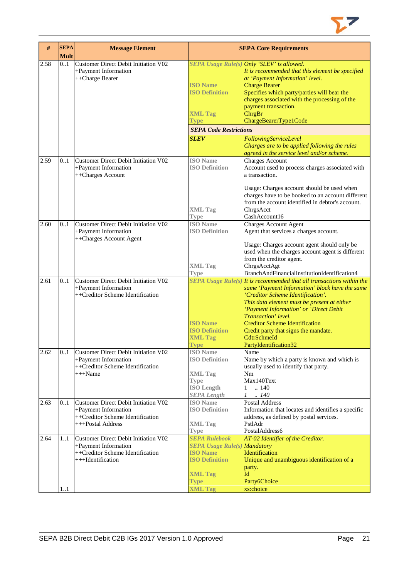

| #    | <b>SEPA</b><br><b>Mult</b> | <b>Message Element</b>                                                                                                |                                                                                                                           | <b>SEPA Core Requirements</b>                                                                                                                                                                                                                                                                                                                                                                           |
|------|----------------------------|-----------------------------------------------------------------------------------------------------------------------|---------------------------------------------------------------------------------------------------------------------------|---------------------------------------------------------------------------------------------------------------------------------------------------------------------------------------------------------------------------------------------------------------------------------------------------------------------------------------------------------------------------------------------------------|
| 2.58 | 0.1                        | Customer Direct Debit Initiation V02<br>+Payment Information<br>++Charge Bearer                                       | <b>ISO Name</b><br><b>ISO Definition</b><br><b>XML Tag</b><br><b>Type</b>                                                 | SEPA Usage Rule(s) Only 'SLEV' is allowed.<br>It is recommended that this element be specified<br>at 'Payment Information' level.<br><b>Charge Bearer</b><br>Specifies which party/parties will bear the<br>charges associated with the processing of the<br>payment transaction.<br>ChrgBr<br>ChargeBearerType1Code                                                                                    |
|      |                            |                                                                                                                       | <b>SEPA Code Restrictions</b>                                                                                             |                                                                                                                                                                                                                                                                                                                                                                                                         |
|      |                            |                                                                                                                       | <b>SLEV</b>                                                                                                               | FollowingServiceLevel<br>Charges are to be applied following the rules<br>agreed in the service level and/or scheme.                                                                                                                                                                                                                                                                                    |
| 2.59 | 01                         | Customer Direct Debit Initiation V02<br>+Payment Information<br>++Charges Account                                     | <b>ISO</b> Name<br><b>ISO Definition</b>                                                                                  | <b>Charges Account</b><br>Account used to process charges associated with<br>a transaction.                                                                                                                                                                                                                                                                                                             |
|      |                            |                                                                                                                       | <b>XML Tag</b><br>Type                                                                                                    | Usage: Charges account should be used when<br>charges have to be booked to an account different<br>from the account identified in debtor's account.<br>ChrgsAcct<br>CashAccount16                                                                                                                                                                                                                       |
| 2.60 | 0.1                        | <b>Customer Direct Debit Initiation V02</b>                                                                           | <b>ISO</b> Name                                                                                                           | <b>Charges Account Agent</b>                                                                                                                                                                                                                                                                                                                                                                            |
|      |                            | +Payment Information<br>++Charges Account Agent                                                                       | <b>ISO Definition</b>                                                                                                     | Agent that services a charges account.<br>Usage: Charges account agent should only be                                                                                                                                                                                                                                                                                                                   |
|      |                            |                                                                                                                       | <b>XML Tag</b><br><b>Type</b>                                                                                             | used when the charges account agent is different<br>from the creditor agent.<br>ChrgsAcctAgt<br>BranchAndFinancialInstitutionIdentification4                                                                                                                                                                                                                                                            |
| 2.61 | 0.1                        | Customer Direct Debit Initiation V02<br>+Payment Information<br>++Creditor Scheme Identification                      | <b>ISO Name</b><br><b>ISO Definition</b><br><b>XML Tag</b><br><b>Type</b>                                                 | SEPA Usage $Rule(s)$ It is recommended that all transactions within the<br>same 'Payment Information' block have the same<br>'Creditor Scheme Identification'.<br>This data element must be present at either<br>'Payment Information' or 'Direct Debit<br>Transaction' level.<br><b>Creditor Scheme Identification</b><br>Credit party that signs the mandate.<br>CdtrSchmeId<br>PartyIdentification32 |
| 2.62 | 01                         | <b>Customer Direct Debit Initiation V02</b><br>+Payment Information<br>++Creditor Scheme Identification<br>$+++Name$  | <b>ISO</b> Name<br><b>ISO Definition</b><br><b>XML Tag</b><br><b>Type</b><br><b>ISO Length</b><br><b>SEPA</b> Length      | Name<br>Name by which a party is known and which is<br>usually used to identify that party.<br>Nm<br>Max140Text<br>.140<br>1<br>.140<br>$\mathcal{I}$                                                                                                                                                                                                                                                   |
| 2.63 | 0.1                        | Customer Direct Debit Initiation V02<br>+Payment Information<br>++Creditor Scheme Identification<br>+++Postal Address | <b>ISO</b> Name<br><b>ISO Definition</b><br><b>XML Tag</b><br><b>Type</b>                                                 | Postal Address<br>Information that locates and identifies a specific<br>address, as defined by postal services.<br>PstlAdr<br>PostalAddress6                                                                                                                                                                                                                                                            |
| 2.64 | 11                         | Customer Direct Debit Initiation V02<br>+Payment Information<br>++Creditor Scheme Identification<br>+++Identification | <b>SEPA Rulebook</b><br><b>SEPA Usage Rule(s) Mandatory</b><br><b>ISO Name</b><br><b>ISO Definition</b><br><b>XML Tag</b> | AT-02 Identifier of the Creditor.<br>Identification<br>Unique and unambiguous identification of a<br>party.<br>Id                                                                                                                                                                                                                                                                                       |
|      |                            |                                                                                                                       | <b>Type</b>                                                                                                               | Party6Choice                                                                                                                                                                                                                                                                                                                                                                                            |
|      | 11                         |                                                                                                                       | <b>XML Tag</b>                                                                                                            | xs:choice                                                                                                                                                                                                                                                                                                                                                                                               |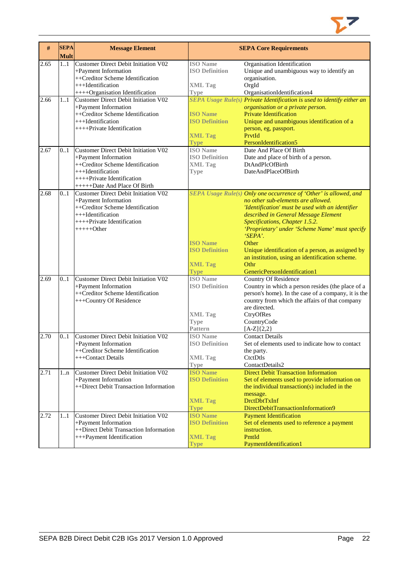

| $\#$ | <b>SEPA</b> | <b>Message Element</b>                                                                                                                                                                      |                                                                               | <b>SEPA Core Requirements</b>                                                                                                                                                                                                                                                                                                                                                                                                                                |
|------|-------------|---------------------------------------------------------------------------------------------------------------------------------------------------------------------------------------------|-------------------------------------------------------------------------------|--------------------------------------------------------------------------------------------------------------------------------------------------------------------------------------------------------------------------------------------------------------------------------------------------------------------------------------------------------------------------------------------------------------------------------------------------------------|
|      | <b>Mult</b> |                                                                                                                                                                                             |                                                                               |                                                                                                                                                                                                                                                                                                                                                                                                                                                              |
| 2.65 | 1.1         | <b>Customer Direct Debit Initiation V02</b><br>+Payment Information<br>++Creditor Scheme Identification<br>+++Identification<br>++++Organisation Identification                             | <b>ISO</b> Name<br><b>ISO Definition</b><br><b>XML Tag</b><br><b>Type</b>     | Organisation Identification<br>Unique and unambiguous way to identify an<br>organisation.<br>OrgId<br>OrganisationIdentification4                                                                                                                                                                                                                                                                                                                            |
| 2.66 | 11          | Customer Direct Debit Initiation V02<br>+Payment Information<br>++Creditor Scheme Identification<br>+++Identification<br>++++Private Identification                                         | <b>ISO</b> Name<br><b>ISO Definition</b><br><b>XML Tag</b><br><b>Type</b>     | SEPA Usage Rule(s) Private Identification is used to identify either an<br>organisation or a private person.<br><b>Private Identification</b><br>Unique and unambiguous identification of a<br>person, eg, passport.<br>PrvtId<br>PersonIdentification5                                                                                                                                                                                                      |
| 2.67 | 0.1         | <b>Customer Direct Debit Initiation V02</b><br>+Payment Information<br>++Creditor Scheme Identification<br>+++Identification<br>++++Private Identification<br>++++++Date And Place Of Birth | <b>ISO</b> Name<br><b>ISO Definition</b><br><b>XML Tag</b><br><b>Type</b>     | Date And Place Of Birth<br>Date and place of birth of a person.<br>DtAndPlcOfBirth<br>DateAndPlaceOfBirth                                                                                                                                                                                                                                                                                                                                                    |
| 2.68 | 0.1         | <b>Customer Direct Debit Initiation V02</b><br>+Payment Information<br>++Creditor Scheme Identification<br>+++Identification<br>++++Private Identification<br>$+++++Other$                  | <b>ISO Name</b><br><b>ISO Definition</b><br><b>XML Tag</b><br><b>Type</b>     | SEPA Usage Rule(s) Only one occurrence of 'Other' is allowed, and<br>no other sub-elements are allowed.<br>'Identification' must be used with an identifier<br>described in General Message Element<br>Specifications, Chapter 1.5.2.<br>'Proprietary' under 'Scheme Name' must specify<br>$SEPA$ .<br>Other<br>Unique identification of a person, as assigned by<br>an institution, using an identification scheme.<br>Othr<br>GenericPersonIdentification1 |
| 2.69 | 0.1         | Customer Direct Debit Initiation V02<br>+Payment Information<br>++Creditor Scheme Identification<br>+++Country Of Residence                                                                 | <b>ISO</b> Name<br><b>ISO Definition</b><br><b>XML Tag</b><br>Type<br>Pattern | Country Of Residence<br>Country in which a person resides (the place of a<br>person's home). In the case of a company, it is the<br>country from which the affairs of that company<br>are directed.<br>CtryOfRes<br>CountryCode<br>$[A-Z]\{2,2\}$                                                                                                                                                                                                            |
| 2.70 | 0.1         | Customer Direct Debit Initiation V02<br>+Payment Information<br>++Creditor Scheme Identification<br>+++Contact Details                                                                      | <b>ISO</b> Name<br><b>ISO Definition</b><br><b>XML</b> Tag<br><b>Type</b>     | <b>Contact Details</b><br>Set of elements used to indicate how to contact<br>the party.<br>CtctDtls<br>ContactDetails2                                                                                                                                                                                                                                                                                                                                       |
| 2.71 | 1n          | <b>Customer Direct Debit Initiation V02</b><br>+Payment Information<br>++Direct Debit Transaction Information                                                                               | <b>ISO</b> Name<br><b>ISO Definition</b><br><b>XML Tag</b><br><b>Type</b>     | <b>Direct Debit Transaction Information</b><br>Set of elements used to provide information on<br>the individual transaction(s) included in the<br>message.<br><b>DrctDbtTxInf</b><br>DirectDebitTransactionInformation9                                                                                                                                                                                                                                      |
| 2.72 | 11          | Customer Direct Debit Initiation V02<br>+Payment Information<br>++Direct Debit Transaction Information<br>+++Payment Identification                                                         | <b>ISO Name</b><br><b>ISO Definition</b><br><b>XML Tag</b><br><b>Type</b>     | <b>Payment Identification</b><br>Set of elements used to reference a payment<br>instruction.<br>PmtId<br>PaymentIdentification1                                                                                                                                                                                                                                                                                                                              |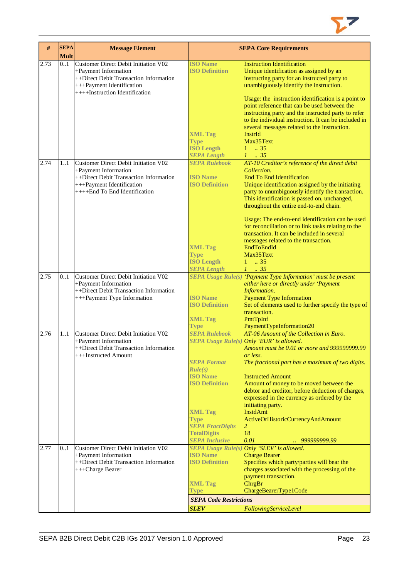

| #    | <b>SEPA</b><br><b>Mult</b> | <b>Message Element</b>                                                                                                                                                |                                                                                                                                                                                                              | <b>SEPA Core Requirements</b>                                                                                                                                                                                                                                                                                                                                                                                                                                                                                 |
|------|----------------------------|-----------------------------------------------------------------------------------------------------------------------------------------------------------------------|--------------------------------------------------------------------------------------------------------------------------------------------------------------------------------------------------------------|---------------------------------------------------------------------------------------------------------------------------------------------------------------------------------------------------------------------------------------------------------------------------------------------------------------------------------------------------------------------------------------------------------------------------------------------------------------------------------------------------------------|
| 2.73 | 0.1                        | Customer Direct Debit Initiation V02<br>+Payment Information<br>++Direct Debit Transaction Information<br>+++Payment Identification<br>++++Instruction Identification | <b>ISO Name</b><br><b>ISO Definition</b><br><b>XML Tag</b><br><b>Type</b><br><b>ISO Length</b>                                                                                                               | <b>Instruction Identification</b><br>Unique identification as assigned by an<br>instructing party for an instructed party to<br>unambiguously identify the instruction.<br>Usage: the instruction identification is a point to<br>point reference that can be used between the<br>instructing party and the instructed party to refer<br>to the individual instruction. It can be included in<br>several messages related to the instruction.<br>InstrId<br>Max35Text<br>$1 \t . 35$                          |
| 2.74 | 11                         | Customer Direct Debit Initiation V02<br>+Payment Information<br>++Direct Debit Transaction Information<br>+++Payment Identification<br>++++End To End Identification  | <b>SEPA Length</b><br><b>SEPA Rulebook</b><br><b>ISO</b> Name<br><b>ISO Definition</b>                                                                                                                       | $1 \t35$<br>AT-10 Creditor's reference of the direct debit<br>Collection.<br><b>End To End Identification</b><br>Unique identification assigned by the initiating<br>party to unumbiguously identify the transaction.                                                                                                                                                                                                                                                                                         |
|      |                            |                                                                                                                                                                       | <b>XML Tag</b><br><b>Type</b><br><b>ISO Length</b><br><b>SEPA Length</b>                                                                                                                                     | This identification is passed on, unchanged,<br>throughout the entire end-to-end chain.<br>Usage: The end-to-end identification can be used<br>for reconciliation or to link tasks relating to the<br>transaction. It can be included in several<br>messages related to the transaction.<br>EndToEndId<br>Max35Text<br>$1 \t . 35$<br>$1 \cdot .35$                                                                                                                                                           |
| 2.75 | 0.1                        | Customer Direct Debit Initiation V02<br>+Payment Information<br>++Direct Debit Transaction Information<br>+++Payment Type Information                                 | <b>ISO Name</b><br><b>ISO Definition</b><br><b>XML Tag</b><br><b>Type</b>                                                                                                                                    | SEPA Usage Rule(s) 'Payment Type Information' must be present<br>either here or directly under 'Payment<br>Information.<br><b>Payment Type Information</b><br>Set of elements used to further specify the type of<br>transaction.<br>PmtTpInf<br>PaymentTypeInformation20                                                                                                                                                                                                                                     |
| 2.76 | 11                         | Customer Direct Debit Initiation V02<br>+Payment Information<br>++Direct Debit Transaction Information<br>+++Instructed Amount                                        | <b>SEPA Rulebook</b><br><b>SEPA Format</b><br>Rule(s)<br><b>ISO Name</b><br><b>ISO Definition</b><br><b>XML Tag</b><br><b>Type</b><br><b>SEPA FractDigits</b><br><b>TotalDigits</b><br><b>SEPA Inclusive</b> | AT-06 Amount of the Collection in Euro.<br>SEPA Usage Rule(s) Only 'EUR' is allowed.<br>Amount must be 0.01 or more and 9999999999.99<br>or less.<br>The fractional part has a maximum of two digits.<br><b>Instructed Amount</b><br>Amount of money to be moved between the<br>debtor and creditor, before deduction of charges,<br>expressed in the currency as ordered by the<br>initiating party.<br><b>InstdAmt</b><br>ActiveOrHistoricCurrencyAndAmount<br>$\overline{2}$<br>18<br>0.01<br>999999999.99 |
| 2.77 | 0.1                        | Customer Direct Debit Initiation V02<br>+Payment Information<br>++Direct Debit Transaction Information<br>+++Charge Bearer                                            | <b>ISO Name</b><br><b>ISO Definition</b><br><b>XML Tag</b><br>Type<br><b>SEPA Code Restrictions</b><br><b>SLEV</b>                                                                                           | SEPA Usage Rule(s) Only 'SLEV' is allowed.<br><b>Charge Bearer</b><br>Specifies which party/parties will bear the<br>charges associated with the processing of the<br>payment transaction.<br>ChrgBr<br>ChargeBearerType1Code<br>FollowingServiceLevel                                                                                                                                                                                                                                                        |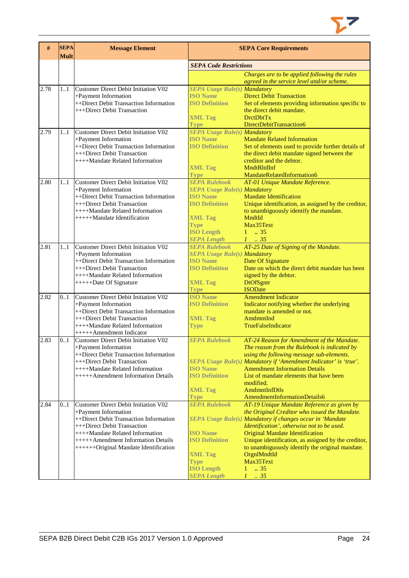

| #    | <b>SEPA</b><br><b>Mult</b> | <b>Message Element</b>                                                      | <b>SEPA Core Requirements</b>                          |                                                                                                        |  |
|------|----------------------------|-----------------------------------------------------------------------------|--------------------------------------------------------|--------------------------------------------------------------------------------------------------------|--|
|      |                            |                                                                             | <b>SEPA Code Restrictions</b>                          |                                                                                                        |  |
|      |                            |                                                                             |                                                        | Charges are to be applied following the rules                                                          |  |
| 2.78 | 1.1                        | Customer Direct Debit Initiation V02                                        | <b>SEPA Usage Rule(s) Mandatory</b>                    | agreed in the service level and/or scheme.                                                             |  |
|      |                            | +Payment Information                                                        | <b>ISO Name</b>                                        | <b>Direct Debit Transaction</b>                                                                        |  |
|      |                            | ++Direct Debit Transaction Information                                      | <b>ISO Definition</b>                                  | Set of elements providing information specific to                                                      |  |
|      |                            | +++Direct Debit Transaction                                                 |                                                        | the direct debit mandate.                                                                              |  |
|      |                            |                                                                             | <b>XML Tag</b><br><b>Type</b>                          | DrctDbtTx<br>DirectDebitTransaction6                                                                   |  |
| 2.79 | 11                         | Customer Direct Debit Initiation V02                                        | <b>SEPA Usage Rule(s) Mandatory</b>                    |                                                                                                        |  |
|      |                            | +Payment Information                                                        | <b>ISO Name</b>                                        | <b>Mandate Related Information</b>                                                                     |  |
|      |                            | ++Direct Debit Transaction Information                                      | <b>ISO Definition</b>                                  | Set of elements used to provide further details of                                                     |  |
|      |                            | +++Direct Debit Transaction                                                 |                                                        | the direct debit mandate signed between the                                                            |  |
|      |                            | ++++Mandate Related Information                                             | <b>XML Tag</b>                                         | creditor and the debtor.<br><b>MndtRltdInf</b>                                                         |  |
|      |                            |                                                                             | <b>Type</b>                                            | MandateRelatedInformation6                                                                             |  |
| 2.80 | 11                         | Customer Direct Debit Initiation V02                                        | <b>SEPA Rulebook</b>                                   | AT-01 Unique Mandate Reference.                                                                        |  |
|      |                            | +Payment Information                                                        | <b>SEPA Usage Rule(s) Mandatory</b>                    |                                                                                                        |  |
|      |                            | ++Direct Debit Transaction Information                                      | <b>ISO</b> Name                                        | <b>Mandate Identification</b>                                                                          |  |
|      |                            | +++Direct Debit Transaction<br>++++Mandate Related Information              | <b>ISO Definition</b>                                  | Unique identification, as assigned by the creditor,<br>to unambiguously identify the mandate.          |  |
|      |                            | +++++Mandate Identification                                                 | <b>XML Tag</b>                                         | MndtId                                                                                                 |  |
|      |                            |                                                                             | <b>Type</b>                                            | Max35Text                                                                                              |  |
|      |                            |                                                                             | <b>ISO Length</b>                                      | $1 \t . 35$                                                                                            |  |
|      |                            |                                                                             | <b>SEPA Length</b>                                     | $1 \cdot .35$                                                                                          |  |
| 2.81 | 1.1                        | Customer Direct Debit Initiation V02                                        | <b>SEPA Rulebook</b>                                   | AT-25 Date of Signing of the Mandate.                                                                  |  |
|      |                            | +Payment Information<br>++Direct Debit Transaction Information              | <b>SEPA Usage Rule(s) Mandatory</b><br><b>ISO</b> Name | Date Of Signature                                                                                      |  |
|      |                            | +++Direct Debit Transaction                                                 | <b>ISO Definition</b>                                  | Date on which the direct debit mandate has been                                                        |  |
|      |                            | ++++Mandate Related Information                                             |                                                        | signed by the debtor.                                                                                  |  |
|      |                            | +++++Date Of Signature                                                      | <b>XML Tag</b>                                         | <b>DtOfSgntr</b>                                                                                       |  |
|      |                            |                                                                             | <b>Type</b>                                            | <b>ISODate</b>                                                                                         |  |
| 2.82 | 0.1                        | <b>Customer Direct Debit Initiation V02</b><br>+Payment Information         | <b>ISO Name</b><br><b>ISO Definition</b>               | <b>Amendment Indicator</b><br>Indicator notifying whether the underlying                               |  |
|      |                            | ++Direct Debit Transaction Information                                      |                                                        | mandate is amended or not.                                                                             |  |
|      |                            | +++Direct Debit Transaction                                                 | <b>XML Tag</b>                                         | AmdmntInd                                                                                              |  |
|      |                            | ++++Mandate Related Information                                             | <b>Type</b>                                            | <b>TrueFalseIndicator</b>                                                                              |  |
|      |                            | +++++Amendment Indicator                                                    |                                                        |                                                                                                        |  |
| 2.83 | 0.1                        | Customer Direct Debit Initiation V02                                        | <b>SEPA Rulebook</b>                                   | AT-24 Reason for Amendment of the Mandate.                                                             |  |
|      |                            | +Payment Information<br>++Direct Debit Transaction Information              |                                                        | The reason from the Rulebook is indicated by<br>using the following message sub-elements.              |  |
|      |                            | +++Direct Debit Transaction                                                 |                                                        | SEPA Usage Rule(s) Mandatory if 'Amendment Indicator' is 'true'.                                       |  |
|      |                            | ++++Mandate Related Information                                             | <b>ISO Name</b>                                        | <b>Amendment Information Details</b>                                                                   |  |
|      |                            | +++++Amendment Information Details                                          | <b>ISO Definition</b>                                  | List of mandate elements that have been                                                                |  |
|      |                            |                                                                             |                                                        | modified.                                                                                              |  |
|      |                            |                                                                             | <b>XML Tag</b><br><b>Type</b>                          | AmdmntInfDtls<br>AmendmentInformationDetails6                                                          |  |
| 2.84 | 0.1                        | Customer Direct Debit Initiation V02                                        | <b>SEPA Rulebook</b>                                   | AT-19 Unique Mandate Reference as given by                                                             |  |
|      |                            | +Payment Information                                                        |                                                        | the Original Creditor who issued the Mandate.                                                          |  |
|      |                            | ++Direct Debit Transaction Information                                      |                                                        | SEPA Usage Rule(s) Mandatory if changes occur in 'Mandate                                              |  |
|      |                            | +++Direct Debit Transaction                                                 |                                                        | Identification', otherwise not to be used.                                                             |  |
|      |                            | ++++Mandate Related Information                                             | <b>ISO Name</b>                                        | <b>Original Mandate Identification</b>                                                                 |  |
|      |                            | +++++Amendment Information Details<br>++++++Original Mandate Identification | <b>ISO Definition</b>                                  | Unique identification, as assigned by the creditor,<br>to unambiguously identify the original mandate. |  |
|      |                            |                                                                             | <b>XML Tag</b>                                         | OrgnlMndtId                                                                                            |  |
|      |                            |                                                                             | <b>Type</b>                                            | Max35Text                                                                                              |  |
|      |                            |                                                                             | <b>ISO Length</b>                                      | .35<br>$\mathbf{1}$                                                                                    |  |
|      |                            |                                                                             | <b>SEPA Length</b>                                     | $1 \t35$                                                                                               |  |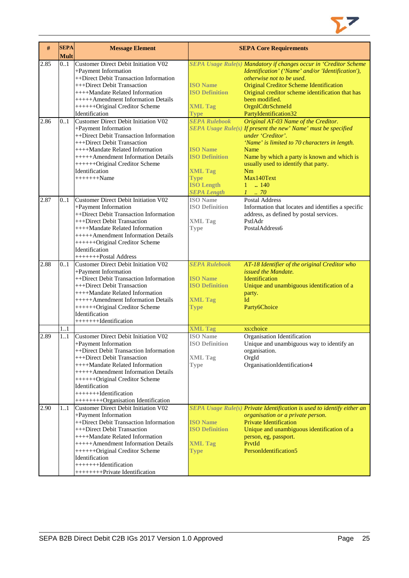

| $\#$ | <b>SEPA</b><br><b>Mult</b> | <b>Message Element</b>                                                                                                                                                                                                                                                                                                                         |                                                                                                                                                             | <b>SEPA Core Requirements</b>                                                                                                                                                                                                                                                                                                                              |
|------|----------------------------|------------------------------------------------------------------------------------------------------------------------------------------------------------------------------------------------------------------------------------------------------------------------------------------------------------------------------------------------|-------------------------------------------------------------------------------------------------------------------------------------------------------------|------------------------------------------------------------------------------------------------------------------------------------------------------------------------------------------------------------------------------------------------------------------------------------------------------------------------------------------------------------|
| 2.85 | 0.1                        | Customer Direct Debit Initiation V02<br>+Payment Information<br>++Direct Debit Transaction Information<br>+++Direct Debit Transaction<br>++++Mandate Related Information<br>+++++Amendment Information Details<br>+++++++Original Creditor Scheme                                                                                              | <b>ISO Name</b><br><b>ISO Definition</b><br><b>XML Tag</b>                                                                                                  | SEPA Usage Rule(s) Mandatory if changes occur in 'Creditor Scheme<br>Identification' ('Name' and/or 'Identification'),<br>otherwise not to be used.<br><b>Original Creditor Scheme Identification</b><br>Original creditor scheme identification that has<br>been modified.<br>OrgnlCdtrSchmeId                                                            |
| 2.86 | 0.1                        | Identification<br>Customer Direct Debit Initiation V02<br>+Payment Information<br>++Direct Debit Transaction Information<br>+++Direct Debit Transaction<br>++++Mandate Related Information<br>+++++Amendment Information Details<br>++++++Original Creditor Scheme<br>Identification<br>$+++++Name$                                            | <b>Type</b><br><b>SEPA Rulebook</b><br><b>ISO Name</b><br><b>ISO Definition</b><br><b>XML Tag</b><br><b>Type</b><br><b>ISO Length</b><br><b>SEPA Length</b> | PartyIdentification32<br>Original AT-03 Name of the Creditor.<br>SEPA Usage Rule(s) If present the new' Name' must be specified<br>under 'Creditor'.<br>'Name' is limited to 70 characters in length.<br>Name<br>Name by which a party is known and which is<br>usually used to identify that party.<br>Nm<br>Max140Text<br>$1 \t{.} 140$<br>$1 \cdot .70$ |
| 2.87 | 0.1                        | Customer Direct Debit Initiation V02<br>+Payment Information<br>++Direct Debit Transaction Information<br>+++Direct Debit Transaction<br>++++Mandate Related Information<br>+++++Amendment Information Details<br>+++++++Original Creditor Scheme<br>Identification<br>++++++++Postal Address                                                  | <b>ISO</b> Name<br><b>ISO Definition</b><br><b>XML Tag</b><br><b>Type</b>                                                                                   | <b>Postal Address</b><br>Information that locates and identifies a specific<br>address, as defined by postal services.<br>PstlAdr<br>Postal Address6                                                                                                                                                                                                       |
| 2.88 | 0.1                        | <b>Customer Direct Debit Initiation V02</b><br>+Payment Information<br>++Direct Debit Transaction Information<br>+++Direct Debit Transaction<br>++++Mandate Related Information<br>+++++Amendment Information Details<br>+++++++Original Creditor Scheme<br>Identification<br>++++++++Hdentification                                           | <b>SEPA Rulebook</b><br><b>ISO</b> Name<br><b>ISO Definition</b><br><b>XML Tag</b><br><b>Type</b>                                                           | AT-18 Identifier of the original Creditor who<br>issued the Mandate.<br>Identification<br>Unique and unambiguous identification of a<br>party.<br>Id<br>Party6Choice                                                                                                                                                                                       |
| 2.89 | 11<br>1.1                  | <b>Customer Direct Debit Initiation V02</b><br>+Payment Information<br>++Direct Debit Transaction Information<br>+++Direct Debit Transaction<br>++++Mandate Related Information<br>$+++++$ Amendment Information Details<br>++++++Original Creditor Scheme<br>Identification<br>++++++++Hdentification<br>+++++++++Organisation Identification | <b>XML Tag</b><br><b>ISO</b> Name<br><b>ISO Definition</b><br><b>XML Tag</b><br><b>Type</b>                                                                 | xs:choice<br>Organisation Identification<br>Unique and unambiguous way to identify an<br>organisation.<br>OrgId<br>OrganisationIdentification4                                                                                                                                                                                                             |
| 2.90 | 11                         | Customer Direct Debit Initiation V02<br>+Payment Information<br>++Direct Debit Transaction Information<br>+++Direct Debit Transaction<br>++++Mandate Related Information<br>+++++Amendment Information Details<br>+++++++Original Creditor Scheme<br>Identification<br>++++++++Hdentification<br>+++++++++Private Identification               | <b>ISO Name</b><br><b>ISO Definition</b><br><b>XML Tag</b><br><b>Type</b>                                                                                   | SEPA Usage Rule(s) Private Identification is used to identify either an<br>organisation or a private person.<br><b>Private Identification</b><br>Unique and unambiguous identification of a<br>person, eg, passport.<br>PrvtId<br>PersonIdentification5                                                                                                    |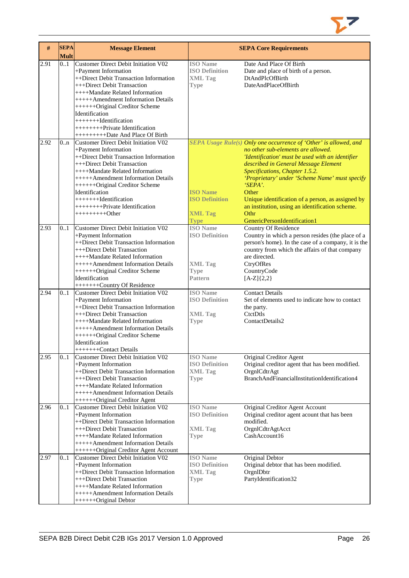

| #    | <b>SEPA</b><br><b>Mult</b> | <b>Message Element</b>                                                      |                                          | <b>SEPA Core Requirements</b>                                                                            |
|------|----------------------------|-----------------------------------------------------------------------------|------------------------------------------|----------------------------------------------------------------------------------------------------------|
| 2.91 | 0.1                        | Customer Direct Debit Initiation V02<br>+Payment Information                | <b>ISO</b> Name<br><b>ISO Definition</b> | Date And Place Of Birth<br>Date and place of birth of a person.                                          |
|      |                            | ++Direct Debit Transaction Information                                      | <b>XML Tag</b>                           | DtAndPlcOfBirth                                                                                          |
|      |                            | +++Direct Debit Transaction                                                 | <b>Type</b>                              | DateAndPlaceOfBirth                                                                                      |
|      |                            | ++++Mandate Related Information                                             |                                          |                                                                                                          |
|      |                            | +++++Amendment Information Details                                          |                                          |                                                                                                          |
|      |                            | ++++++Original Creditor Scheme<br>Identification                            |                                          |                                                                                                          |
|      |                            | $+++++Id$ entification                                                      |                                          |                                                                                                          |
|      |                            | +++++++++Private Identification                                             |                                          |                                                                                                          |
|      |                            | +++++++++++Date And Place Of Birth                                          |                                          |                                                                                                          |
| 2.92 | 0.n                        | Customer Direct Debit Initiation V02                                        |                                          | SEPA Usage Rule(s) Only one occurrence of 'Other' is allowed, and                                        |
|      |                            | +Payment Information                                                        |                                          | no other sub-elements are allowed.                                                                       |
|      |                            | ++Direct Debit Transaction Information                                      |                                          | 'Identification' must be used with an identifier                                                         |
|      |                            | +++Direct Debit Transaction                                                 |                                          | described in General Message Element                                                                     |
|      |                            | ++++Mandate Related Information<br>+++++Amendment Information Details       |                                          | Specifications, Chapter 1.5.2.<br>'Proprietary' under 'Scheme Name' must specify                         |
|      |                            | +++++++Original Creditor Scheme                                             |                                          | $SEPA$ .                                                                                                 |
|      |                            | Identification                                                              | <b>ISO Name</b>                          | Other                                                                                                    |
|      |                            | ++++++++Hdentification                                                      | <b>ISO Definition</b>                    | Unique identification of a person, as assigned by                                                        |
|      |                            | +++++++++Private Identification                                             |                                          | an institution, using an identification scheme.                                                          |
|      |                            | $+++++++Other$                                                              | <b>XML Tag</b>                           | Othr                                                                                                     |
|      |                            |                                                                             | <b>Type</b>                              | GenericPersonIdentification1                                                                             |
| 2.93 | 01                         | Customer Direct Debit Initiation V02                                        | <b>ISO</b> Name<br><b>ISO Definition</b> | <b>Country Of Residence</b>                                                                              |
|      |                            | +Payment Information<br>++Direct Debit Transaction Information              |                                          | Country in which a person resides (the place of a<br>person's home). In the case of a company, it is the |
|      |                            | +++Direct Debit Transaction                                                 |                                          | country from which the affairs of that company                                                           |
|      |                            | ++++Mandate Related Information                                             |                                          | are directed.                                                                                            |
|      |                            | +++++Amendment Information Details                                          | <b>XML Tag</b>                           | CtryOfRes                                                                                                |
|      |                            | ++++++Original Creditor Scheme                                              | <b>Type</b>                              | CountryCode                                                                                              |
|      |                            | Identification                                                              | Pattern                                  | $[A-Z]\{2,2\}$                                                                                           |
|      |                            | ++++++++Country Of Residence<br><b>Customer Direct Debit Initiation V02</b> |                                          | <b>Contact Details</b>                                                                                   |
| 2.94 | 0.1                        | +Payment Information                                                        | <b>ISO</b> Name<br><b>ISO Definition</b> | Set of elements used to indicate how to contact                                                          |
|      |                            | ++Direct Debit Transaction Information                                      |                                          | the party.                                                                                               |
|      |                            | +++Direct Debit Transaction                                                 | <b>XML Tag</b>                           | CtctDtls                                                                                                 |
|      |                            | ++++Mandate Related Information                                             | <b>Type</b>                              | ContactDetails2                                                                                          |
|      |                            | +++++Amendment Information Details                                          |                                          |                                                                                                          |
|      |                            | +++++++Original Creditor Scheme                                             |                                          |                                                                                                          |
|      |                            | Identification                                                              |                                          |                                                                                                          |
| 2.95 | 0.1                        | +++++++Contact Details<br>Customer Direct Debit Initiation V02              | <b>ISO</b> Name                          | <b>Original Creditor Agent</b>                                                                           |
|      |                            | +Payment Information                                                        | <b>ISO Definition</b>                    | Original creditor agent that has been modified.                                                          |
|      |                            | ++Direct Debit Transaction Information                                      | <b>XML Tag</b>                           | OrgnlCdtrAgt                                                                                             |
|      |                            | +++Direct Debit Transaction                                                 | <b>Type</b>                              | BranchAndFinancialInstitutionIdentification4                                                             |
|      |                            | ++++Mandate Related Information                                             |                                          |                                                                                                          |
|      |                            | +++++Amendment Information Details                                          |                                          |                                                                                                          |
|      |                            | +++++++Original Creditor Agent                                              |                                          |                                                                                                          |
| 2.96 | 01                         | Customer Direct Debit Initiation V02                                        | <b>ISO</b> Name<br><b>ISO Definition</b> | Original Creditor Agent Account                                                                          |
|      |                            | +Payment Information<br>++Direct Debit Transaction Information              |                                          | Original creditor agent acount that has been<br>modified.                                                |
|      |                            | +++Direct Debit Transaction                                                 | <b>XML Tag</b>                           | OrgnlCdtrAgtAcct                                                                                         |
|      |                            | ++++Mandate Related Information                                             | <b>Type</b>                              | CashAccount16                                                                                            |
|      |                            | +++++Amendment Information Details                                          |                                          |                                                                                                          |
|      |                            | +++++++Original Creditor Agent Account                                      |                                          |                                                                                                          |
| 2.97 | 0.1                        | Customer Direct Debit Initiation V02                                        | <b>ISO</b> Name                          | Original Debtor                                                                                          |
|      |                            | +Payment Information                                                        | <b>ISO Definition</b>                    | Original debtor that has been modified.                                                                  |
|      |                            | ++Direct Debit Transaction Information<br>+++Direct Debit Transaction       | <b>XML Tag</b>                           | OrgnlDbtr<br>PartyIdentification32                                                                       |
|      |                            | ++++Mandate Related Information                                             | <b>Type</b>                              |                                                                                                          |
|      |                            | +++++Amendment Information Details                                          |                                          |                                                                                                          |
|      |                            | +++++++Original Debtor                                                      |                                          |                                                                                                          |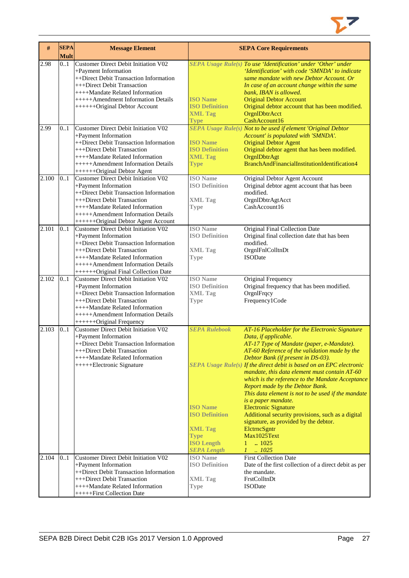

| $\#$  | <b>SEPA</b><br><b>Mult</b> | <b>Message Element</b>                                                                                                                                                                                                                                        |                                                                                                                                              | <b>SEPA Core Requirements</b>                                                                                                                                                                                                                                                                                                                                                                                                                                                                                                                                                                                                                                                                                       |
|-------|----------------------------|---------------------------------------------------------------------------------------------------------------------------------------------------------------------------------------------------------------------------------------------------------------|----------------------------------------------------------------------------------------------------------------------------------------------|---------------------------------------------------------------------------------------------------------------------------------------------------------------------------------------------------------------------------------------------------------------------------------------------------------------------------------------------------------------------------------------------------------------------------------------------------------------------------------------------------------------------------------------------------------------------------------------------------------------------------------------------------------------------------------------------------------------------|
| 2.98  | 0.1                        | <b>Customer Direct Debit Initiation V02</b><br>+Payment Information<br>++Direct Debit Transaction Information<br>+++Direct Debit Transaction<br>++++Mandate Related Information<br>+++++Amendment Information Details<br>+++++++Original Debtor Account       | <b>ISO</b> Name<br><b>ISO Definition</b><br><b>XML Tag</b><br><b>Type</b>                                                                    | SEPA Usage Rule(s) To use 'Identification' under 'Other' under<br>'Identification' with code 'SMNDA' to indicate<br>same mandate with new Debtor Account. Or<br>In case of an account change within the same<br>bank, IBAN is allowed.<br><b>Original Debtor Account</b><br>Original debtor account that has been modified.<br>OrgnIDbtrAcct<br>CashAccount16                                                                                                                                                                                                                                                                                                                                                       |
| 2.99  | 0.1                        | Customer Direct Debit Initiation V02<br>+Payment Information<br>++Direct Debit Transaction Information<br>+++Direct Debit Transaction<br>++++Mandate Related Information<br>+++++Amendment Information Details<br>+++++++Original Debtor Agent                | <b>ISO Name</b><br><b>ISO Definition</b><br><b>XML Tag</b><br><b>Type</b>                                                                    | <b>SEPA Usage Rule(s) Not to be used if element 'Original Debtor</b><br>Account' is populated with 'SMNDA'.<br><b>Original Debtor Agent</b><br>Original debtor agent that has been modified.<br>OrgnlDbtrAgt<br>BranchAndFinancialInstitutionIdentification4                                                                                                                                                                                                                                                                                                                                                                                                                                                        |
| 2.100 | 0.1                        | Customer Direct Debit Initiation V02<br>+Payment Information<br>++Direct Debit Transaction Information<br>+++Direct Debit Transaction<br>++++Mandate Related Information<br>+++++Amendment Information Details<br>++++++Original Debtor Agent Account         | <b>ISO</b> Name<br><b>ISO Definition</b><br><b>XML Tag</b><br><b>Type</b>                                                                    | Original Debtor Agent Account<br>Original debtor agent account that has been<br>modified.<br>OrgnlDbtrAgtAcct<br>CashAccount16                                                                                                                                                                                                                                                                                                                                                                                                                                                                                                                                                                                      |
| 2.101 | 0.1                        | <b>Customer Direct Debit Initiation V02</b><br>+Payment Information<br>++Direct Debit Transaction Information<br>+++Direct Debit Transaction<br>++++Mandate Related Information<br>+++++Amendment Information Details<br>++++++Original Final Collection Date | <b>ISO</b> Name<br><b>ISO Definition</b><br><b>XML Tag</b><br><b>Type</b>                                                                    | Original Final Collection Date<br>Original final collection date that has been<br>modified.<br>OrgnlFnlColltnDt<br><b>ISODate</b>                                                                                                                                                                                                                                                                                                                                                                                                                                                                                                                                                                                   |
| 2.102 | 0.1                        | <b>Customer Direct Debit Initiation V02</b><br>+Payment Information<br>++Direct Debit Transaction Information<br>+++Direct Debit Transaction<br>++++Mandate Related Information<br>+++++Amendment Information Details<br>+++++++Original Frequency            | <b>ISO</b> Name<br><b>ISO Definition</b><br><b>XML Tag</b><br><b>Type</b>                                                                    | Original Frequency<br>Original frequency that has been modified.<br>OrgnlFrqcy<br>Frequency1Code                                                                                                                                                                                                                                                                                                                                                                                                                                                                                                                                                                                                                    |
| 2.103 | 0.1                        | <b>Customer Direct Debit Initiation V02</b><br>+Payment Information<br>++Direct Debit Transaction Information<br>+++Direct Debit Transaction<br>++++Mandate Related Information<br>+++++Electronic Signature                                                  | <b>SEPA Rulebook</b><br><b>ISO</b> Name<br><b>ISO Definition</b><br><b>XML Tag</b><br><b>Type</b><br><b>ISO Length</b><br><b>SEPA Length</b> | AT-16 Placeholder for the Electronic Signature<br>Data, if applicable.<br>AT-17 Type of Mandate (paper, e-Mandate).<br>AT-60 Reference of the validation made by the<br>Debtor Bank (if present in DS-03).<br>SEPA Usage Rule(s) If the direct debit is based on an EPC electronic<br>mandate, this data element must contain AT-60<br>which is the reference to the Mandate Acceptance<br>Report made by the Debtor Bank.<br>This data element is not to be used if the mandate<br>is a paper mandate.<br><b>Electronic Signature</b><br>Additional security provisions, such as a digital<br>signature, as provided by the debtor.<br>EletrneSgntr<br>Max1025Text<br>$\ldots$ 1025<br>1<br>$1 \quad . \quad 1025$ |
| 2.104 | 0.1                        | Customer Direct Debit Initiation V02<br>+Payment Information<br>++Direct Debit Transaction Information<br>+++Direct Debit Transaction<br>++++Mandate Related Information<br>+++++First Collection Date                                                        | <b>ISO</b> Name<br><b>ISO Definition</b><br><b>XML Tag</b><br><b>Type</b>                                                                    | <b>First Collection Date</b><br>Date of the first collection of a direct debit as per<br>the mandate.<br>FrstColltnDt<br><b>ISODate</b>                                                                                                                                                                                                                                                                                                                                                                                                                                                                                                                                                                             |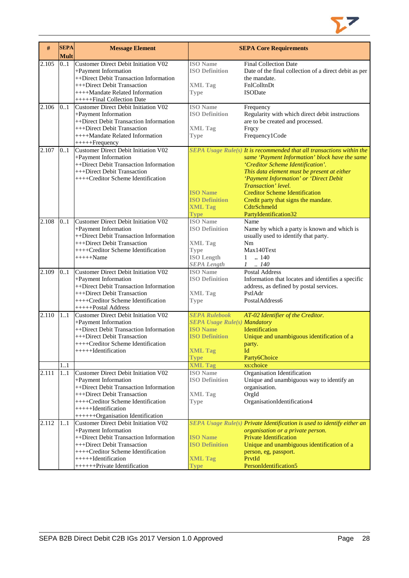

| #     | <b>SEPA</b><br>Mult | <b>Message Element</b>                                                                                                                                                                                                                   |                                                                                                                                                            | <b>SEPA Core Requirements</b>                                                                                                                                                                                                                                                                                                                                                                         |
|-------|---------------------|------------------------------------------------------------------------------------------------------------------------------------------------------------------------------------------------------------------------------------------|------------------------------------------------------------------------------------------------------------------------------------------------------------|-------------------------------------------------------------------------------------------------------------------------------------------------------------------------------------------------------------------------------------------------------------------------------------------------------------------------------------------------------------------------------------------------------|
| 2.105 | 0.1                 | Customer Direct Debit Initiation V02<br>+Payment Information<br>++Direct Debit Transaction Information<br>+++Direct Debit Transaction<br>++++Mandate Related Information<br>++++++Final Collection Date                                  | <b>ISO</b> Name<br><b>ISO Definition</b><br><b>XML Tag</b><br><b>Type</b>                                                                                  | <b>Final Collection Date</b><br>Date of the final collection of a direct debit as per<br>the mandate.<br>FnlColltnDt<br><b>ISODate</b>                                                                                                                                                                                                                                                                |
| 2.106 | 0.1                 | Customer Direct Debit Initiation V02<br>+Payment Information<br>++Direct Debit Transaction Information<br>+++Direct Debit Transaction<br>++++Mandate Related Information<br>++++++Frequency                                              | <b>ISO</b> Name<br><b>ISO Definition</b><br><b>XML Tag</b><br><b>Type</b>                                                                                  | Frequency<br>Regularity with which direct debit instructions<br>are to be created and processed.<br>Frqcy<br>Frequency1Code                                                                                                                                                                                                                                                                           |
| 2.107 | 0.1                 | Customer Direct Debit Initiation V02<br>+Payment Information<br>++Direct Debit Transaction Information<br>+++Direct Debit Transaction<br>++++Creditor Scheme Identification                                                              | <b>ISO Name</b><br><b>ISO Definition</b><br><b>XML Tag</b><br><b>Type</b>                                                                                  | SEPA Usage Rule(s) It is recommended that all transactions within the<br>same 'Payment Information' block have the same<br>'Creditor Scheme Identification'.<br>This data element must be present at either<br>'Payment Information' or 'Direct Debit<br>Transaction' level.<br><b>Creditor Scheme Identification</b><br>Credit party that signs the mandate.<br>CdtrSchmeId<br>PartyIdentification32 |
| 2.108 | 0.1                 | Customer Direct Debit Initiation V02<br>+Payment Information<br>++Direct Debit Transaction Information<br>+++Direct Debit Transaction<br>++++Creditor Scheme Identification<br>$+++++Name$                                               | <b>ISO</b> Name<br><b>ISO Definition</b><br><b>XML Tag</b><br><b>Type</b><br><b>ISO Length</b><br><b>SEPA Length</b>                                       | Name<br>Name by which a party is known and which is<br>usually used to identify that party.<br>Nm<br>Max140Text<br>$1 \quad .140$<br>$1 \t . 140$                                                                                                                                                                                                                                                     |
| 2.109 | 0.1                 | Customer Direct Debit Initiation V02<br>+Payment Information<br>++Direct Debit Transaction Information<br>+++Direct Debit Transaction<br>++++Creditor Scheme Identification<br>+++++Postal Address                                       | <b>ISO</b> Name<br><b>ISO Definition</b><br><b>XML Tag</b><br><b>Type</b>                                                                                  | <b>Postal Address</b><br>Information that locates and identifies a specific<br>address, as defined by postal services.<br>PstlAdr<br>PostalAddress6                                                                                                                                                                                                                                                   |
| 2.110 | 1.1<br>11           | Customer Direct Debit Initiation V02<br>+Payment Information<br>++Direct Debit Transaction Information<br>+++Direct Debit Transaction<br>++++Creditor Scheme Identification<br>++++++Identification                                      | <b>SEPA Rulebook</b><br><b>SEPA Usage Rule(s) Mandatory</b><br><b>ISO</b> Name<br><b>ISO Definition</b><br><b>XML Tag</b><br><b>Type</b><br><b>XML Tag</b> | AT-02 Identifier of the Creditor.<br>Identification<br>Unique and unambiguous identification of a<br>party.<br>Id<br>Party6Choice<br>xs:choice                                                                                                                                                                                                                                                        |
| 2.111 | 11                  | Customer Direct Debit Initiation V02<br>+Payment Information<br>++Direct Debit Transaction Information<br>+++Direct Debit Transaction<br>++++Creditor Scheme Identification<br>++++++Hdentification<br>++++++Organisation Identification | <b>ISO</b> Name<br><b>ISO Definition</b><br><b>XML Tag</b><br><b>Type</b>                                                                                  | Organisation Identification<br>Unique and unambiguous way to identify an<br>organisation.<br>OrgId<br>OrganisationIdentification4                                                                                                                                                                                                                                                                     |
| 2.112 | 11                  | Customer Direct Debit Initiation V02<br>+Payment Information<br>++Direct Debit Transaction Information<br>+++Direct Debit Transaction<br>++++Creditor Scheme Identification<br>++++++Hdentification<br>+++++++Private Identification     | <b>ISO Name</b><br><b>ISO Definition</b><br><b>XML Tag</b><br><b>Type</b>                                                                                  | SEPA Usage Rule(s) Private Identification is used to identify either an<br>organisation or a private person.<br><b>Private Identification</b><br>Unique and unambiguous identification of a<br>person, eg, passport.<br>PrvtId<br>PersonIdentification5                                                                                                                                               |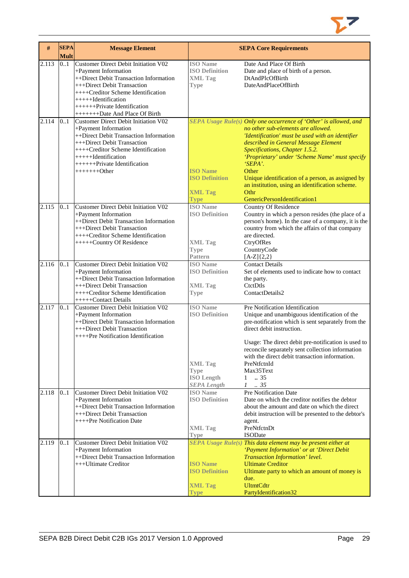

| #     | <b>SEPA</b><br><b>Mult</b> | <b>Message Element</b>                                                                                                                                                                                                                                 |                                                                                                                      | <b>SEPA Core Requirements</b>                                                                                                                                                                                                                                                                                                                                                                                                                               |
|-------|----------------------------|--------------------------------------------------------------------------------------------------------------------------------------------------------------------------------------------------------------------------------------------------------|----------------------------------------------------------------------------------------------------------------------|-------------------------------------------------------------------------------------------------------------------------------------------------------------------------------------------------------------------------------------------------------------------------------------------------------------------------------------------------------------------------------------------------------------------------------------------------------------|
| 2.113 | 0.1                        | <b>Customer Direct Debit Initiation V02</b><br>+Payment Information<br>++Direct Debit Transaction Information<br>+++Direct Debit Transaction<br>++++Creditor Scheme Identification<br>$+++++Identification$<br>$+++++$ Private Identification          | <b>ISO</b> Name<br><b>ISO Definition</b><br><b>XML Tag</b><br><b>Type</b>                                            | Date And Place Of Birth<br>Date and place of birth of a person.<br>DtAndPlcOfBirth<br>DateAndPlaceOfBirth                                                                                                                                                                                                                                                                                                                                                   |
|       |                            | ++++++++Date And Place Of Birth                                                                                                                                                                                                                        |                                                                                                                      |                                                                                                                                                                                                                                                                                                                                                                                                                                                             |
| 2.114 | 0.1                        | Customer Direct Debit Initiation V02<br>+Payment Information<br>++Direct Debit Transaction Information<br>+++Direct Debit Transaction<br>++++Creditor Scheme Identification<br>$+++++Identification$<br>$+++++$ Private Identification<br>$+++++Other$ | <b>ISO Name</b><br><b>ISO Definition</b><br><b>XML Tag</b><br><b>Type</b>                                            | SEPA Usage Rule(s) Only one occurrence of 'Other' is allowed, and<br>no other sub-elements are allowed.<br>'Identification' must be used with an identifier<br>described in General Message Element<br>Specifications, Chapter 1.5.2.<br>'Proprietary' under 'Scheme Name' must specify<br>'SEPA'.<br>Other<br>Unique identification of a person, as assigned by<br>an institution, using an identification scheme.<br>Othr<br>GenericPersonIdentification1 |
| 2.115 | 0.1                        | <b>Customer Direct Debit Initiation V02</b><br>+Payment Information<br>++Direct Debit Transaction Information<br>+++Direct Debit Transaction<br>++++Creditor Scheme Identification<br>+++++Country Of Residence                                        | <b>ISO</b> Name<br><b>ISO Definition</b><br><b>XML Tag</b><br><b>Type</b><br><b>Pattern</b>                          | <b>Country Of Residence</b><br>Country in which a person resides (the place of a<br>person's home). In the case of a company, it is the<br>country from which the affairs of that company<br>are directed.<br>CtryOfRes<br>CountryCode<br>$[A-Z]\{2,2\}$                                                                                                                                                                                                    |
| 2.116 | 0.1                        | <b>Customer Direct Debit Initiation V02</b><br>+Payment Information<br>++Direct Debit Transaction Information<br>+++Direct Debit Transaction<br>++++Creditor Scheme Identification<br>+++++Contact Details                                             | <b>ISO</b> Name<br><b>ISO Definition</b><br><b>XML Tag</b><br><b>Type</b>                                            | <b>Contact Details</b><br>Set of elements used to indicate how to contact<br>the party.<br>CtctDtls<br>ContactDetails2                                                                                                                                                                                                                                                                                                                                      |
| 2.117 | 0.1                        | <b>Customer Direct Debit Initiation V02</b><br>+Payment Information<br>++Direct Debit Transaction Information<br>+++Direct Debit Transaction<br>++++Pre Notification Identification                                                                    | <b>ISO Name</b><br><b>ISO Definition</b><br><b>XML</b> Tag<br><b>Type</b><br><b>ISO</b> Length<br><b>SEPA Length</b> | Pre Notification Identification<br>Unique and unambiguous identification of the<br>pre-notification which is sent separately from the<br>direct debit instruction.<br>Usage: The direct debit pre-notification is used to<br>reconcile separately sent collection information<br>with the direct debit transaction information.<br>PreNtfctnId<br>Max35Text<br>$\ldots$ 35<br>$\mathbf{1}$<br>$1 \t . 35$                                                   |
| 2.118 | 0.1                        | Customer Direct Debit Initiation V02<br>+Payment Information<br>++Direct Debit Transaction Information<br>+++Direct Debit Transaction<br>++++Pre Notification Date                                                                                     | <b>ISO</b> Name<br><b>ISO Definition</b><br><b>XML Tag</b><br>Type                                                   | Pre Notification Date<br>Date on which the creditor notifies the debtor<br>about the amount and date on which the direct<br>debit instruction will be presented to the debtor's<br>agent.<br>PreNtfctnDt<br><b>ISODate</b>                                                                                                                                                                                                                                  |
| 2.119 | 01                         | Customer Direct Debit Initiation V02<br>+Payment Information<br>++Direct Debit Transaction Information<br>+++Ultimate Creditor                                                                                                                         | <b>ISO Name</b><br><b>ISO Definition</b><br><b>XML Tag</b><br><b>Type</b>                                            | SEPA Usage Rule(s) This data element may be present either at<br>'Payment Information' or at 'Direct Debit<br>Transaction Information' level.<br><b>Ultimate Creditor</b><br>Ultimate party to which an amount of money is<br>due.<br><b>UltmtCdtr</b><br>PartyIdentification32                                                                                                                                                                             |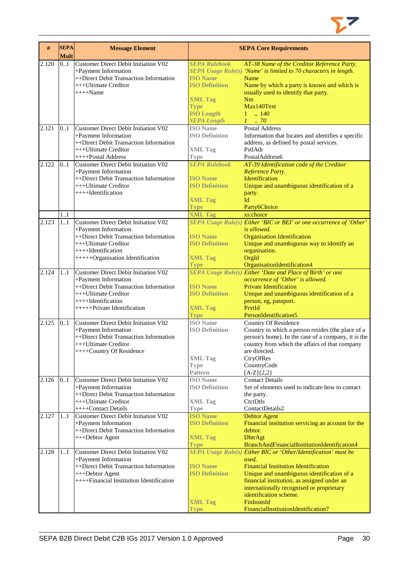

| #     | <b>SEPA</b><br><b>Mult</b> | <b>Message Element</b>                                       |                            | <b>SEPA Core Requirements</b>                                                             |
|-------|----------------------------|--------------------------------------------------------------|----------------------------|-------------------------------------------------------------------------------------------|
| 2.120 | 0.1                        | <b>Customer Direct Debit Initiation V02</b>                  | <b>SEPA Rulebook</b>       | AT-38 Name of the Creditor Reference Party.                                               |
|       |                            | +Payment Information                                         |                            | SEPA Usage Rule(s) 'Name' is limited to 70 characters in length.                          |
|       |                            | ++Direct Debit Transaction Information                       | <b>ISO Name</b>            | Name                                                                                      |
|       |                            | +++Ultimate Creditor                                         | <b>ISO Definition</b>      | Name by which a party is known and which is                                               |
|       |                            | $+++$ Name                                                   |                            | usually used to identify that party.                                                      |
|       |                            |                                                              | <b>XML Tag</b>             | Nm                                                                                        |
|       |                            |                                                              | <b>Type</b>                | Max140Text                                                                                |
|       |                            |                                                              | <b>ISO Length</b>          | $1 \t{.} 140$                                                                             |
|       |                            |                                                              | <b>SEPA Length</b>         | $1 \cdot .70$                                                                             |
| 2.121 | 0.1                        | Customer Direct Debit Initiation V02                         | <b>ISO</b> Name            | Postal Address                                                                            |
|       |                            | +Payment Information                                         | <b>ISO Definition</b>      | Information that locates and identifies a specific                                        |
|       |                            | ++Direct Debit Transaction Information                       |                            | address, as defined by postal services.                                                   |
|       |                            | +++Ultimate Creditor                                         | <b>XML Tag</b>             | PstlAdr                                                                                   |
|       |                            | ++++Postal Address                                           | <b>Type</b>                | PostalAddress6                                                                            |
| 2.122 | 0.1                        | Customer Direct Debit Initiation V02                         | <b>SEPA Rulebook</b>       | AT-39 Identification code of the Creditor                                                 |
|       |                            | +Payment Information                                         |                            | Reference Party.                                                                          |
|       |                            | ++Direct Debit Transaction Information                       | <b>ISO Name</b>            | Identification                                                                            |
|       |                            | +++Ultimate Creditor                                         | <b>ISO Definition</b>      | Unique and unambiguous identification of a                                                |
|       |                            | ++++Identification                                           |                            | party.                                                                                    |
|       |                            |                                                              | <b>XML Tag</b>             | Id                                                                                        |
|       |                            |                                                              | <b>Type</b>                | Party6Choice                                                                              |
|       | 1.1                        |                                                              | <b>XML Tag</b>             | xs:choice                                                                                 |
| 2.123 | 11                         | Customer Direct Debit Initiation V02                         |                            | SEPA Usage Rule(s) Either 'BIC or BEI' or one occurrence of 'Other'                       |
|       |                            | +Payment Information                                         |                            | is allowed.                                                                               |
|       |                            | ++Direct Debit Transaction Information                       | <b>ISO</b> Name            | <b>Organisation Identification</b>                                                        |
|       |                            | +++Ultimate Creditor                                         | <b>ISO Definition</b>      | Unique and unambiguous way to identify an                                                 |
|       |                            | ++++Identification                                           |                            | organisation.                                                                             |
|       |                            | +++++Organisation Identification                             | <b>XML Tag</b>             | OrgId                                                                                     |
| 2.124 | 11                         | Customer Direct Debit Initiation V02                         | <b>Type</b>                | OrganisationIdentification4<br>SEPA Usage Rule(s) Either 'Date and Place of Birth' or one |
|       |                            | +Payment Information                                         |                            | occurrence of 'Other' is allowed.                                                         |
|       |                            | ++Direct Debit Transaction Information                       | <b>ISO</b> Name            | <b>Private Identification</b>                                                             |
|       |                            | $+++U$ ltimate Creditor                                      | <b>ISO Definition</b>      | Unique and unambiguous identification of a                                                |
|       |                            | $++++$ Identification                                        |                            | person, eg, passport.                                                                     |
|       |                            | +++++Private Identification                                  | <b>XML Tag</b>             | PrvtId                                                                                    |
|       |                            |                                                              | <b>Type</b>                | PersonIdentification5                                                                     |
| 2.125 | 0.1                        | Customer Direct Debit Initiation V02                         | <b>ISO</b> Name            | Country Of Residence                                                                      |
|       |                            | +Payment Information                                         | <b>ISO Definition</b>      | Country in which a person resides (the place of a                                         |
|       |                            | ++Direct Debit Transaction Information                       |                            | person's home). In the case of a company, it is the                                       |
|       |                            | +++Ultimate Creditor                                         |                            | country from which the affairs of that company                                            |
|       |                            | ++++Country Of Residence                                     |                            | are directed.                                                                             |
|       |                            |                                                              | <b>XML Tag</b>             | CtryOfRes                                                                                 |
|       |                            |                                                              | Type                       | CountryCode                                                                               |
|       |                            |                                                              | Pattern<br><b>ISO</b> Name | $[A-Z]\{2,2\}$<br><b>Contact Details</b>                                                  |
| 2.126 | 0.1                        | Customer Direct Debit Initiation V02<br>+Payment Information | <b>ISO Definition</b>      | Set of elements used to indicate how to contact                                           |
|       |                            | ++Direct Debit Transaction Information                       |                            | the party.                                                                                |
|       |                            | +++Ultimate Creditor                                         | <b>XML Tag</b>             | CtctDtls                                                                                  |
|       |                            | $++++Context Details$                                        | Type                       | ContactDetails2                                                                           |
| 2.127 | 11                         | Customer Direct Debit Initiation V02                         | <b>ISO Name</b>            | <b>Debtor Agent</b>                                                                       |
|       |                            | +Payment Information                                         | <b>ISO Definition</b>      | Financial institution servicing an account for the                                        |
|       |                            | ++Direct Debit Transaction Information                       |                            | debtor.                                                                                   |
|       |                            | +++Debtor Agent                                              | <b>XML Tag</b>             | <b>DbtrAgt</b>                                                                            |
|       |                            |                                                              | <b>Type</b>                | BranchAndFinancialInstitutionIdentification4                                              |
| 2.128 | 11                         | Customer Direct Debit Initiation V02                         |                            | SEPA Usage Rule(s) Either BIC or 'Other/Identification' must be                           |
|       |                            | +Payment Information                                         |                            | used.                                                                                     |
|       |                            | ++Direct Debit Transaction Information                       | <b>ISO</b> Name            | <b>Financial Institution Identification</b>                                               |
|       |                            | +++Debtor Agent                                              | <b>ISO Definition</b>      | Unique and unambiguous identification of a                                                |
|       |                            | ++++Financial Institution Identification                     |                            | financial institution, as assigned under an                                               |
|       |                            |                                                              |                            | internationally recognised or proprietary<br>identification scheme.                       |
|       |                            |                                                              | <b>XML Tag</b>             | FinInstnId                                                                                |
|       |                            |                                                              | Type                       | FinancialInstitutionIdentification7                                                       |
|       |                            |                                                              |                            |                                                                                           |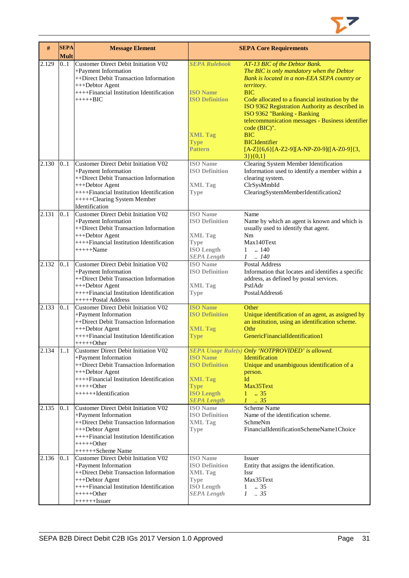

| #     | <b>SEPA</b><br><b>Mult</b> | <b>Message Element</b>                                                                                                                                                                                                 |                                                                                                                      | <b>SEPA Core Requirements</b>                                                                                                                                                                                                                                                                                                                                    |
|-------|----------------------------|------------------------------------------------------------------------------------------------------------------------------------------------------------------------------------------------------------------------|----------------------------------------------------------------------------------------------------------------------|------------------------------------------------------------------------------------------------------------------------------------------------------------------------------------------------------------------------------------------------------------------------------------------------------------------------------------------------------------------|
| 2.129 | 0.1                        | <b>Customer Direct Debit Initiation V02</b><br>+Payment Information<br>++Direct Debit Transaction Information<br>+++Debtor Agent<br>++++Financial Institution Identification<br>$+++++BIC$                             | <b>SEPA Rulebook</b><br><b>ISO</b> Name<br><b>ISO Definition</b>                                                     | AT-13 BIC of the Debtor Bank.<br>The BIC is only mandatory when the Debtor<br>Bank is located in a non-EEA SEPA country or<br>territory.<br><b>BIC</b><br>Code allocated to a financial institution by the<br>ISO 9362 Registration Authority as described in<br>ISO 9362 "Banking - Banking<br>telecommunication messages - Business identifier<br>code (BIC)". |
|       |                            |                                                                                                                                                                                                                        | <b>XML Tag</b><br><b>Type</b><br>Pattern                                                                             | <b>BIC</b><br><b>BICIdentifier</b><br>$[A-Z]\{6,6\}[A-Z2-9][A-NP-Z0-9][[A-Z0-9]\{3,$<br>$3\}$ (0,1)                                                                                                                                                                                                                                                              |
| 2.130 | 0.1                        | Customer Direct Debit Initiation V02<br>+Payment Information<br>++Direct Debit Transaction Information<br>+++Debtor Agent<br>++++Financial Institution Identification<br>+++++Clearing System Member<br>Identification | <b>ISO</b> Name<br><b>ISO Definition</b><br><b>XML Tag</b><br><b>Type</b>                                            | Clearing System Member Identification<br>Information used to identify a member within a<br>clearing system.<br>ClrSysMmbId<br>ClearingSystemMemberIdentification2                                                                                                                                                                                                |
| 2.131 | 0.1                        | Customer Direct Debit Initiation V02<br>+Payment Information<br>++Direct Debit Transaction Information<br>+++Debtor Agent<br>++++Financial Institution Identification<br>$+++++Name$                                   | <b>ISO</b> Name<br><b>ISO Definition</b><br><b>XML</b> Tag<br><b>Type</b><br><b>ISO Length</b><br><b>SEPA</b> Length | Name<br>Name by which an agent is known and which is<br>usually used to identify that agent.<br>Nm<br>Max140Text<br>$1 \quad 140$<br>$1 \t . 140$                                                                                                                                                                                                                |
| 2.132 | 0.1                        | <b>Customer Direct Debit Initiation V02</b><br>+Payment Information<br>++Direct Debit Transaction Information<br>+++Debtor Agent<br>++++Financial Institution Identification<br>+++++Postal Address                    | <b>ISO</b> Name<br><b>ISO Definition</b><br><b>XML Tag</b><br><b>Type</b>                                            | <b>Postal Address</b><br>Information that locates and identifies a specific<br>address, as defined by postal services.<br>PstlAdr<br>PostalAddress6                                                                                                                                                                                                              |
| 2.133 | 0.1                        | <b>Customer Direct Debit Initiation V02</b><br>+Payment Information<br>++Direct Debit Transaction Information<br>+++Debtor Agent<br>++++Financial Institution Identification<br>$+++++Other$                           | <b>ISO Name</b><br><b>ISO Definition</b><br><b>XML Tag</b><br>Type                                                   | Other<br>Unique identification of an agent, as assigned by<br>an institution, using an identification scheme.<br>Othr<br>GenericFinancialIdentification1                                                                                                                                                                                                         |
| 2.134 | 11                         | Customer Direct Debit Initiation V02<br>+Payment Information<br>++Direct Debit Transaction Information<br>+++Debtor Agent<br>++++Financial Institution Identification<br>$+++++Other$<br>+++++++Identification         | <b>ISO</b> Name<br><b>ISO Definition</b><br><b>XML Tag</b><br><b>Type</b><br><b>ISO Length</b><br><b>SEPA Length</b> | <b>SEPA Usage Rule(s) Only 'NOTPROVIDED' is allowed.</b><br><b>Identification</b><br>Unique and unambiguous identification of a<br>person.<br>Id<br>Max35Text<br>$1 \t . 35$<br>$1 \t35$                                                                                                                                                                         |
| 2.135 | 01                         | Customer Direct Debit Initiation V02<br>+Payment Information<br>++Direct Debit Transaction Information<br>+++Debtor Agent<br>++++Financial Institution Identification<br>$+++++Other$<br>++++++Scheme Name             | <b>ISO</b> Name<br><b>ISO Definition</b><br><b>XML Tag</b><br><b>Type</b>                                            | Scheme Name<br>Name of the identification scheme.<br>SchmeNm<br>FinancialIdentificationSchemeName1Choice                                                                                                                                                                                                                                                         |
| 2.136 | 0.1                        | Customer Direct Debit Initiation V02<br>+Payment Information<br>++Direct Debit Transaction Information<br>+++Debtor Agent<br>++++Financial Institution Identification<br>$+++++Other$<br>$+++++Issuer$                 | <b>ISO</b> Name<br><b>ISO Definition</b><br><b>XML Tag</b><br><b>Type</b><br><b>ISO Length</b><br><b>SEPA Length</b> | Issuer<br>Entity that assigns the identification.<br><b>Issr</b><br>Max35Text<br>.35<br>$\mathbf{1}$<br>.35<br>$\mathcal{I}$                                                                                                                                                                                                                                     |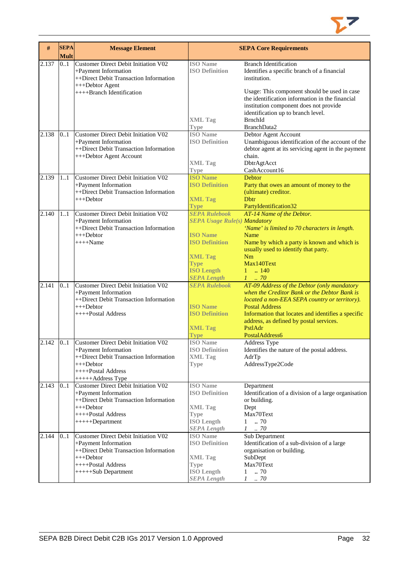

| #     | <b>SEPA</b><br><b>Mult</b> | <b>Message Element</b>                                                                                                            |                                                            | <b>SEPA Core Requirements</b>                                                                                                                                                                     |
|-------|----------------------------|-----------------------------------------------------------------------------------------------------------------------------------|------------------------------------------------------------|---------------------------------------------------------------------------------------------------------------------------------------------------------------------------------------------------|
| 2.137 | 0.1                        | Customer Direct Debit Initiation V02<br>+Payment Information<br>++Direct Debit Transaction Information<br>+++Debtor Agent         | <b>ISO</b> Name<br><b>ISO Definition</b>                   | <b>Branch Identification</b><br>Identifies a specific branch of a financial<br>institution.                                                                                                       |
|       |                            | ++++Branch Identification                                                                                                         | <b>XML Tag</b>                                             | Usage: This component should be used in case<br>the identification information in the financial<br>institution component does not provide<br>identification up to branch level.<br><b>BrnchId</b> |
| 2.138 | 0.1                        | Customer Direct Debit Initiation V02<br>+Payment Information<br>++Direct Debit Transaction Information<br>+++Debtor Agent Account | <b>Type</b><br><b>ISO</b> Name<br><b>ISO Definition</b>    | BranchData2<br>Debtor Agent Account<br>Unambiguous identification of the account of the<br>debtor agent at its servicing agent in the payment<br>chain.                                           |
|       |                            |                                                                                                                                   | <b>XML Tag</b><br><b>Type</b>                              | DbtrAgtAcct<br>CashAccount16                                                                                                                                                                      |
| 2.139 | 1.1                        | Customer Direct Debit Initiation V02<br>+Payment Information<br>++Direct Debit Transaction Information<br>+++Debtor               | <b>ISO Name</b><br><b>ISO Definition</b><br><b>XML Tag</b> | <b>Debtor</b><br>Party that owes an amount of money to the<br>(ultimate) creditor.<br><b>D</b> <sub>btr</sub>                                                                                     |
| 2.140 | 1.1                        | Customer Direct Debit Initiation V02                                                                                              | <b>Type</b><br><b>SEPA Rulebook</b>                        | PartyIdentification32<br>AT-14 Name of the Debtor.                                                                                                                                                |
|       |                            | +Payment Information<br>++Direct Debit Transaction Information<br>+++Debtor                                                       | <b>SEPA Usage Rule(s) Mandatory</b><br><b>ISO Name</b>     | 'Name' is limited to 70 characters in length.<br>Name                                                                                                                                             |
|       |                            | $+++$ Name                                                                                                                        | <b>ISO Definition</b>                                      | Name by which a party is known and which is<br>usually used to identify that party.                                                                                                               |
|       |                            |                                                                                                                                   | <b>XML Tag</b><br><b>Type</b><br><b>ISO Length</b>         | Nm<br>Max140Text<br>$1 \t  140$                                                                                                                                                                   |
| 2.141 | 0.1                        | <b>Customer Direct Debit Initiation V02</b>                                                                                       | <b>SEPA Length</b><br><b>SEPA Rulebook</b>                 | $1 \t 70$<br>AT-09 Address of the Debtor (only mandatory                                                                                                                                          |
|       |                            | +Payment Information<br>++Direct Debit Transaction Information<br>$+++Dektor$                                                     | <b>ISO Name</b>                                            | when the Creditor Bank or the Debtor Bank is<br>located a non-EEA SEPA country or territory).<br><b>Postal Address</b>                                                                            |
|       |                            | ++++Postal Address                                                                                                                | <b>ISO Definition</b>                                      | Information that locates and identifies a specific<br>address, as defined by postal services.                                                                                                     |
|       |                            |                                                                                                                                   | <b>XML Tag</b><br><b>Type</b>                              | PstlAdr<br>PostalAddress6                                                                                                                                                                         |
| 2.142 | 01                         | <b>Customer Direct Debit Initiation V02</b><br>+Payment Information<br>++Direct Debit Transaction Information                     | <b>ISO</b> Name<br><b>ISO Definition</b><br>XML Tag        | Address Type<br>Identifies the nature of the postal address.<br>AdrTp                                                                                                                             |
|       |                            | $+++$ Debtor<br>++++Postal Address<br>+++++Address Type                                                                           | <b>Type</b>                                                | AddressType2Code                                                                                                                                                                                  |
| 2.143 | 0.1                        | <b>Customer Direct Debit Initiation V02</b><br>+Payment Information<br>++Direct Debit Transaction Information                     | <b>ISO Name</b><br><b>ISO Definition</b>                   | Department<br>Identification of a division of a large organisation<br>or building.                                                                                                                |
|       |                            | $+++$ Debtor<br>++++Postal Address<br>+++++Department                                                                             | <b>XML Tag</b><br><b>Type</b><br><b>ISO Length</b>         | Dept<br>Max70Text<br>.70<br>1                                                                                                                                                                     |
| 2.144 | 01                         | Customer Direct Debit Initiation V02                                                                                              | <b>SEPA Length</b><br><b>ISO Name</b>                      | $1 \t . 70$<br>Sub Department                                                                                                                                                                     |
|       |                            | +Payment Information<br>++Direct Debit Transaction Information<br>+++Debtor                                                       | <b>ISO Definition</b><br><b>XML Tag</b>                    | Identification of a sub-division of a large<br>organisation or building.<br>SubDept                                                                                                               |
|       |                            | ++++Postal Address<br>$+++++Sub Department$                                                                                       | <b>Type</b><br><b>ISO Length</b>                           | Max70Text<br>70<br>1                                                                                                                                                                              |
|       |                            |                                                                                                                                   | <b>SEPA Length</b>                                         | $1 \quad .70$                                                                                                                                                                                     |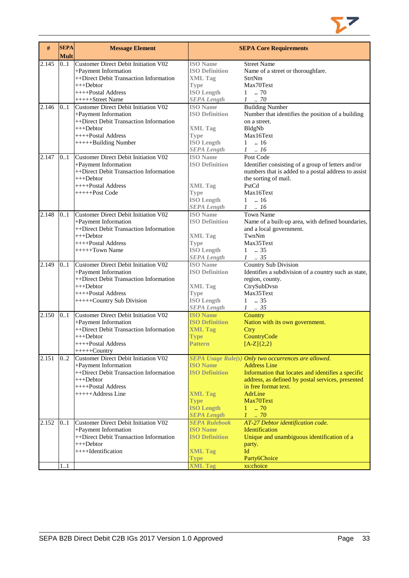

| #     | <b>SEPA</b><br><b>Mult</b> | <b>Message Element</b>                                                                                                                                                    |                                                                                                                      | <b>SEPA Core Requirements</b>                                                                                                                                                                                                                                                      |
|-------|----------------------------|---------------------------------------------------------------------------------------------------------------------------------------------------------------------------|----------------------------------------------------------------------------------------------------------------------|------------------------------------------------------------------------------------------------------------------------------------------------------------------------------------------------------------------------------------------------------------------------------------|
| 2.145 | 0.1                        | Customer Direct Debit Initiation V02<br>+Payment Information<br>++Direct Debit Transaction Information<br>$+++$ Debtor<br>++++Postal Address<br>+++++Street Name          | <b>ISO</b> Name<br><b>ISO Definition</b><br><b>XML</b> Tag<br><b>Type</b><br><b>ISO Length</b><br><b>SEPA Length</b> | <b>Street Name</b><br>Name of a street or thoroughfare.<br>StrtNm<br>Max70Text<br>$1 \t . 70$<br>$1 \t . 70$                                                                                                                                                                       |
| 2.146 | 0.1                        | Customer Direct Debit Initiation V02<br>+Payment Information<br>++Direct Debit Transaction Information<br>+++Debtor<br>$++++$ Postal Address<br>+++++Building Number      | <b>ISO</b> Name<br><b>ISO Definition</b><br><b>XML Tag</b><br><b>Type</b><br><b>ISO Length</b><br><b>SEPA Length</b> | <b>Building Number</b><br>Number that identifies the position of a building<br>on a street.<br>BldgNb<br>Max16Text<br>$1 \t . 16$<br>$1 \quad .16$                                                                                                                                 |
| 2.147 | 0.1                        | Customer Direct Debit Initiation V02<br>+Payment Information<br>++Direct Debit Transaction Information<br>$+++Dektor$<br>$++++$ Postal Address<br>+++++Post Code          | <b>ISO</b> Name<br><b>ISO Definition</b><br><b>XML Tag</b><br><b>Type</b><br><b>ISO Length</b><br><b>SEPA Length</b> | Post Code<br>Identifier consisting of a group of letters and/or<br>numbers that is added to a postal address to assist<br>the sorting of mail.<br>PstCd<br>Max16Text<br>$1 \t . 16$<br>$1 \ldots 16$                                                                               |
| 2.148 | 0.1                        | Customer Direct Debit Initiation V02<br>+Payment Information<br>++Direct Debit Transaction Information<br>$+++$ Debtor<br>++++Postal Address<br>$+++++Town Name$          | <b>ISO</b> Name<br><b>ISO Definition</b><br><b>XML Tag</b><br><b>Type</b><br><b>ISO</b> Length<br><b>SEPA Length</b> | <b>Town Name</b><br>Name of a built-up area, with defined boundaries,<br>and a local government.<br>TwnNm<br>Max35Text<br>$1 \t . 35$<br>$1 \t . 35$                                                                                                                               |
| 2.149 | 0.1                        | Customer Direct Debit Initiation V02<br>+Payment Information<br>++Direct Debit Transaction Information<br>$+++$ Debtor<br>++++Postal Address<br>+++++Country Sub Division | <b>ISO</b> Name<br><b>ISO Definition</b><br><b>XML Tag</b><br><b>Type</b><br><b>ISO Length</b><br><b>SEPA Length</b> | Country Sub Division<br>Identifies a subdivision of a country such as state,<br>region, county.<br>CtrySubDvsn<br>Max35Text<br>$\ldots$ 35<br>$\mathbf{1}$<br>$1 \t . 35$                                                                                                          |
| 2.150 | 0.1                        | <b>Customer Direct Debit Initiation V02</b><br>+Payment Information<br>++Direct Debit Transaction Information<br>+++Debtor<br>++++Postal Address<br>$++++$ Country        | <b>ISO Name</b><br><b>ISO Definition</b><br><b>XML Tag</b><br><b>Type</b><br><b>Pattern</b>                          | Country<br>Nation with its own government.<br>Ctry<br>CountryCode<br>$[A-Z](2,2)$                                                                                                                                                                                                  |
| 2.151 | 0.2                        | Customer Direct Debit Initiation V02<br>+Payment Information<br>++Direct Debit Transaction Information<br>$++$ Debtor<br>++++Postal Address<br>+++++Address Line          | <b>ISO Name</b><br><b>ISO Definition</b><br><b>XML Tag</b><br><b>Type</b><br><b>ISO Length</b><br><b>SEPA Length</b> | SEPA Usage Rule(s) Only two occurrences are allowed.<br><b>Address Line</b><br>Information that locates and identifies a specific<br>address, as defined by postal services, presented<br>in free format text.<br><b>AdrLine</b><br>Max70Text<br>$1 - .70$<br>I<br>$\therefore 70$ |
| 2.152 | 0.1<br>11                  | Customer Direct Debit Initiation V02<br>+Payment Information<br>++Direct Debit Transaction Information<br>$+++Dektor$<br>$++++$ Identification                            | <b>SEPA Rulebook</b><br><b>ISO Name</b><br><b>ISO Definition</b><br><b>XML Tag</b><br><b>Type</b><br><b>XML Tag</b>  | AT-27 Debtor identification code.<br>Identification<br>Unique and unambiguous identification of a<br>party.<br>Id<br>Party6Choice<br>xs:choice                                                                                                                                     |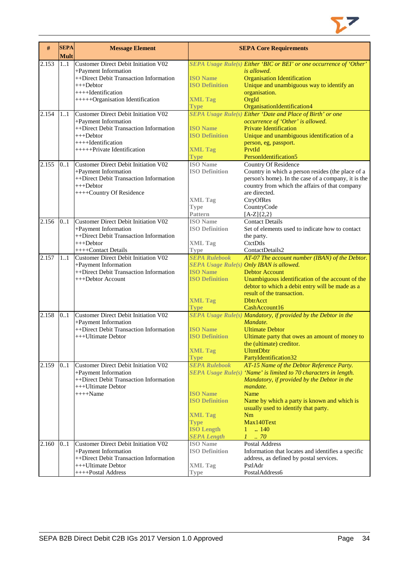

| #     | <b>SEPA</b><br><b>Mult</b> | <b>Message Element</b>                                                                                                                                                          |                                                                                                                                              | <b>SEPA Core Requirements</b>                                                                                                                                                                                                                                                                                                 |
|-------|----------------------------|---------------------------------------------------------------------------------------------------------------------------------------------------------------------------------|----------------------------------------------------------------------------------------------------------------------------------------------|-------------------------------------------------------------------------------------------------------------------------------------------------------------------------------------------------------------------------------------------------------------------------------------------------------------------------------|
| 2.153 | 1.1                        | Customer Direct Debit Initiation V02<br>+Payment Information<br>++Direct Debit Transaction Information<br>$++$ Debtor<br>++++Identification<br>+++++Organisation Identification | <b>ISO Name</b><br><b>ISO Definition</b><br><b>XML Tag</b><br><b>Type</b>                                                                    | SEPA Usage Rule(s) Either 'BIC or BEI' or one occurrence of 'Other'<br>is allowed.<br><b>Organisation Identification</b><br>Unique and unambiguous way to identify an<br>organisation.<br>OrgId<br>OrganisationIdentification4                                                                                                |
| 2.154 | 1.1                        | Customer Direct Debit Initiation V02<br>+Payment Information<br>++Direct Debit Transaction Information<br>$++$ Debtor<br>$++++$ Identification<br>++++++Private Identification  | <b>ISO</b> Name<br><b>ISO Definition</b><br><b>XML Tag</b><br><b>Type</b>                                                                    | <b>SEPA Usage Rule(s) Either 'Date and Place of Birth' or one</b><br>occurrence of 'Other' is allowed.<br><b>Private Identification</b><br>Unique and unambiguous identification of a<br>person, eg, passport.<br>PrvtId<br>PersonIdentification5                                                                             |
| 2.155 | 0.1                        | Customer Direct Debit Initiation V02<br>+Payment Information<br>++Direct Debit Transaction Information<br>$+++$ Debtor<br>++++Country Of Residence                              | <b>ISO</b> Name<br><b>ISO Definition</b><br><b>XML Tag</b><br><b>Type</b><br>Pattern                                                         | Country Of Residence<br>Country in which a person resides (the place of a<br>person's home). In the case of a company, it is the<br>country from which the affairs of that company<br>are directed.<br>CtryOfRes<br>CountryCode<br>$[A-Z]{2,2}$                                                                               |
| 2.156 | 0.1                        | Customer Direct Debit Initiation V02<br>+Payment Information<br>++Direct Debit Transaction Information<br>$+++Dektor$<br>++++Contact Details                                    | <b>ISO</b> Name<br><b>ISO Definition</b><br><b>XML Tag</b><br><b>Type</b>                                                                    | <b>Contact Details</b><br>Set of elements used to indicate how to contact<br>the party.<br>CtctDtls<br>ContactDetails2                                                                                                                                                                                                        |
| 2.157 | 1.1                        | <b>Customer Direct Debit Initiation V02</b><br>+Payment Information<br>++Direct Debit Transaction Information<br>+++Debtor Account                                              | <b>SEPA Rulebook</b><br><b>ISO</b> Name<br><b>ISO Definition</b><br><b>XML Tag</b><br><b>Type</b>                                            | AT-07 The account number (IBAN) of the Debtor.<br>SEPA Usage Rule(s) Only IBAN is allowed.<br><b>Debtor Account</b><br>Unambiguous identification of the account of the<br>debtor to which a debit entry will be made as a<br>result of the transaction.<br><b>DhtrAcct</b><br>CashAccount16                                  |
| 2.158 | 0.1                        | <b>Customer Direct Debit Initiation V02</b><br>+Payment Information<br>++Direct Debit Transaction Information<br>+++Ultimate Debtor                                             | <b>ISO Name</b><br><b>ISO Definition</b><br><b>XML Tag</b><br><b>Type</b>                                                                    | SEPA Usage Rule(s) Mandatory, if provided by the Debtor in the<br>Mandate.<br><b>Ultimate Debtor</b><br>Ultimate party that owes an amount of money to<br>the (ultimate) creditor.<br><b>UltmtDbtr</b><br>PartyIdentification32                                                                                               |
| 2.159 | 0.1                        | Customer Direct Debit Initiation V02<br>+Payment Information<br>++Direct Debit Transaction Information<br>+++Ultimate Debtor<br>$++++$ Name                                     | <b>SEPA Rulebook</b><br><b>ISO Name</b><br><b>ISO Definition</b><br><b>XML Tag</b><br><b>Type</b><br><b>ISO Length</b><br><b>SEPA Length</b> | AT-15 Name of the Debtor Reference Party.<br>SEPA Usage $Rule(s)$ 'Name' is limited to 70 characters in length.<br>Mandatory, if provided by the Debtor in the<br>mandate.<br>Name<br>Name by which a party is known and which is<br>usually used to identify that party.<br>Nm<br>Max140Text<br>$1 \t . 140$<br>$1 \dots 70$ |
| 2.160 | 0.1                        | Customer Direct Debit Initiation V02<br>+Payment Information<br>++Direct Debit Transaction Information<br>+++Ultimate Debtor<br>++++Postal Address                              | <b>ISO</b> Name<br><b>ISO Definition</b><br><b>XML</b> Tag<br><b>Type</b>                                                                    | <b>Postal Address</b><br>Information that locates and identifies a specific<br>address, as defined by postal services.<br>PstlAdr<br>PostalAddress6                                                                                                                                                                           |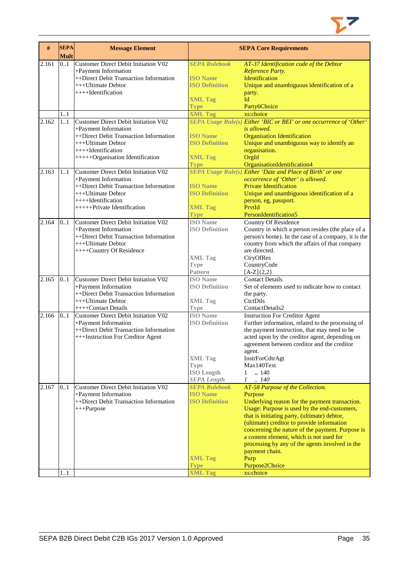

| #     | <b>SEPA</b><br><b>Mult</b> | <b>Message Element</b>                                          |                                | <b>SEPA Core Requirements</b>                                                                |
|-------|----------------------------|-----------------------------------------------------------------|--------------------------------|----------------------------------------------------------------------------------------------|
| 2.161 | 0.1                        | Customer Direct Debit Initiation V02                            | <b>SEPA Rulebook</b>           | AT-37 Identification code of the Debtor                                                      |
|       |                            | +Payment Information                                            | <b>ISO Name</b>                | Reference Party.                                                                             |
|       |                            | ++Direct Debit Transaction Information<br>$+++$ Ultimate Debtor | <b>ISO Definition</b>          | Identification<br>Unique and unambiguous identification of a                                 |
|       |                            | $+++$ <b>I</b> dentification                                    |                                | party.                                                                                       |
|       |                            |                                                                 | <b>XML Tag</b>                 | Id                                                                                           |
|       |                            |                                                                 | <b>Type</b>                    | Party6Choice                                                                                 |
|       | 1.1                        |                                                                 | <b>XML Tag</b>                 | xs:choice                                                                                    |
| 2.162 | 1.1                        | Customer Direct Debit Initiation V02                            |                                | SEPA Usage Rule(s) Either 'BIC or BEI' or one occurrence of 'Other'                          |
|       |                            | +Payment Information                                            |                                | is allowed.                                                                                  |
|       |                            | ++Direct Debit Transaction Information                          | <b>ISO</b> Name                | <b>Organisation Identification</b>                                                           |
|       |                            | +++Ultimate Debtor                                              | <b>ISO Definition</b>          | Unique and unambiguous way to identify an                                                    |
|       |                            | $+++$ -Identification                                           |                                | organisation.                                                                                |
|       |                            | +++++Organisation Identification                                | <b>XML Tag</b>                 | OrgId                                                                                        |
|       |                            |                                                                 | <b>Type</b>                    | OrganisationIdentification4                                                                  |
| 2.163 | 11                         | Customer Direct Debit Initiation V02                            |                                | SEPA Usage Rule(s) Either 'Date and Place of Birth' or one                                   |
|       |                            | +Payment Information                                            |                                | occurrence of 'Other' is allowed.                                                            |
|       |                            | ++Direct Debit Transaction Information                          | <b>ISO Name</b>                | <b>Private Identification</b>                                                                |
|       |                            | +++Ultimate Debtor<br>$+++$ Identification                      | <b>ISO Definition</b>          | Unique and unambiguous identification of a                                                   |
|       |                            | +++++Private Identification                                     | <b>XML Tag</b>                 | person, eg, passport.<br>PrvtId                                                              |
|       |                            |                                                                 | <b>Type</b>                    | PersonIdentification5                                                                        |
| 2.164 | 0.1                        | Customer Direct Debit Initiation V02                            | <b>ISO</b> Name                | <b>Country Of Residence</b>                                                                  |
|       |                            | +Payment Information                                            | <b>ISO Definition</b>          | Country in which a person resides (the place of a                                            |
|       |                            | ++Direct Debit Transaction Information                          |                                | person's home). In the case of a company, it is the                                          |
|       |                            | +++Ultimate Debtor                                              |                                | country from which the affairs of that company                                               |
|       |                            | ++++Country Of Residence                                        |                                | are directed.                                                                                |
|       |                            |                                                                 | <b>XML Tag</b>                 | CtryOfRes                                                                                    |
|       |                            |                                                                 | <b>Type</b>                    | CountryCode                                                                                  |
|       |                            |                                                                 | <b>Pattern</b>                 | $[A-Z]\{2,2\}$                                                                               |
| 2.165 | 0.1                        | Customer Direct Debit Initiation V02                            | <b>ISO</b> Name                | <b>Contact Details</b>                                                                       |
|       |                            | +Payment Information                                            | <b>ISO Definition</b>          | Set of elements used to indicate how to contact                                              |
|       |                            | ++Direct Debit Transaction Information                          |                                | the party.                                                                                   |
|       |                            | +++Ultimate Debtor                                              | <b>XML Tag</b>                 | CtctDtls                                                                                     |
|       |                            | ++++Contact Details                                             | <b>Type</b><br><b>ISO</b> Name | ContactDetails2                                                                              |
| 2.166 | 0.1                        | Customer Direct Debit Initiation V02<br>+Payment Information    | <b>ISO Definition</b>          | <b>Instruction For Creditor Agent</b><br>Further information, related to the processing of   |
|       |                            | ++Direct Debit Transaction Information                          |                                | the payment instruction, that may need to be                                                 |
|       |                            | +++Instruction For Creditor Agent                               |                                | acted upon by the creditor agent, depending on                                               |
|       |                            |                                                                 |                                | agreement between creditor and the creditor                                                  |
|       |                            |                                                                 |                                | agent.                                                                                       |
|       |                            |                                                                 | <b>XML Tag</b>                 | InstrForCdtrAgt                                                                              |
|       |                            |                                                                 | <b>Type</b>                    | Max140Text                                                                                   |
|       |                            |                                                                 | <b>ISO Length</b>              | .140<br>$\mathbf{1}$                                                                         |
|       |                            |                                                                 | <b>SEPA Length</b>             | .140<br>$\mathcal{I}$                                                                        |
| 2.167 | 0.1                        | Customer Direct Debit Initiation V02                            | <b>SEPA Rulebook</b>           | AT-58 Purpose of the Collection.                                                             |
|       |                            | +Payment Information                                            | <b>ISO Name</b>                | Purpose                                                                                      |
|       |                            | ++Direct Debit Transaction Information                          | <b>ISO Definition</b>          | Underlying reason for the payment transaction.                                               |
|       |                            | +++Purpose                                                      |                                | Usage: Purpose is used by the end-customers,                                                 |
|       |                            |                                                                 |                                | that is initiating party, (ultimate) debtor,                                                 |
|       |                            |                                                                 |                                | (ultimate) creditor to provide information                                                   |
|       |                            |                                                                 |                                | concerning the nature of the payment. Purpose is<br>a content element, which is not used for |
|       |                            |                                                                 |                                | processing by any of the agents involved in the                                              |
|       |                            |                                                                 |                                | payment chain.                                                                               |
|       |                            |                                                                 | <b>XML Tag</b>                 | Purp                                                                                         |
|       |                            |                                                                 | <b>Type</b>                    | Purpose2Choice                                                                               |
|       | $\overline{1}$ 1           |                                                                 | <b>XML Tag</b>                 | xs:choice                                                                                    |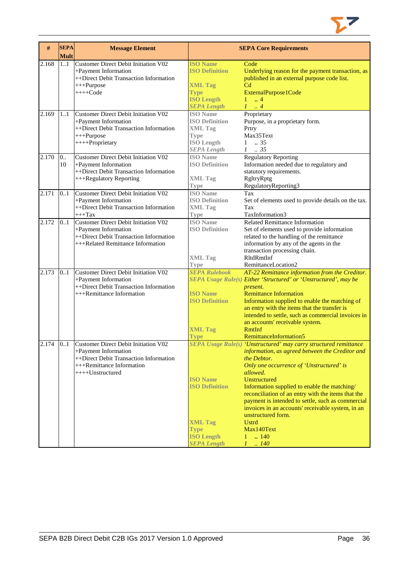

| #     | <b>SEPA</b><br><b>Mult</b> | <b>Message Element</b>                                                                                                                                  |                                                                                                                      | <b>SEPA Core Requirements</b>                                                                                                                                                                                                                                                                                                                                                                                                                                                                                         |
|-------|----------------------------|---------------------------------------------------------------------------------------------------------------------------------------------------------|----------------------------------------------------------------------------------------------------------------------|-----------------------------------------------------------------------------------------------------------------------------------------------------------------------------------------------------------------------------------------------------------------------------------------------------------------------------------------------------------------------------------------------------------------------------------------------------------------------------------------------------------------------|
| 2.168 | 1.1                        | Customer Direct Debit Initiation V02<br>+Payment Information<br>++Direct Debit Transaction Information<br>$+++P$ urpose<br>$+++Code$                    | <b>ISO Name</b><br><b>ISO Definition</b><br><b>XML Tag</b><br><b>Type</b><br><b>ISO Length</b><br><b>SEPA Length</b> | Code<br>Underlying reason for the payment transaction, as<br>published in an external purpose code list.<br>C <sub>d</sub><br>ExternalPurpose1Code<br>$1 \t . 4$<br>$1 \ldots 4$                                                                                                                                                                                                                                                                                                                                      |
| 2.169 | 1.1                        | Customer Direct Debit Initiation V02<br>+Payment Information<br>++Direct Debit Transaction Information<br>$+++P$ urpose<br>++++Proprietary              | <b>ISO</b> Name<br><b>ISO Definition</b><br><b>XML Tag</b><br><b>Type</b><br><b>ISO</b> Length<br><b>SEPA Length</b> | Proprietary<br>Purpose, in a proprietary form.<br>Prtry<br>Max35Text<br>.35<br>1<br>$1 \t . 35$                                                                                                                                                                                                                                                                                                                                                                                                                       |
| 2.170 | 0.<br>10                   | <b>Customer Direct Debit Initiation V02</b><br>+Payment Information<br>++Direct Debit Transaction Information<br>+++Regulatory Reporting                | <b>ISO</b> Name<br><b>ISO Definition</b><br><b>XML</b> Tag<br><b>Type</b>                                            | <b>Regulatory Reporting</b><br>Information needed due to regulatory and<br>statutory requirements.<br>RgltryRptg<br>RegulatoryReporting3                                                                                                                                                                                                                                                                                                                                                                              |
| 2.171 | 0.1                        | <b>Customer Direct Debit Initiation V02</b><br>+Payment Information<br>++Direct Debit Transaction Information<br>$+++$ Tax                              | <b>ISO</b> Name<br><b>ISO Definition</b><br><b>XML Tag</b><br><b>Type</b>                                            | Tax<br>Set of elements used to provide details on the tax.<br>Tax<br>TaxInformation3                                                                                                                                                                                                                                                                                                                                                                                                                                  |
| 2.172 | 0.1                        | Customer Direct Debit Initiation V02<br>+Payment Information<br>++Direct Debit Transaction Information<br>+++Related Remittance Information             | <b>ISO</b> Name<br><b>ISO Definition</b><br><b>XML Tag</b><br><b>Type</b>                                            | <b>Related Remittance Information</b><br>Set of elements used to provide information<br>related to the handling of the remittance<br>information by any of the agents in the<br>transaction processing chain.<br>RltdRmtInf<br>RemittanceLocation2                                                                                                                                                                                                                                                                    |
| 2.173 | 0.1                        | <b>Customer Direct Debit Initiation V02</b><br>+Payment Information<br>++Direct Debit Transaction Information<br>+++Remittance Information              | <b>SEPA Rulebook</b><br><b>ISO Name</b><br><b>ISO Definition</b><br><b>XML Tag</b><br><b>Type</b>                    | AT-22 Remittance information from the Creditor.<br>SEPA Usage Rule(s) Either 'Structured' or 'Unstructured', may be<br>present.<br><b>Remittance Information</b><br>Information supplied to enable the matching of<br>an entry with the items that the transfer is<br>intended to settle, such as commercial invoices in<br>an accounts' receivable system.<br>RmtInf<br>RemittanceInformation5                                                                                                                       |
| 2.174 | 01                         | Customer Direct Debit Initiation V02<br>+Payment Information<br>++Direct Debit Transaction Information<br>+++Remittance Information<br>++++Unstructured | <b>ISO Name</b><br><b>ISO Definition</b><br><b>XML Tag</b><br><b>Type</b><br><b>ISO Length</b><br><b>SEPA Length</b> | SEPA Usage Rule(s) 'Unstructured' may carry structured remittance<br>information, as agreed between the Creditor and<br>the Debtor.<br>Only one occurrence of 'Unstructured' is<br>allowed.<br>Unstructured<br>Information supplied to enable the matching/<br>reconciliation of an entry with the items that the<br>payment is intended to settle, such as commercial<br>invoices in an accounts' receivable system, in an<br>unstructured form.<br><b>Ustrd</b><br>Max140Text<br>.140<br>1<br>$\mathcal{I}$<br>.140 |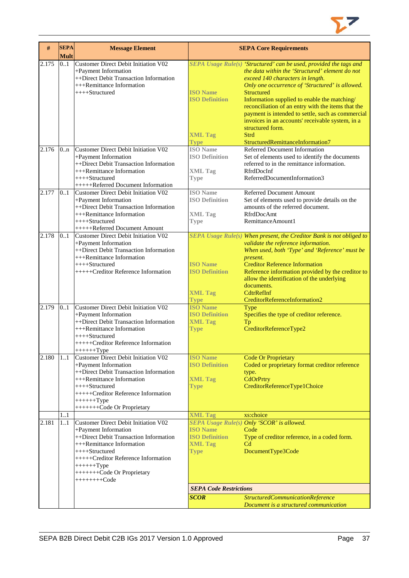

| #     | <b>SEPA</b><br><b>Mult</b> | <b>Message Element</b>                                                                                                                                                                                                                                       |                                                                           | <b>SEPA Core Requirements</b>                                                                                                                                                                                                                                                                                                                                                                                                                                        |
|-------|----------------------------|--------------------------------------------------------------------------------------------------------------------------------------------------------------------------------------------------------------------------------------------------------------|---------------------------------------------------------------------------|----------------------------------------------------------------------------------------------------------------------------------------------------------------------------------------------------------------------------------------------------------------------------------------------------------------------------------------------------------------------------------------------------------------------------------------------------------------------|
| 2.175 | 0.1                        | Customer Direct Debit Initiation V02<br>+Payment Information<br>++Direct Debit Transaction Information<br>+++Remittance Information<br>++++Structured                                                                                                        | <b>ISO Name</b><br><b>ISO Definition</b>                                  | SEPA Usage Rule(s) 'Structured' can be used, provided the tags and<br>the data within the 'Structured' element do not<br>exceed 140 characters in length.<br>Only one occurrence of 'Structured' is allowed.<br><b>Structured</b><br>Information supplied to enable the matching/<br>reconciliation of an entry with the items that the<br>payment is intended to settle, such as commercial<br>invoices in an accounts' receivable system, in a<br>structured form. |
|       |                            |                                                                                                                                                                                                                                                              | <b>XML Tag</b><br><b>Type</b>                                             | Strd<br>StructuredRemittanceInformation7                                                                                                                                                                                                                                                                                                                                                                                                                             |
| 2.176 | 0 <sub>nn</sub>            | Customer Direct Debit Initiation V02<br>+Payment Information<br>++Direct Debit Transaction Information<br>+++Remittance Information<br>$++++-Structured$<br>+++++Referred Document Information                                                               | <b>ISO</b> Name<br><b>ISO Definition</b><br><b>XML Tag</b><br><b>Type</b> | Referred Document Information<br>Set of elements used to identify the documents<br>referred to in the remittance information.<br>RfrdDocInf<br>ReferredDocumentInformation3                                                                                                                                                                                                                                                                                          |
| 2.177 | 0.1                        | <b>Customer Direct Debit Initiation V02</b><br>+Payment Information<br>++Direct Debit Transaction Information<br>+++Remittance Information<br>$++++-Structured$<br>+++++Referred Document Amount                                                             | <b>ISO</b> Name<br><b>ISO Definition</b><br><b>XML Tag</b><br><b>Type</b> | Referred Document Amount<br>Set of elements used to provide details on the<br>amounts of the referred document.<br>RfrdDocAmt<br>RemittanceAmount1                                                                                                                                                                                                                                                                                                                   |
| 2.178 | 0.1                        | Customer Direct Debit Initiation V02<br>+Payment Information<br>++Direct Debit Transaction Information<br>+++Remittance Information<br>$++++$ Structured<br>+++++Creditor Reference Information                                                              | <b>ISO Name</b><br><b>ISO Definition</b><br><b>XML Tag</b><br><b>Type</b> | SEPA Usage Rule(s) When present, the Creditor Bank is not obliged to<br>validate the reference information.<br>When used, both 'Type' and 'Reference' must be<br>present.<br><b>Creditor Reference Information</b><br>Reference information provided by the creditor to<br>allow the identification of the underlying<br>documents.<br>CdtrRefInf<br>CreditorReferenceInformation2                                                                                   |
| 2.179 | 0.1                        | Customer Direct Debit Initiation V02<br>+Payment Information<br>++Direct Debit Transaction Information<br>+++Remittance Information<br>$++++$ Structured<br>+++++Creditor Reference Information<br>$+++++Type$                                               | <b>ISO Name</b><br><b>ISO Definition</b><br><b>XML Tag</b><br><b>Type</b> | Type<br>Specifies the type of creditor reference.<br>Tp<br>CreditorReferenceType2                                                                                                                                                                                                                                                                                                                                                                                    |
| 2.180 | 1.1                        | Customer Direct Debit Initiation V02<br>+Payment Information<br>++Direct Debit Transaction Information<br>+++Remittance Information<br>$++++$ Structured<br>+++++Creditor Reference Information<br>$+++++Type$<br>++++++++Code Or Proprietary                | <b>ISO Name</b><br><b>ISO Definition</b><br><b>XML Tag</b><br><b>Type</b> | <b>Code Or Proprietary</b><br>Coded or proprietary format creditor reference<br>type.<br>CdOrPrtry<br>CreditorReferenceType1Choice                                                                                                                                                                                                                                                                                                                                   |
|       | 11                         |                                                                                                                                                                                                                                                              | <b>XML Tag</b>                                                            | xs:choice                                                                                                                                                                                                                                                                                                                                                                                                                                                            |
| 2.181 | 11                         | Customer Direct Debit Initiation V02<br>+Payment Information<br>++Direct Debit Transaction Information<br>+++Remittance Information<br>$++++$ Structured<br>+++++Creditor Reference Information<br>$+++++Type$<br>++++++++Code Or Proprietary<br>$+++++Code$ | <b>ISO</b> Name<br><b>ISO Definition</b><br><b>XML Tag</b><br><b>Type</b> | SEPA Usage Rule(s) Only 'SCOR' is allowed.<br>Code<br>Type of creditor reference, in a coded form.<br>C <sub>d</sub><br>DocumentType3Code                                                                                                                                                                                                                                                                                                                            |
|       |                            |                                                                                                                                                                                                                                                              | <b>SEPA Code Restrictions</b>                                             |                                                                                                                                                                                                                                                                                                                                                                                                                                                                      |
|       |                            |                                                                                                                                                                                                                                                              | <b>SCOR</b>                                                               | StructuredCommunicationReference<br>Document is a structured communication                                                                                                                                                                                                                                                                                                                                                                                           |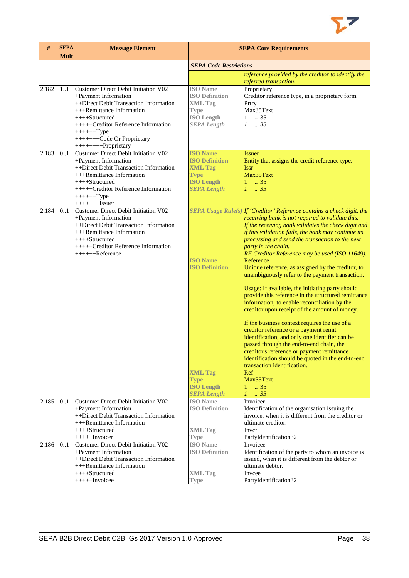

| #     | <b>SEPA</b><br><b>Mult</b> | <b>Message Element</b>                                                                                                                                                                                                                                                | <b>SEPA Core Requirements</b>                                                                                        |                                                                                                                                                                                                                                                                                                                                                                                                                                                                                                                                                                                                                                                                                                                                                                                                                                                                                                                                                                                                                                                                               |
|-------|----------------------------|-----------------------------------------------------------------------------------------------------------------------------------------------------------------------------------------------------------------------------------------------------------------------|----------------------------------------------------------------------------------------------------------------------|-------------------------------------------------------------------------------------------------------------------------------------------------------------------------------------------------------------------------------------------------------------------------------------------------------------------------------------------------------------------------------------------------------------------------------------------------------------------------------------------------------------------------------------------------------------------------------------------------------------------------------------------------------------------------------------------------------------------------------------------------------------------------------------------------------------------------------------------------------------------------------------------------------------------------------------------------------------------------------------------------------------------------------------------------------------------------------|
|       |                            |                                                                                                                                                                                                                                                                       | <b>SEPA Code Restrictions</b>                                                                                        |                                                                                                                                                                                                                                                                                                                                                                                                                                                                                                                                                                                                                                                                                                                                                                                                                                                                                                                                                                                                                                                                               |
|       |                            |                                                                                                                                                                                                                                                                       |                                                                                                                      | reference provided by the creditor to identify the<br>referred transaction.                                                                                                                                                                                                                                                                                                                                                                                                                                                                                                                                                                                                                                                                                                                                                                                                                                                                                                                                                                                                   |
| 2.182 | 11                         | Customer Direct Debit Initiation V02<br>+Payment Information<br>++Direct Debit Transaction Information<br>+++Remittance Information<br>$++++$ Structured<br>+++++Creditor Reference Information<br>$+++++Type$<br>++++++++Code Or Proprietary<br>+++++++++Proprietary | <b>ISO</b> Name<br><b>ISO Definition</b><br><b>XML Tag</b><br><b>Type</b><br><b>ISO Length</b><br><b>SEPA Length</b> | Proprietary<br>Creditor reference type, in a proprietary form.<br>Prtry<br>Max35Text<br>.35<br>1<br>$1 \t . 35$                                                                                                                                                                                                                                                                                                                                                                                                                                                                                                                                                                                                                                                                                                                                                                                                                                                                                                                                                               |
| 2.183 | 0.1                        | <b>Customer Direct Debit Initiation V02</b><br>+Payment Information<br>++Direct Debit Transaction Information<br>+++Remittance Information<br>++++Structured<br>+++++Creditor Reference Information<br>$+++++Type$<br>$+++++$ - $Issuer$                              | <b>ISO Name</b><br><b>ISO Definition</b><br><b>XML Tag</b><br><b>Type</b><br><b>ISO Length</b><br><b>SEPA Length</b> | <b>Issuer</b><br>Entity that assigns the credit reference type.<br><b>Issr</b><br>Max35Text<br>$1 \t . 35$<br>$1 \t35$                                                                                                                                                                                                                                                                                                                                                                                                                                                                                                                                                                                                                                                                                                                                                                                                                                                                                                                                                        |
| 2.184 | 0.1                        | <b>Customer Direct Debit Initiation V02</b><br>+Payment Information<br>++Direct Debit Transaction Information<br>+++Remittance Information<br>++++Structured<br>+++++Creditor Reference Information<br>++++++Reference                                                | <b>ISO Name</b><br><b>ISO Definition</b><br><b>XML Tag</b><br><b>Type</b><br><b>ISO Length</b><br><b>SEPA Length</b> | SEPA Usage Rule(s) If 'Creditor' Reference contains a check digit, the<br>receiving bank is not required to validate this.<br>If the receiving bank validates the check digit and<br>if this validation fails, the bank may continue its<br>processing and send the transaction to the next<br>party in the chain.<br>RF Creditor Reference may be used (ISO 11649).<br>Reference<br>Unique reference, as assigned by the creditor, to<br>unambiguously refer to the payment transaction.<br>Usage: If available, the initiating party should<br>provide this reference in the structured remittance<br>information, to enable reconciliation by the<br>creditor upon receipt of the amount of money.<br>If the business context requires the use of a<br>creditor reference or a payment remit<br>identification, and only one identifier can be<br>passed through the end-to-end chain, the<br>creditor's reference or payment remittance<br>identification should be quoted in the end-to-end<br>transaction identification.<br>Ref<br>Max35Text<br>$1 \t . 35$<br>$1-.35$ |
| 2.185 | 01                         | Customer Direct Debit Initiation V02<br>+Payment Information<br>++Direct Debit Transaction Information<br>+++Remittance Information<br>$++++-Structured$<br>$++++$ -Invoicer                                                                                          | <b>ISO</b> Name<br><b>ISO Definition</b><br><b>XML</b> Tag<br><b>Type</b>                                            | Invoicer<br>Identification of the organisation issuing the<br>invoice, when it is different from the creditor or<br>ultimate creditor.<br>Inver<br>PartyIdentification32                                                                                                                                                                                                                                                                                                                                                                                                                                                                                                                                                                                                                                                                                                                                                                                                                                                                                                      |
| 2.186 | 01                         | Customer Direct Debit Initiation V02<br>+Payment Information<br>++Direct Debit Transaction Information<br>+++Remittance Information<br>++++Structured<br>$+++++Invoicee$                                                                                              | <b>ISO</b> Name<br><b>ISO Definition</b><br><b>XML</b> Tag<br><b>Type</b>                                            | Invoicee<br>Identification of the party to whom an invoice is<br>issued, when it is different from the debtor or<br>ultimate debtor.<br>Invcee<br>PartyIdentification32                                                                                                                                                                                                                                                                                                                                                                                                                                                                                                                                                                                                                                                                                                                                                                                                                                                                                                       |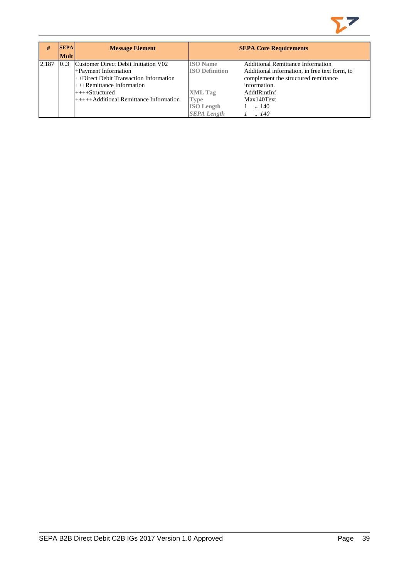

| #     | <b>SEPA</b> | <b>Message Element</b>                   |                       | <b>SEPA Core Requirements</b>                 |
|-------|-------------|------------------------------------------|-----------------------|-----------------------------------------------|
|       | <b>Mult</b> |                                          |                       |                                               |
| 2.187 | 0.3         | Customer Direct Debit Initiation V02     | <b>ISO</b> Name       | <b>Additional Remittance Information</b>      |
|       |             | +Payment Information                     | <b>ISO Definition</b> | Additional information, in free text form, to |
|       |             | ++Direct Debit Transaction Information   |                       | complement the structured remittance          |
|       |             | $+++$ Remittance Information             |                       | information.                                  |
|       |             | $++++Structured$                         | <b>XML</b> Tag        | AddtlRmtInf                                   |
|       |             | $++++$ Additional Remittance Information | <b>Type</b>           | Max140Text                                    |
|       |             |                                          | <b>ISO</b> Length     | $\ldots$ 140                                  |
|       |             |                                          | <b>SEPA Length</b>    | .140                                          |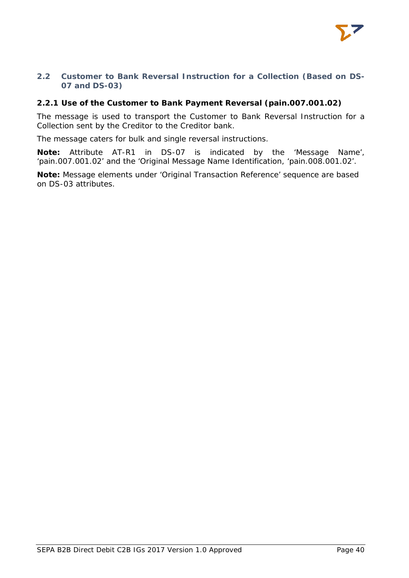

# <span id="page-40-0"></span>**2.2 Customer to Bank Reversal Instruction for a Collection (Based on DS-07 and DS-03)**

# <span id="page-40-1"></span>**2.2.1 Use of the Customer to Bank Payment Reversal (pain.007.001.02)**

The message is used to transport the Customer to Bank Reversal Instruction for a Collection sent by the Creditor to the Creditor bank.

The message caters for bulk and single reversal instructions.

**Note:** Attribute AT-R1 in DS-07 is indicated by the 'Message Name', 'pain.007.001.02' and the 'Original Message Name Identification, 'pain.008.001.02'.

**Note:** Message elements under 'Original Transaction Reference' sequence are based on DS-03 attributes.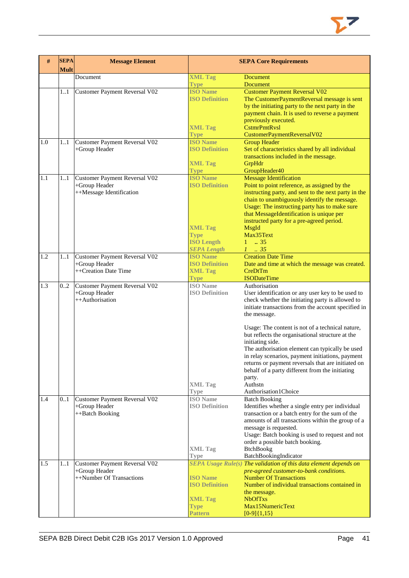| #   | <b>SEPA</b><br><b>Mult</b> | <b>Message Element</b>        |                                | <b>SEPA Core Requirements</b>                                                                 |  |
|-----|----------------------------|-------------------------------|--------------------------------|-----------------------------------------------------------------------------------------------|--|
|     |                            | Document                      | <b>XML Tag</b>                 | Document                                                                                      |  |
|     |                            |                               | <b>Type</b>                    | <b>Document</b>                                                                               |  |
|     | 1.1                        | Customer Payment Reversal V02 | <b>ISO</b> Name                | <b>Customer Payment Reversal V02</b>                                                          |  |
|     |                            |                               | <b>ISO Definition</b>          | The CustomerPaymentReversal message is sent                                                   |  |
|     |                            |                               |                                | by the initiating party to the next party in the                                              |  |
|     |                            |                               |                                | payment chain. It is used to reverse a payment                                                |  |
|     |                            |                               | <b>XML Tag</b>                 | previously executed.<br><b>CstmrPmtRysl</b>                                                   |  |
|     |                            |                               | Type                           | CustomerPaymentReversalV02                                                                    |  |
| 1.0 | 11                         | Customer Payment Reversal V02 | <b>ISO Name</b>                | <b>Group Header</b>                                                                           |  |
|     |                            | +Group Header                 | <b>ISO Definition</b>          | Set of characteristics shared by all individual                                               |  |
|     |                            |                               |                                | transactions included in the message.                                                         |  |
|     |                            |                               | <b>XML Tag</b>                 | GrpHdr                                                                                        |  |
|     |                            |                               | <b>Type</b>                    | GroupHeader40                                                                                 |  |
| 1.1 | 11                         | Customer Payment Reversal V02 | <b>ISO</b> Name                | <b>Message Identification</b>                                                                 |  |
|     |                            | +Group Header                 | <b>ISO Definition</b>          | Point to point reference, as assigned by the                                                  |  |
|     |                            | ++Message Identification      |                                | instructing party, and sent to the next party in the                                          |  |
|     |                            |                               |                                | chain to unambiguously identify the message.<br>Usage: The instructing party has to make sure |  |
|     |                            |                               |                                | that MessageIdentification is unique per                                                      |  |
|     |                            |                               |                                | instructed party for a pre-agreed period.                                                     |  |
|     |                            |                               | <b>XML Tag</b>                 | <b>MsgId</b>                                                                                  |  |
|     |                            |                               | <b>Type</b>                    | Max35Text                                                                                     |  |
|     |                            |                               | <b>ISO Length</b>              | $1 \t . 35$                                                                                   |  |
|     |                            |                               | <b>SEPA Length</b>             | $1 \t35$                                                                                      |  |
| 1.2 | 11                         | Customer Payment Reversal V02 | <b>ISO Name</b>                | <b>Creation Date Time</b>                                                                     |  |
|     |                            | +Group Header                 | <b>ISO Definition</b>          | Date and time at which the message was created.                                               |  |
|     |                            | ++Creation Date Time          | <b>XML Tag</b>                 | CreDtTm<br><b>ISODateTime</b>                                                                 |  |
| 1.3 | 0.2                        | Customer Payment Reversal V02 | <b>Type</b><br><b>ISO</b> Name | Authorisation                                                                                 |  |
|     |                            | +Group Header                 | <b>ISO Definition</b>          | User identification or any user key to be used to                                             |  |
|     |                            | ++Authorisation               |                                | check whether the initiating party is allowed to                                              |  |
|     |                            |                               |                                | initiate transactions from the account specified in                                           |  |
|     |                            |                               |                                | the message.                                                                                  |  |
|     |                            |                               |                                | Usage: The content is not of a technical nature,                                              |  |
|     |                            |                               |                                | but reflects the organisational structure at the                                              |  |
|     |                            |                               |                                | initiating side.                                                                              |  |
|     |                            |                               |                                | The authorisation element can typically be used                                               |  |
|     |                            |                               |                                | in relay scenarios, payment initiations, payment                                              |  |
|     |                            |                               |                                | returns or payment reversals that are initiated on                                            |  |
|     |                            |                               |                                | behalf of a party different from the initiating                                               |  |
|     |                            |                               | <b>XML Tag</b>                 | party.<br>Authstn                                                                             |  |
|     |                            |                               | <b>Type</b>                    | Authorisation1Choice                                                                          |  |
| 1.4 | 01                         | Customer Payment Reversal V02 | <b>ISO</b> Name                | <b>Batch Booking</b>                                                                          |  |
|     |                            | +Group Header                 | <b>ISO Definition</b>          | Identifies whether a single entry per individual                                              |  |
|     |                            | ++Batch Booking               |                                | transaction or a batch entry for the sum of the                                               |  |
|     |                            |                               |                                | amounts of all transactions within the group of a                                             |  |
|     |                            |                               |                                | message is requested.                                                                         |  |
|     |                            |                               |                                | Usage: Batch booking is used to request and not                                               |  |
|     |                            |                               | <b>XML</b> Tag                 | order a possible batch booking.<br>BtchBookg                                                  |  |
|     |                            |                               | Type                           | BatchBookingIndicator                                                                         |  |
| 1.5 | 11                         | Customer Payment Reversal V02 |                                | SEPA Usage Rule(s) The validation of this data element depends on                             |  |
|     |                            | +Group Header                 |                                | pre-agreed customer-to-bank conditions.                                                       |  |
|     |                            | ++Number Of Transactions      | <b>ISO Name</b>                | <b>Number Of Transactions</b>                                                                 |  |
|     |                            |                               | <b>ISO Definition</b>          | Number of individual transactions contained in                                                |  |
|     |                            |                               | <b>XML Tag</b>                 | the message.<br><b>NbOfTxs</b>                                                                |  |
|     |                            |                               | <b>Type</b>                    | Max15NumericText                                                                              |  |
|     |                            |                               | <b>Pattern</b>                 | $[0-9]{1,15}$                                                                                 |  |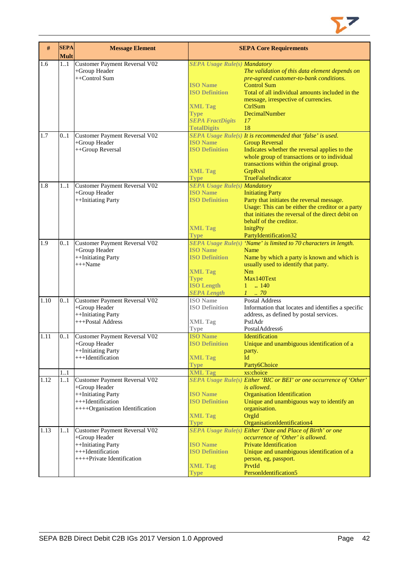

| #    | <b>SEPA</b><br><b>Mult</b> | <b>Message Element</b>               |                                     | <b>SEPA Core Requirements</b>                                       |
|------|----------------------------|--------------------------------------|-------------------------------------|---------------------------------------------------------------------|
| 1.6  | 1.1                        | Customer Payment Reversal V02        | <b>SEPA Usage Rule(s) Mandatory</b> |                                                                     |
|      |                            | +Group Header                        |                                     | The validation of this data element depends on                      |
|      |                            | ++Control Sum                        |                                     | pre-agreed customer-to-bank conditions.                             |
|      |                            |                                      | <b>ISO</b> Name                     | <b>Control Sum</b>                                                  |
|      |                            |                                      | <b>ISO Definition</b>               | Total of all individual amounts included in the                     |
|      |                            |                                      |                                     | message, irrespective of currencies.                                |
|      |                            |                                      | <b>XML Tag</b>                      | CtrlSum                                                             |
|      |                            |                                      | <b>Type</b>                         | DecimalNumber                                                       |
|      |                            |                                      | <b>SEPA FractDigits</b>             | 17                                                                  |
|      |                            |                                      | <b>TotalDigits</b>                  | 18                                                                  |
| 1.7  | 0.1                        | Customer Payment Reversal V02        |                                     | SEPA Usage Rule(s) It is recommended that 'false' is used.          |
|      |                            | +Group Header                        | <b>ISO Name</b>                     | <b>Group Reversal</b>                                               |
|      |                            | ++Group Reversal                     | <b>ISO Definition</b>               | Indicates whether the reversal applies to the                       |
|      |                            |                                      |                                     | whole group of transactions or to individual                        |
|      |                            |                                      |                                     | transactions within the original group.                             |
|      |                            |                                      | <b>XML Tag</b>                      | GrpRvsl                                                             |
|      |                            |                                      | <b>Type</b>                         | TrueFalseIndicator                                                  |
| 1.8  | 11                         | <b>Customer Payment Reversal V02</b> | <b>SEPA Usage Rule(s) Mandatory</b> |                                                                     |
|      |                            | +Group Header                        | <b>ISO Name</b>                     | <b>Initiating Party</b>                                             |
|      |                            | ++Initiating Party                   | <b>ISO Definition</b>               | Party that initiates the reversal message.                          |
|      |                            |                                      |                                     | Usage: This can be either the creditor or a party                   |
|      |                            |                                      |                                     | that initiates the reversal of the direct debit on                  |
|      |                            |                                      |                                     | behalf of the creditor.                                             |
|      |                            |                                      | <b>XML Tag</b>                      | <b>InitgPty</b>                                                     |
|      |                            |                                      | <b>Type</b>                         | PartyIdentification32                                               |
| 1.9  | 0.1                        | Customer Payment Reversal V02        |                                     | SEPA Usage Rule(s) 'Name' is limited to 70 characters in length.    |
|      |                            | +Group Header                        | <b>ISO Name</b>                     | Name                                                                |
|      |                            | ++Initiating Party                   | <b>ISO Definition</b>               | Name by which a party is known and which is                         |
|      |                            | $+++Name$                            |                                     | usually used to identify that party.                                |
|      |                            |                                      | <b>XML Tag</b>                      | Nm                                                                  |
|      |                            |                                      | <b>Type</b>                         | Max140Text                                                          |
|      |                            |                                      | <b>ISO Length</b>                   | $1 - 140$                                                           |
|      |                            |                                      | <b>SEPA Length</b>                  | $1 \dots 70$                                                        |
| 1.10 | 0.1                        | Customer Payment Reversal V02        | <b>ISO</b> Name                     | Postal Address                                                      |
|      |                            | +Group Header                        | <b>ISO Definition</b>               | Information that locates and identifies a specific                  |
|      |                            | ++Initiating Party                   |                                     | address, as defined by postal services.                             |
|      |                            | +++Postal Address                    | <b>XML Tag</b>                      | PstlAdr                                                             |
|      |                            |                                      | <b>Type</b>                         | PostalAddress6                                                      |
| 1.11 | 0.1                        | <b>Customer Payment Reversal V02</b> | <b>ISO Name</b>                     | Identification                                                      |
|      |                            | +Group Header                        | <b>ISO Definition</b>               | Unique and unambiguous identification of a                          |
|      |                            | ++Initiating Party                   |                                     | party.                                                              |
|      |                            | +++Identification                    | <b>XML Tag</b>                      | Id                                                                  |
|      |                            |                                      | <b>Type</b>                         | Party6Choice                                                        |
|      | 11                         |                                      | <b>XML Tag</b>                      | xs:choice                                                           |
| 1.12 | 11                         | <b>Customer Payment Reversal V02</b> |                                     | SEPA Usage Rule(s) Either 'BIC or BEI' or one occurrence of 'Other' |
|      |                            | +Group Header                        |                                     | is allowed.                                                         |
|      |                            | ++Initiating Party                   | <b>ISO Name</b>                     | <b>Organisation Identification</b>                                  |
|      |                            | +++Identification                    | <b>ISO Definition</b>               | Unique and unambiguous way to identify an                           |
|      |                            | ++++Organisation Identification      |                                     | organisation.                                                       |
|      |                            |                                      | <b>XML Tag</b>                      | OrgId                                                               |
|      |                            |                                      | <b>Type</b>                         | OrganisationIdentification4                                         |
| 1.13 | 11                         | Customer Payment Reversal V02        |                                     | <b>SEPA Usage Rule(s) Either 'Date and Place of Birth' or one</b>   |
|      |                            | +Group Header                        |                                     | occurrence of 'Other' is allowed.                                   |
|      |                            | ++Initiating Party                   | <b>ISO Name</b>                     | <b>Private Identification</b>                                       |
|      |                            | +++Identification                    | <b>ISO Definition</b>               | Unique and unambiguous identification of a                          |
|      |                            | ++++Private Identification           |                                     | person, eg, passport.                                               |
|      |                            |                                      | <b>XML Tag</b>                      | PrvtId                                                              |
|      |                            |                                      | <b>Type</b>                         | PersonIdentification5                                               |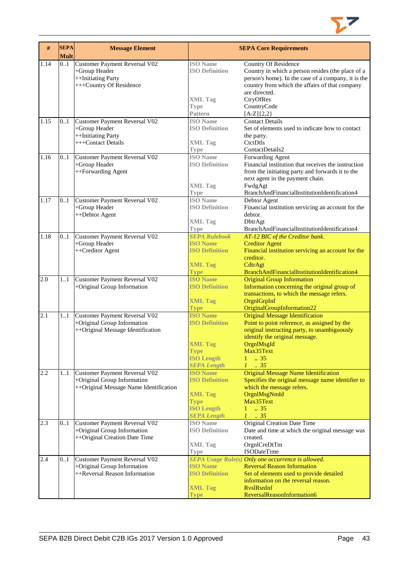

| $\#$ | <b>SEPA</b><br><b>Mult</b> | <b>Message Element</b>                                                                                 |                                                                                                                      | <b>SEPA Core Requirements</b>                                                                                                                                                                                                           |
|------|----------------------------|--------------------------------------------------------------------------------------------------------|----------------------------------------------------------------------------------------------------------------------|-----------------------------------------------------------------------------------------------------------------------------------------------------------------------------------------------------------------------------------------|
| 1.14 | 01                         | Customer Payment Reversal V02<br>+Group Header<br>++Initiating Party<br>+++Country Of Residence        | <b>ISO</b> Name<br><b>ISO Definition</b><br><b>XML Tag</b>                                                           | Country Of Residence<br>Country in which a person resides (the place of a<br>person's home). In the case of a company, it is the<br>country from which the affairs of that company<br>are directed.<br>CtryOfRes                        |
|      |                            |                                                                                                        | <b>Type</b><br>Pattern                                                                                               | CountryCode<br>$[A-Z]\{2,2\}$                                                                                                                                                                                                           |
| 1.15 | 01                         | Customer Payment Reversal V02<br>+Group Header<br>++Initiating Party<br>+++Contact Details             | <b>ISO</b> Name<br><b>ISO Definition</b><br><b>XML Tag</b>                                                           | <b>Contact Details</b><br>Set of elements used to indicate how to contact<br>the party.<br>CtetDtls                                                                                                                                     |
| 1.16 | 0.1                        | Customer Payment Reversal V02<br>+Group Header<br>++Forwarding Agent                                   | <b>Type</b><br><b>ISO</b> Name<br><b>ISO Definition</b><br><b>XML Tag</b>                                            | ContactDetails2<br>Forwarding Agent<br>Financial institution that receives the instruction<br>from the initiating party and forwards it to the<br>next agent in the payment chain.<br>FwdgAgt                                           |
| 1.17 | 0.1                        | Customer Payment Reversal V02<br>+Group Header<br>++Debtor Agent                                       | <b>Type</b><br><b>ISO Name</b><br><b>ISO Definition</b><br><b>XML Tag</b><br><b>Type</b>                             | BranchAndFinancialInstitutionIdentification4<br>Debtor Agent<br>Financial institution servicing an account for the<br>debtor.<br>DbtrAgt<br>BranchAndFinancialInstitutionIdentification4                                                |
| 1.18 | 0.1                        | Customer Payment Reversal V02<br>+Group Header<br>++Creditor Agent                                     | <b>SEPA Rulebook</b><br><b>ISO Name</b><br><b>ISO Definition</b><br><b>XML Tag</b><br><b>Type</b>                    | AT-12 BIC of the Creditor bank.<br><b>Creditor Agent</b><br>Financial institution servicing an account for the<br>creditor.<br>CdtrAgt<br>BranchAndFinancialInstitutionIdentification4                                                  |
| 2.0  | 11                         | Customer Payment Reversal V02<br>+Original Group Information                                           | <b>ISO Name</b><br><b>ISO Definition</b><br><b>XML Tag</b><br><b>Type</b>                                            | <b>Original Group Information</b><br>Information concerning the original group of<br>transactions, to which the message refers.<br>OrgnlGrpInf<br>OriginalGroupInformation22                                                            |
| 2.1  | 11                         | Customer Payment Reversal V02<br>+Original Group Information<br>++Original Message Identification      | <b>ISO Name</b><br><b>ISO Definition</b><br><b>XML Tag</b><br><b>Type</b><br><b>ISO Length</b><br><b>SEPA Length</b> | <b>Original Message Identification</b><br>Point to point reference, as assigned by the<br>original instructing party, to unambiguously<br>identify the original message.<br>OrgnlMsgId<br>Max35Text<br>.35<br>1<br>$\therefore$ 35<br>L |
| 2.2  | 11                         | Customer Payment Reversal V02<br>+Original Group Information<br>++Original Message Name Identification | <b>ISO Name</b><br><b>ISO Definition</b><br><b>XML Tag</b><br><b>Type</b><br><b>ISO Length</b><br><b>SEPA Length</b> | <b>Original Message Name Identification</b><br>Specifies the original message name identifier to<br>which the message refers.<br>OrgnlMsgNmId<br>Max35Text<br>.35<br>1<br>$1 \cdot .35$                                                 |
| 2.3  | 01                         | Customer Payment Reversal V02<br>+Original Group Information<br>++Original Creation Date Time          | <b>ISO</b> Name<br><b>ISO Definition</b><br><b>XML Tag</b><br><b>Type</b>                                            | Original Creation Date Time<br>Date and time at which the original message was<br>created.<br>OrgnlCreDtTm<br><b>ISODateTime</b>                                                                                                        |
| 2.4  | 0.1                        | Customer Payment Reversal V02<br>+Original Group Information<br>++Reversal Reason Information          | <b>ISO Name</b><br><b>ISO Definition</b><br><b>XML Tag</b><br>Type                                                   | SEPA Usage Rule(s) Only one occurrence is allowed.<br><b>Reversal Reason Information</b><br>Set of elements used to provide detailed<br>information on the reversal reason.<br><b>RyslRsnInf</b><br>ReversalReasonInformation6          |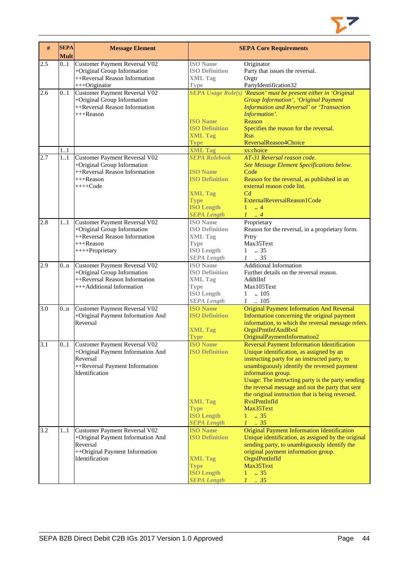

| $\#$             | <b>SEPA</b><br><b>Mult</b> | <b>Message Element</b>                                                                                                                    |                                                                                                                      | <b>SEPA Core Requirements</b>                                                                                                                                                                                                                                                                                                                                                                                                                         |
|------------------|----------------------------|-------------------------------------------------------------------------------------------------------------------------------------------|----------------------------------------------------------------------------------------------------------------------|-------------------------------------------------------------------------------------------------------------------------------------------------------------------------------------------------------------------------------------------------------------------------------------------------------------------------------------------------------------------------------------------------------------------------------------------------------|
| 2.5              | 0.1                        | <b>Customer Payment Reversal V02</b><br>+Original Group Information<br>++Reversal Reason Information<br>+++Originator                     | <b>ISO</b> Name<br><b>ISO Definition</b><br><b>XML Tag</b><br><b>Type</b>                                            | Originator<br>Party that issues the reversal.<br>Orgtr<br>PartyIdentification32                                                                                                                                                                                                                                                                                                                                                                       |
| 2.6              | 0.1                        | Customer Payment Reversal V02<br>+Original Group Information<br>++Reversal Reason Information<br>+++Reason                                | <b>ISO Name</b><br><b>ISO Definition</b><br><b>XML Tag</b><br><b>Type</b>                                            | <b>SEPA Usage Rule(s) 'Reason' must be present either in 'Original</b><br><b>Group Information', 'Original Payment</b><br>Information and Reversal' or 'Transaction<br>Information'.<br>Reason<br>Specifies the reason for the reversal.<br><b>Rsn</b><br>ReversalReason4Choice                                                                                                                                                                       |
| 2.7              | 1.1<br>1.1                 | Customer Payment Reversal V02<br>+Original Group Information<br>++Reversal Reason Information                                             | <b>XML Tag</b><br><b>SEPA Rulebook</b><br><b>ISO Name</b>                                                            | xs:choice<br>AT-31 Reversal reason code.<br>See Message Element Specifications below.<br>Code                                                                                                                                                                                                                                                                                                                                                         |
|                  |                            | $+++$ Reason<br>$+++Code$                                                                                                                 | <b>ISO Definition</b><br><b>XML Tag</b><br><b>Type</b><br><b>ISO Length</b><br><b>SEPA Length</b>                    | Reason for the reversal, as published in an<br>external reason code list.<br>C <sub>d</sub><br>ExternalReversalReason1Code<br>$1 \dots 4$<br>$1 \ldots 4$                                                                                                                                                                                                                                                                                             |
| 2.8              | 11                         | Customer Payment Reversal V02<br>+Original Group Information<br>++Reversal Reason Information<br>$+++$ Reason<br>++++Proprietary          | <b>ISO</b> Name<br><b>ISO Definition</b><br><b>XML Tag</b><br><b>Type</b><br><b>ISO Length</b><br><b>SEPA Length</b> | Proprietary<br>Reason for the reversal, in a proprietary form.<br>Prtry<br>Max35Text<br>$\ldots$ 35<br>$\mathbf{1}$<br>$1 \t . 35$                                                                                                                                                                                                                                                                                                                    |
| 2.9              | 0 <sub>n</sub>             | Customer Payment Reversal V02<br>+Original Group Information<br>++Reversal Reason Information<br>+++Additional Information                | <b>ISO</b> Name<br><b>ISO Definition</b><br><b>XML Tag</b><br><b>Type</b><br><b>ISO Length</b><br><b>SEPA Length</b> | <b>Additional Information</b><br>Further details on the reversal reason.<br>AddtlInf<br>Max105Text<br>$1 \quad 105$<br>$1 \quad .105$                                                                                                                                                                                                                                                                                                                 |
| 3.0              | 0 <sub>nn</sub>            | Customer Payment Reversal V02<br>+Original Payment Information And<br>Reversal                                                            | <b>ISO Name</b><br><b>ISO Definition</b><br><b>XML Tag</b><br><b>Type</b>                                            | <b>Original Payment Information And Reversal</b><br>Information concerning the original payment<br>information, to which the reversal message refers.<br>OrgnlPmtInfAndRvsl<br>OriginalPaymentInformation2                                                                                                                                                                                                                                            |
| 3.1              | 01                         | <b>Customer Payment Reversal V02</b><br>+Original Payment Information And<br>Reversal<br>++Reversal Payment Information<br>Identification | <b>ISO Name</b><br><b>ISO Definition</b><br><b>XML Tag</b><br><b>Type</b><br><b>ISO Length</b><br><b>SEPA Length</b> | <b>Reversal Payment Information Identification</b><br>Unique identification, as assigned by an<br>instructing party for an instructed party, to<br>unambiguously identify the reversed payment<br>information group.<br>Usage: The instructing party is the party sending<br>the reversal message and not the party that sent<br>the original instruction that is being reversed.<br>RvslPmtInfId<br>Max35Text<br>$1 \t . 35$<br>$\therefore$ 35<br>1 |
| $\overline{3.2}$ | 11                         | Customer Payment Reversal V02<br>+Original Payment Information And<br>Reversal<br>++Original Payment Information<br>Identification        | <b>ISO Name</b><br><b>ISO Definition</b><br><b>XML Tag</b><br><b>Type</b><br><b>ISO Length</b><br><b>SEPA Length</b> | <b>Original Payment Information Identification</b><br>Unique identification, as assigned by the original<br>sending party, to unambiguously identify the<br>original payment information group.<br>OrgnlPmtInfId<br>Max35Text<br>.35<br>$\mathbf{1}$<br>$\mathcal{I}$<br>.35                                                                                                                                                                          |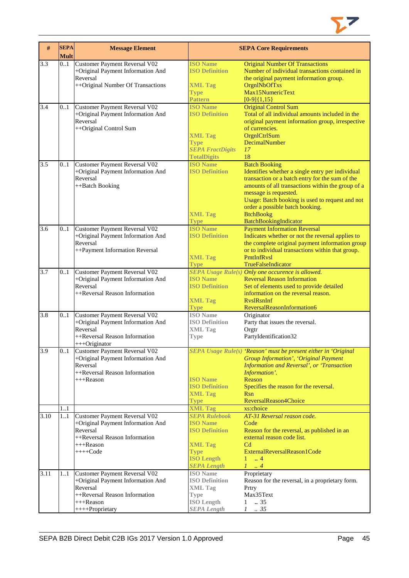

| $\#$ | <b>SEPA</b><br><b>Mult</b> | <b>Message Element</b>                                                                                                                             |                                                                                                                                                                | <b>SEPA Core Requirements</b>                                                                                                                                                                                                                                                                                                                       |
|------|----------------------------|----------------------------------------------------------------------------------------------------------------------------------------------------|----------------------------------------------------------------------------------------------------------------------------------------------------------------|-----------------------------------------------------------------------------------------------------------------------------------------------------------------------------------------------------------------------------------------------------------------------------------------------------------------------------------------------------|
| 3.3  | 0.1                        | Customer Payment Reversal V02<br>+Original Payment Information And<br>Reversal<br>++Original Number Of Transactions                                | <b>ISO Name</b><br><b>ISO Definition</b><br><b>XML Tag</b><br><b>Type</b><br><b>Pattern</b>                                                                    | <b>Original Number Of Transactions</b><br>Number of individual transactions contained in<br>the original payment information group.<br>OrgnlNbOfTxs<br>Max15NumericText<br>$[0-9]{1,15}$                                                                                                                                                            |
| 3.4  | 0.1                        | Customer Payment Reversal V02<br>+Original Payment Information And<br>Reversal<br>++Original Control Sum                                           | <b>ISO Name</b><br><b>ISO Definition</b><br><b>XML Tag</b><br><b>Type</b><br><b>SEPA FractDigits</b><br><b>TotalDigits</b>                                     | <b>Original Control Sum</b><br>Total of all individual amounts included in the<br>original payment information group, irrespective<br>of currencies.<br>OrgnlCtrlSum<br>DecimalNumber<br>17<br>18                                                                                                                                                   |
| 3.5  | 01                         | Customer Payment Reversal V02<br>+Original Payment Information And<br>Reversal<br>++Batch Booking                                                  | <b>ISO Name</b><br><b>ISO Definition</b><br><b>XML Tag</b><br><b>Type</b>                                                                                      | <b>Batch Booking</b><br>Identifies whether a single entry per individual<br>transaction or a batch entry for the sum of the<br>amounts of all transactions within the group of a<br>message is requested.<br>Usage: Batch booking is used to request and not<br>order a possible batch booking.<br><b>BtchBookg</b><br><b>BatchBookingIndicator</b> |
| 3.6  | 0.1                        | <b>Customer Payment Reversal V02</b><br>+Original Payment Information And<br>Reversal<br>++Payment Information Reversal                            | <b>ISO Name</b><br><b>ISO Definition</b><br><b>XML Tag</b><br><b>Type</b>                                                                                      | <b>Payment Information Reversal</b><br>Indicates whether or not the reversal applies to<br>the complete original payment information group<br>or to individual transactions within that group.<br>PmtInfRvsl<br>TrueFalseIndicator                                                                                                                  |
| 3.7  | 0.1                        | Customer Payment Reversal V02<br>+Original Payment Information And<br>Reversal<br>++Reversal Reason Information                                    | <b>ISO Name</b><br><b>ISO Definition</b><br><b>XML Tag</b><br><b>Type</b>                                                                                      | SEPA Usage Rule(s) Only one occurence is allowed.<br><b>Reversal Reason Information</b><br>Set of elements used to provide detailed<br>information on the reversal reason.<br><b>RyslRsnInf</b><br>ReversalReasonInformation6                                                                                                                       |
| 3.8  | 0.1                        | Customer Payment Reversal V02<br>+Original Payment Information And<br>Reversal<br>++Reversal Reason Information<br>+++Originator                   | <b>ISO</b> Name<br><b>ISO Definition</b><br><b>XML Tag</b><br>Type                                                                                             | Originator<br>Party that issues the reversal.<br>Orgtr<br>PartyIdentification32                                                                                                                                                                                                                                                                     |
| 3.9  | 01                         | <b>Customer Payment Reversal V02</b><br>+Original Payment Information And<br>Reversal<br>++Reversal Reason Information<br>$+++$ Reason             | <b>ISO</b> Name<br><b>ISO Definition</b><br><b>XML Tag</b><br><b>Type</b>                                                                                      | SEPA Usage Rule(s) 'Reason' must be present either in 'Original<br><b>Group Information', 'Original Payment</b><br>Information and Reversal', or 'Transaction<br>Information'.<br>Reason<br>Specifies the reason for the reversal.<br><b>Rsn</b><br>ReversalReason4Choice                                                                           |
| 3.10 | 1.1<br>11                  | Customer Payment Reversal V02<br>+Original Payment Information And<br>Reversal<br>++Reversal Reason Information<br>$+++$ Reason<br>$+++Code$       | <b>XML Tag</b><br><b>SEPA Rulebook</b><br><b>ISO Name</b><br><b>ISO Definition</b><br><b>XML Tag</b><br><b>Type</b><br><b>ISO Length</b><br><b>SEPA Length</b> | xs:choice<br>AT-31 Reversal reason code.<br>Code<br>Reason for the reversal, as published in an<br>external reason code list.<br>C <sub>d</sub><br>ExternalReversalReason1Code<br>$1 \dots 4$<br>$\mathcal{I}$<br>$\cdot$ 4                                                                                                                         |
| 3.11 | 11                         | Customer Payment Reversal V02<br>+Original Payment Information And<br>Reversal<br>++Reversal Reason Information<br>$+++$ Reason<br>++++Proprietary | <b>ISO</b> Name<br><b>ISO Definition</b><br><b>XML Tag</b><br><b>Type</b><br><b>ISO Length</b><br><b>SEPA Length</b>                                           | Proprietary<br>Reason for the reversal, in a proprietary form.<br>Prtry<br>Max35Text<br>.35<br>$\mathbf{1}$<br>$\mathcal{I}$<br>.35                                                                                                                                                                                                                 |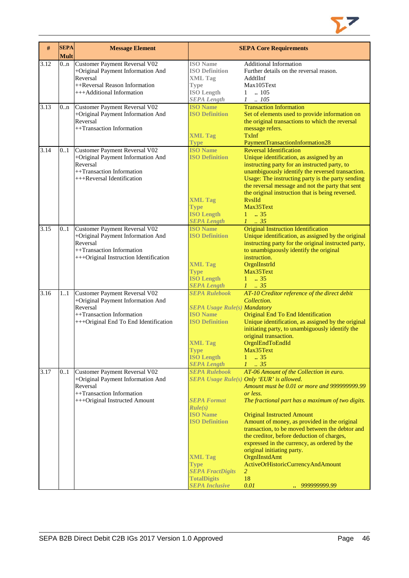

| #    | <b>SEPA</b><br><b>Mult</b> | <b>Message Element</b>                                                                                                                                |                                                                                                                                                                                                              | <b>SEPA Core Requirements</b>                                                                                                                                                                                                                                                                                                                                                                                                                                                                                                                                                          |
|------|----------------------------|-------------------------------------------------------------------------------------------------------------------------------------------------------|--------------------------------------------------------------------------------------------------------------------------------------------------------------------------------------------------------------|----------------------------------------------------------------------------------------------------------------------------------------------------------------------------------------------------------------------------------------------------------------------------------------------------------------------------------------------------------------------------------------------------------------------------------------------------------------------------------------------------------------------------------------------------------------------------------------|
| 3.12 | 0n                         | Customer Payment Reversal V02<br>+Original Payment Information And<br>Reversal<br>++Reversal Reason Information<br>+++Additional Information          | <b>ISO</b> Name<br><b>ISO Definition</b><br><b>XML Tag</b><br><b>Type</b><br><b>ISO Length</b><br><b>SEPA Length</b>                                                                                         | <b>Additional Information</b><br>Further details on the reversal reason.<br>AddtlInf<br>Max105Text<br>$\ln 105$<br>$\mathbf{1}$<br>$1-.105$                                                                                                                                                                                                                                                                                                                                                                                                                                            |
| 3.13 | 0n                         | Customer Payment Reversal V02<br>+Original Payment Information And<br>Reversal<br>++Transaction Information                                           | <b>ISO Name</b><br><b>ISO Definition</b><br><b>XML Tag</b><br><b>Type</b>                                                                                                                                    | <b>Transaction Information</b><br>Set of elements used to provide information on<br>the original transactions to which the reversal<br>message refers.<br><b>TxInf</b><br>PaymentTransactionInformation28                                                                                                                                                                                                                                                                                                                                                                              |
| 3.14 | 0.1                        | Customer Payment Reversal V02<br>+Original Payment Information And<br>Reversal<br>++Transaction Information<br>+++Reversal Identification             | <b>ISO Name</b><br><b>ISO Definition</b><br><b>XML Tag</b><br><b>Type</b><br><b>ISO Length</b><br><b>SEPA Length</b>                                                                                         | <b>Reversal Identification</b><br>Unique identification, as assigned by an<br>instructing party for an instructed party, to<br>unambiguously identify the reversed transaction.<br>Usage: The instructing party is the party sending<br>the reversal message and not the party that sent<br>the original instruction that is being reversed.<br><b>RyslId</b><br>Max35Text<br>$1 \t . 35$<br>$1 \t35$                                                                                                                                                                                  |
| 3.15 | 0.1                        | Customer Payment Reversal V02<br>+Original Payment Information And<br>Reversal<br>++Transaction Information<br>+++Original Instruction Identification | <b>ISO Name</b><br><b>ISO Definition</b><br><b>XML Tag</b><br><b>Type</b><br><b>ISO Length</b><br><b>SEPA Length</b>                                                                                         | <b>Original Instruction Identification</b><br>Unique identification, as assigned by the original<br>instructing party for the original instructed party,<br>to unambiguously identify the original<br>instruction.<br>OrgnIInstrId<br>Max35Text<br>$1 \t . 35$<br>$1 \t35$                                                                                                                                                                                                                                                                                                             |
| 3.16 | 1.1                        | Customer Payment Reversal V02<br>+Original Payment Information And<br>Reversal<br>++Transaction Information<br>+++Original End To End Identification  | <b>SEPA Rulebook</b><br><b>SEPA Usage Rule(s) Mandatory</b><br><b>ISO Name</b><br><b>ISO Definition</b><br><b>XML Tag</b><br><b>Type</b><br><b>ISO Length</b><br><b>SEPA Length</b>                          | AT-10 Creditor reference of the direct debit<br>Collection.<br>Original End To End Identification<br>Unique identification, as assigned by the original<br>initiating party, to unambiguously identify the<br>original transaction.<br>OrgnlEndToEndId<br>Max35Text<br>$\therefore$ 35<br>1<br>$1 \cdot .35$                                                                                                                                                                                                                                                                           |
| 3.17 | 0.1                        | Customer Payment Reversal V02<br>+Original Payment Information And<br>Reversal<br>++Transaction Information<br>+++Original Instructed Amount          | <b>SEPA Rulebook</b><br><b>SEPA Format</b><br>Rule(s)<br><b>ISO</b> Name<br><b>ISO Definition</b><br><b>XML Tag</b><br><b>Type</b><br><b>SEPA FractDigits</b><br><b>TotalDigits</b><br><b>SEPA Inclusive</b> | AT-06 Amount of the Collection in euro.<br><b>SEPA Usage Rule(s) Only 'EUR' is allowed.</b><br>Amount must be 0.01 or more and 9999999999.99<br>or less.<br>The fractional part has a maximum of two digits.<br><b>Original Instructed Amount</b><br>Amount of money, as provided in the original<br>transaction, to be moved between the debtor and<br>the creditor, before deduction of charges,<br>expressed in the currency, as ordered by the<br>original initiating party.<br>OrgnIInstdAmt<br>ActiveOrHistoricCurrencyAndAmount<br>$\overline{2}$<br>18<br>0.01<br>999999999.99 |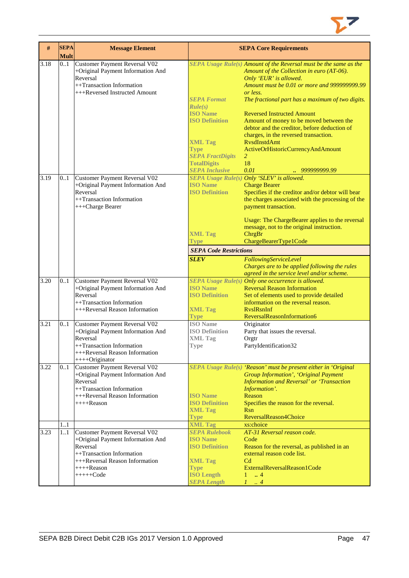

| $\#$ | <b>SEPA</b><br><b>Mult</b> | <b>Message Element</b>                                                                                                                                                              |                                                                                                                                                                | <b>SEPA Core Requirements</b>                                                                                                                                                                                                                                                                                                                                                                                                                                                                             |
|------|----------------------------|-------------------------------------------------------------------------------------------------------------------------------------------------------------------------------------|----------------------------------------------------------------------------------------------------------------------------------------------------------------|-----------------------------------------------------------------------------------------------------------------------------------------------------------------------------------------------------------------------------------------------------------------------------------------------------------------------------------------------------------------------------------------------------------------------------------------------------------------------------------------------------------|
| 3.18 | 0.1                        | Customer Payment Reversal V02<br>+Original Payment Information And<br>Reversal<br>++Transaction Information<br>+++Reversed Instructed Amount                                        | <b>SEPA Format</b><br>Rule(s)<br><b>ISO</b> Name<br><b>ISO Definition</b><br><b>XML Tag</b><br><b>Type</b><br><b>SEPA FractDigits</b><br><b>TotalDigits</b>    | SEPA Usage Rule(s) Amount of the Reversal must be the same as the<br>Amount of the Collection in euro (AT-06).<br>Only 'EUR' is allowed.<br>Amount must be 0.01 or more and 9999999999.99<br>or less.<br>The fractional part has a maximum of two digits.<br><b>Reversed Instructed Amount</b><br>Amount of money to be moved between the<br>debtor and the creditor, before deduction of<br>charges, in the reversed transaction.<br><b>RysdInstdAmt</b><br>ActiveOrHistoricCurrencyAndAmount<br>2<br>18 |
| 3.19 | 0.1                        | Customer Payment Reversal V02<br>+Original Payment Information And<br>Reversal<br>++Transaction Information<br>+++Charge Bearer                                                     | <b>SEPA Inclusive</b><br><b>ISO Name</b><br><b>ISO Definition</b><br><b>XML Tag</b><br><b>Type</b><br><b>SEPA Code Restrictions</b><br><b>SLEV</b>             | 0.01<br>SEPA Usage Rule(s) Only 'SLEV' is allowed.<br><b>Charge Bearer</b><br>Specifies if the creditor and/or debtor will bear<br>the charges associated with the processing of the<br>payment transaction.<br>Usage: The ChargeBearer applies to the reversal<br>message, not to the original instruction.<br>ChrgBr<br>ChargeBearerType1Code<br>FollowingServiceLevel<br>Charges are to be applied following the rules<br>agreed in the service level and/or scheme.                                   |
| 3.20 | 0.1                        | Customer Payment Reversal V02<br>+Original Payment Information And<br>Reversal<br>++Transaction Information<br>+++Reversal Reason Information                                       | <b>ISO</b> Name<br><b>ISO Definition</b><br><b>XML Tag</b><br><b>Type</b>                                                                                      | SEPA Usage Rule(s) Only one occurrence is allowed.<br><b>Reversal Reason Information</b><br>Set of elements used to provide detailed<br>information on the reversal reason.<br><b>RyslRsnInf</b><br>ReversalReasonInformation6                                                                                                                                                                                                                                                                            |
| 3.21 | 0.1                        | Customer Payment Reversal V02<br>+Original Payment Information And<br>Reversal<br>++Transaction Information<br>+++Reversal Reason Information<br>$+++O$ riginator                   | <b>ISO</b> Name<br><b>ISO Definition</b><br><b>XML Tag</b><br><b>Type</b>                                                                                      | Originator<br>Party that issues the reversal.<br>Orgtr<br>PartyIdentification32                                                                                                                                                                                                                                                                                                                                                                                                                           |
| 3.22 | 01                         | Customer Payment Reversal V02<br>+Original Payment Information And<br>Reversal<br>++Transaction Information<br>+++Reversal Reason Information<br>$+++$ Reason                       | <b>ISO Name</b><br><b>ISO Definition</b><br><b>XML Tag</b><br><b>Type</b>                                                                                      | SEPA Usage Rule(s) 'Reason' must be present either in 'Original<br><b>Group Information', 'Original Payment</b><br><b>Information and Reversal' or 'Transaction</b><br>Information'.<br>Reason<br>Specifies the reason for the reversal.<br><b>Rsn</b><br>ReversalReason4Choice                                                                                                                                                                                                                           |
| 3.23 | 11<br>$\overline{1}$ 1     | Customer Payment Reversal V02<br>+Original Payment Information And<br>Reversal<br>++Transaction Information<br>+++Reversal Reason Information<br>$++++Reason$<br>$++++\text{-}Code$ | <b>XML Tag</b><br><b>SEPA Rulebook</b><br><b>ISO</b> Name<br><b>ISO Definition</b><br><b>XML Tag</b><br><b>Type</b><br><b>ISO Length</b><br><b>SEPA Length</b> | xs:choice<br>AT-31 Reversal reason code.<br>Code<br>Reason for the reversal, as published in an<br>external reason code list.<br>C <sub>d</sub><br>ExternalReversalReason1Code<br>$\ldots$ 4<br>1<br>1<br>$\cdot$ 4                                                                                                                                                                                                                                                                                       |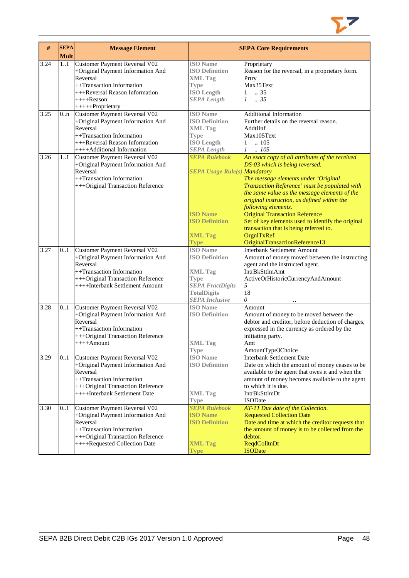

| #    | <b>SEPA</b><br><b>Mult</b> | <b>Message Element</b>               |                                     | <b>SEPA Core Requirements</b>                                                                  |
|------|----------------------------|--------------------------------------|-------------------------------------|------------------------------------------------------------------------------------------------|
| 3.24 | 1.1                        | Customer Payment Reversal V02        | <b>ISO</b> Name                     | Proprietary                                                                                    |
|      |                            | +Original Payment Information And    | <b>ISO Definition</b>               | Reason for the reversal, in a proprietary form.                                                |
|      |                            | Reversal                             | <b>XML Tag</b>                      | Prtry                                                                                          |
|      |                            | ++Transaction Information            | <b>Type</b>                         | Max35Text                                                                                      |
|      |                            | +++Reversal Reason Information       | <b>ISO Length</b>                   | .35<br>$\mathbf{1}$                                                                            |
|      |                            | ++++Reason                           | <b>SEPA Length</b>                  | $1-.35$                                                                                        |
|      |                            | +++++Proprietary                     |                                     |                                                                                                |
| 3.25 | 0 <sub>nn</sub>            | <b>Customer Payment Reversal V02</b> | <b>ISO</b> Name                     | <b>Additional Information</b>                                                                  |
|      |                            | +Original Payment Information And    | <b>ISO Definition</b>               | Further details on the reversal reason.                                                        |
|      |                            | Reversal                             | <b>XML Tag</b>                      | AddtlInf                                                                                       |
|      |                            | ++Transaction Information            | <b>Type</b>                         | Max105Text                                                                                     |
|      |                            | +++Reversal Reason Information       | <b>ISO Length</b>                   | .105<br>1                                                                                      |
|      |                            | ++++Additional Information           | <b>SEPA Length</b>                  | $1 \quad .105$                                                                                 |
| 3.26 | 11                         | Customer Payment Reversal V02        | <b>SEPA Rulebook</b>                | An exact copy of all attributes of the received                                                |
|      |                            | +Original Payment Information And    |                                     | DS-03 which is being reversed.                                                                 |
|      |                            | Reversal                             | <b>SEPA Usage Rule(s) Mandatory</b> |                                                                                                |
|      |                            | ++Transaction Information            |                                     | The message elements under 'Original                                                           |
|      |                            | +++Original Transaction Reference    |                                     | Transaction Reference' must be populated with<br>the same value as the message elements of the |
|      |                            |                                      |                                     | original instruction, as defined within the                                                    |
|      |                            |                                      |                                     | following elements.                                                                            |
|      |                            |                                      | <b>ISO Name</b>                     | <b>Original Transaction Reference</b>                                                          |
|      |                            |                                      | <b>ISO Definition</b>               | Set of key elements used to identify the original                                              |
|      |                            |                                      |                                     | transaction that is being referred to.                                                         |
|      |                            |                                      | <b>XML Tag</b>                      | OrgnITxRef                                                                                     |
|      |                            |                                      | Type                                | OriginalTransactionReference13                                                                 |
| 3.27 | 0.1                        | Customer Payment Reversal V02        | <b>ISO</b> Name                     | <b>Interbank Settlement Amount</b>                                                             |
|      |                            | +Original Payment Information And    | <b>ISO Definition</b>               | Amount of money moved between the instructing                                                  |
|      |                            | Reversal                             |                                     | agent and the instructed agent.                                                                |
|      |                            | ++Transaction Information            | <b>XML</b> Tag                      | IntrBkSttlmAmt                                                                                 |
|      |                            | +++Original Transaction Reference    | <b>Type</b>                         | ActiveOrHistoricCurrencyAndAmount                                                              |
|      |                            | ++++Interbank Settlement Amount      | <b>SEPA FractDigits</b>             | 5                                                                                              |
|      |                            |                                      | <b>TotalDigits</b>                  | 18                                                                                             |
|      |                            |                                      | <b>SEPA</b> Inclusive               | 0                                                                                              |
| 3.28 | 0.1                        | Customer Payment Reversal V02        | <b>ISO Name</b>                     | Amount                                                                                         |
|      |                            | +Original Payment Information And    | <b>ISO Definition</b>               | Amount of money to be moved between the                                                        |
|      |                            | Reversal                             |                                     | debtor and creditor, before deduction of charges,                                              |
|      |                            | ++Transaction Information            |                                     | expressed in the currency as ordered by the                                                    |
|      |                            | +++Original Transaction Reference    |                                     | initiating party.                                                                              |
|      |                            | $++++$ Amount                        | <b>XML</b> Tag                      | Amt<br>AmountType3Choice                                                                       |
| 3.29 | 0.1                        | Customer Payment Reversal V02        | <b>Type</b><br><b>ISO</b> Name      | <b>Interbank Settlement Date</b>                                                               |
|      |                            | +Original Payment Information And    | <b>ISO Definition</b>               | Date on which the amount of money ceases to be                                                 |
|      |                            | Reversal                             |                                     | available to the agent that owes it and when the                                               |
|      |                            | ++Transaction Information            |                                     | amount of money becomes available to the agent                                                 |
|      |                            | +++Original Transaction Reference    |                                     | to which it is due.                                                                            |
|      |                            | ++++Interbank Settlement Date        | <b>XML Tag</b>                      | IntrBkSttlmDt                                                                                  |
|      |                            |                                      | <b>Type</b>                         | <b>ISODate</b>                                                                                 |
| 3.30 | 0.1                        | Customer Payment Reversal V02        | <b>SEPA Rulebook</b>                | AT-11 Due date of the Collection.                                                              |
|      |                            | +Original Payment Information And    | <b>ISO Name</b>                     | <b>Requested Collection Date</b>                                                               |
|      |                            | Reversal                             | <b>ISO Definition</b>               | Date and time at which the creditor requests that                                              |
|      |                            | ++Transaction Information            |                                     | the amount of money is to be collected from the                                                |
|      |                            | +++Original Transaction Reference    |                                     | debtor.                                                                                        |
|      |                            | ++++Requested Collection Date        | <b>XML Tag</b>                      | <b>ReqdColltnDt</b>                                                                            |
|      |                            |                                      | <b>Type</b>                         | <b>ISODate</b>                                                                                 |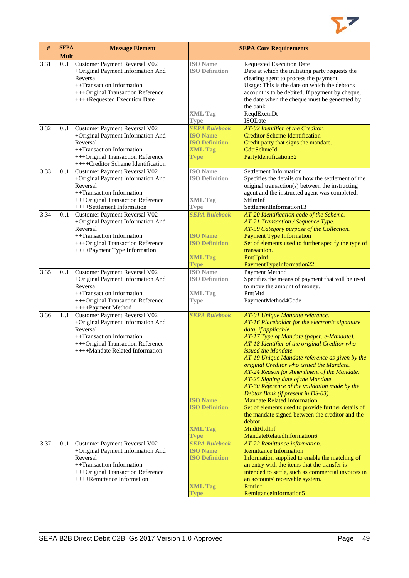

| #    | <b>SEPA</b><br><b>Mult</b> | <b>Message Element</b>                                                                                                                                                                        |                                                                                                   | <b>SEPA Core Requirements</b>                                                                                                                                                                                                                                                                                                                                                                                                                                                                                                                                                                                                                                                                                          |
|------|----------------------------|-----------------------------------------------------------------------------------------------------------------------------------------------------------------------------------------------|---------------------------------------------------------------------------------------------------|------------------------------------------------------------------------------------------------------------------------------------------------------------------------------------------------------------------------------------------------------------------------------------------------------------------------------------------------------------------------------------------------------------------------------------------------------------------------------------------------------------------------------------------------------------------------------------------------------------------------------------------------------------------------------------------------------------------------|
| 3.31 | 01                         | Customer Payment Reversal V02<br>+Original Payment Information And<br>Reversal<br>++Transaction Information<br>+++Original Transaction Reference<br>++++Requested Execution Date              | <b>ISO</b> Name<br><b>ISO Definition</b><br><b>XML Tag</b><br><b>Type</b>                         | <b>Requested Execution Date</b><br>Date at which the initiating party requests the<br>clearing agent to process the payment.<br>Usage: This is the date on which the debtor's<br>account is to be debited. If payment by cheque,<br>the date when the cheque must be generated by<br>the bank.<br>ReqdExctnDt<br><b>ISODate</b>                                                                                                                                                                                                                                                                                                                                                                                        |
| 3.32 | 0.1                        | <b>Customer Payment Reversal V02</b><br>+Original Payment Information And<br>Reversal<br>++Transaction Information<br>+++Original Transaction Reference<br>++++Creditor Scheme Identification | <b>SEPA Rulebook</b><br><b>ISO Name</b><br><b>ISO Definition</b><br><b>XML Tag</b><br><b>Type</b> | AT-02 Identifier of the Creditor.<br><b>Creditor Scheme Identification</b><br>Credit party that signs the mandate.<br>CdtrSchmeId<br>PartyIdentification32                                                                                                                                                                                                                                                                                                                                                                                                                                                                                                                                                             |
| 3.33 | 0.1                        | <b>Customer Payment Reversal V02</b><br>+Original Payment Information And<br>Reversal<br>++Transaction Information<br>+++Original Transaction Reference<br>++++Settlement Information         | <b>ISO</b> Name<br><b>ISO Definition</b><br><b>XML Tag</b><br><b>Type</b>                         | Settlement Information<br>Specifies the details on how the settlement of the<br>original transaction(s) between the instructing<br>agent and the instructed agent was completed.<br>SttlmInf<br>SettlementInformation13                                                                                                                                                                                                                                                                                                                                                                                                                                                                                                |
| 3.34 | 0.1                        | Customer Payment Reversal V02<br>+Original Payment Information And<br>Reversal<br>++Transaction Information<br>+++Original Transaction Reference<br>++++Payment Type Information              | <b>SEPA Rulebook</b><br><b>ISO Name</b><br><b>ISO Definition</b><br><b>XML Tag</b><br><b>Type</b> | AT-20 Identification code of the Scheme.<br>AT-21 Transaction / Sequence Type.<br>AT-59 Category purpose of the Collection.<br><b>Payment Type Information</b><br>Set of elements used to further specify the type of<br>transaction.<br>PmtTpInf<br>PaymentTypeInformation22                                                                                                                                                                                                                                                                                                                                                                                                                                          |
| 3.35 | 0.1                        | Customer Payment Reversal V02<br>+Original Payment Information And<br>Reversal<br>++Transaction Information<br>+++Original Transaction Reference<br>++++Payment Method                        | <b>ISO</b> Name<br><b>ISO Definition</b><br><b>XML Tag</b><br><b>Type</b>                         | Payment Method<br>Specifies the means of payment that will be used<br>to move the amount of money.<br>PmtMtd<br>PaymentMethod4Code                                                                                                                                                                                                                                                                                                                                                                                                                                                                                                                                                                                     |
| 3.36 | 1.1                        | Customer Payment Reversal V02<br>+Original Payment Information And<br>Reversal<br>++Transaction Information<br>+++Original Transaction Reference<br>++++Mandate Related Information           | <b>SEPA Rulebook</b><br><b>ISO</b> Name<br><b>ISO Definition</b><br><b>XML Tag</b><br><b>Type</b> | AT-01 Unique Mandate reference.<br>AT-16 Placeholder for the electronic signature<br>data, if applicable.<br>AT-17 Type of Mandate (paper, e-Mandate).<br>AT-18 Identifier of the original Creditor who<br><i>issued the Mandate.</i><br>AT-19 Unique Mandate reference as given by the<br>original Creditor who issued the Mandate.<br>AT-24 Reason for Amendment of the Mandate.<br>AT-25 Signing date of the Mandate.<br>AT-60 Reference of the validation made by the<br>Debtor Bank (if present in DS-03).<br><b>Mandate Related Information</b><br>Set of elements used to provide further details of<br>the mandate signed between the creditor and the<br>debtor.<br>MndtRltdInf<br>MandateRelatedInformation6 |
| 3.37 | 0.1                        | Customer Payment Reversal V02<br>+Original Payment Information And<br>Reversal<br>++Transaction Information<br>+++Original Transaction Reference<br>++++Remittance Information                | <b>SEPA Rulebook</b><br><b>ISO Name</b><br><b>ISO Definition</b><br><b>XML Tag</b><br>Type        | AT-22 Remittance information.<br><b>Remittance Information</b><br>Information supplied to enable the matching of<br>an entry with the items that the transfer is<br>intended to settle, such as commercial invoices in<br>an accounts' receivable system.<br><b>RmtInf</b><br>RemittanceInformation5                                                                                                                                                                                                                                                                                                                                                                                                                   |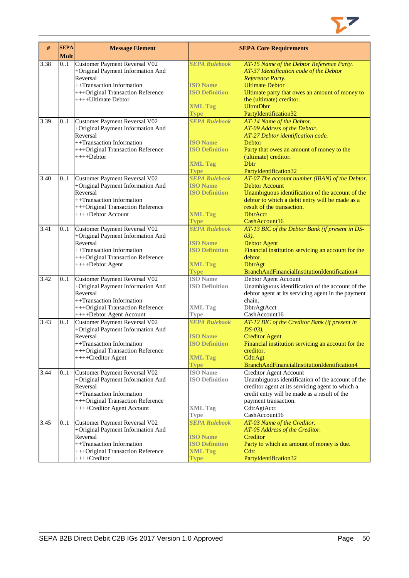

| #    | <b>SEPA</b><br><b>Mult</b> | <b>Message Element</b>                                                                                                                                                                             |                                                                                                                  | <b>SEPA Core Requirements</b>                                                                                                                                                                                                                                 |
|------|----------------------------|----------------------------------------------------------------------------------------------------------------------------------------------------------------------------------------------------|------------------------------------------------------------------------------------------------------------------|---------------------------------------------------------------------------------------------------------------------------------------------------------------------------------------------------------------------------------------------------------------|
| 3.38 | 0.1                        | Customer Payment Reversal V02<br>+Original Payment Information And<br>Reversal<br>++Transaction Information<br>+++Original Transaction Reference<br>++++Ultimate Debtor                            | <b>SEPA Rulebook</b><br><b>ISO Name</b><br><b>ISO Definition</b><br><b>XML Tag</b><br><b>Type</b>                | AT-15 Name of the Debtor Reference Party.<br>AT-37 Identification code of the Debtor<br>Reference Party.<br><b>Ultimate Debtor</b><br>Ultimate party that owes an amount of money to<br>the (ultimate) creditor.<br><b>UltmtDbtr</b><br>PartyIdentification32 |
| 3.39 | 0.1                        | Customer Payment Reversal V02<br>+Original Payment Information And<br>Reversal<br>++Transaction Information<br>+++Original Transaction Reference<br>++++Debtor                                     | <b>SEPA Rulebook</b><br><b>ISO Name</b><br><b>ISO Definition</b><br><b>XML Tag</b><br><b>Type</b>                | AT-14 Name of the Debtor.<br>AT-09 Address of the Debtor.<br>AT-27 Debtor identification code.<br><b>Debtor</b><br>Party that owes an amount of money to the<br>(ultimate) creditor.<br><b>D</b> btr<br>PartyIdentification32                                 |
| 3.40 | 0.1                        | Customer Payment Reversal V02<br>+Original Payment Information And<br>Reversal<br>++Transaction Information<br>+++Original Transaction Reference<br>++++Debtor Account                             | <b>SEPA Rulebook</b><br><b>ISO Name</b><br><b>ISO Definition</b><br><b>XML Tag</b><br><b>Type</b>                | AT-07 The account number (IBAN) of the Debtor.<br><b>Debtor Account</b><br>Unambiguous identification of the account of the<br>debtor to which a debit entry will be made as a<br>result of the transaction.<br><b>DbtrAcct</b><br>CashAccount16              |
| 3.41 | 0.1                        | <b>Customer Payment Reversal V02</b><br>+Original Payment Information And<br>Reversal<br>++Transaction Information<br>+++Original Transaction Reference<br>++++Debtor Agent                        | <b>SEPA Rulebook</b><br><b>ISO Name</b><br><b>ISO Definition</b><br><b>XML Tag</b><br><b>Type</b>                | AT-13 BIC of the Debtor Bank (if present in DS-<br>$(03)$ .<br><b>Debtor Agent</b><br>Financial institution servicing an account for the<br>debtor.<br><b>DbtrAgt</b><br>BranchAndFinancialInstitutionIdentification4                                         |
| 3.42 | 0.1                        | Customer Payment Reversal V02<br>+Original Payment Information And<br>Reversal<br>++Transaction Information<br>+++Original Transaction Reference                                                   | <b>ISO</b> Name<br><b>ISO Definition</b><br><b>XML Tag</b>                                                       | Debtor Agent Account<br>Unambiguous identification of the account of the<br>debtor agent at its servicing agent in the payment<br>chain.<br>DbtrAgtAcct                                                                                                       |
| 3.43 | 0.1                        | ++++Debtor Agent Account<br>Customer Payment Reversal V02<br>+Original Payment Information And<br>Reversal<br>++Transaction Information<br>+++Original Transaction Reference<br>++++Creditor Agent | <b>Type</b><br><b>SEPA Rulebook</b><br><b>ISO Name</b><br><b>ISO Definition</b><br><b>XML Tag</b><br><b>Type</b> | CashAccount16<br>AT-12 BIC of the Creditor Bank (if present in<br>$DS-03$ ).<br><b>Creditor Agent</b><br>Financial institution servicing an account for the<br>creditor.<br>CdtrAgt<br>BranchAndFinancialInstitutionIdentification4                           |
| 3.44 | 0.1                        | Customer Payment Reversal V02<br>+Original Payment Information And<br>Reversal<br>++Transaction Information<br>+++Original Transaction Reference<br>++++Creditor Agent Account                     | <b>ISO</b> Name<br><b>ISO Definition</b><br><b>XML Tag</b><br><b>Type</b>                                        | <b>Creditor Agent Account</b><br>Unambiguous identification of the account of the<br>creditor agent at its servicing agent to which a<br>credit entry will be made as a result of the<br>payment transaction.<br>CdtrAgtAcct<br>CashAccount16                 |
| 3.45 | 01                         | Customer Payment Reversal V02<br>+Original Payment Information And<br>Reversal<br>++Transaction Information<br>+++Original Transaction Reference<br>++++Creditor                                   | <b>SEPA Rulebook</b><br><b>ISO Name</b><br><b>ISO Definition</b><br><b>XML Tag</b><br><b>Type</b>                | AT-03 Name of the Creditor.<br>AT-05 Address of the Creditor.<br>Creditor<br>Party to which an amount of money is due.<br>C <sub>dt</sub><br>PartyIdentification32                                                                                            |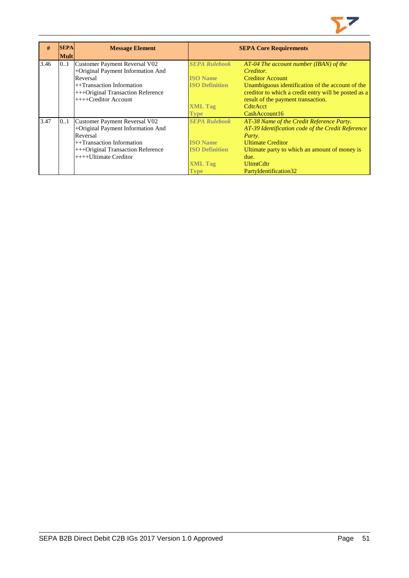

| #    | <b>SEPA</b> | <b>Message Element</b>            |                       | <b>SEPA Core Requirements</b>                        |
|------|-------------|-----------------------------------|-----------------------|------------------------------------------------------|
|      | <b>Mult</b> |                                   |                       |                                                      |
| 3.46 | 0.1         | Customer Payment Reversal V02     | <b>SEPA Rulebook</b>  | $AT-04$ The account number (IBAN) of the             |
|      |             | +Original Payment Information And |                       | Creditor.                                            |
|      |             | Reversal                          | <b>ISO Name</b>       | <b>Creditor Account</b>                              |
|      |             | $++$ Transaction Information      | <b>ISO Definition</b> | Unambiguous identification of the account of the     |
|      |             | +++Original Transaction Reference |                       | creditor to which a credit entry will be posted as a |
|      |             | $+++C$ reditor Account            |                       | result of the payment transaction.                   |
|      |             |                                   | <b>XML Tag</b>        | CdtrAcct                                             |
|      |             |                                   | Type                  | CashAccount16                                        |
| 3.47 | 01          | Customer Payment Reversal V02     | <b>SEPA Rulebook</b>  | AT-38 Name of the Credit Reference Party.            |
|      |             | +Original Payment Information And |                       | AT-39 Identification code of the Credit Reference    |
|      |             | Reversal                          |                       | Party.                                               |
|      |             | $++$ Transaction Information      | <b>ISO Name</b>       | <b>Ultimate Creditor</b>                             |
|      |             | +++Original Transaction Reference | <b>ISO Definition</b> | Ultimate party to which an amount of money is        |
|      |             | $++++$ Ultimate Creditor          |                       | due.                                                 |
|      |             |                                   | <b>XML Tag</b>        | <b>UltmtCdtr</b>                                     |
|      |             |                                   | <b>Type</b>           | PartyIdentification32                                |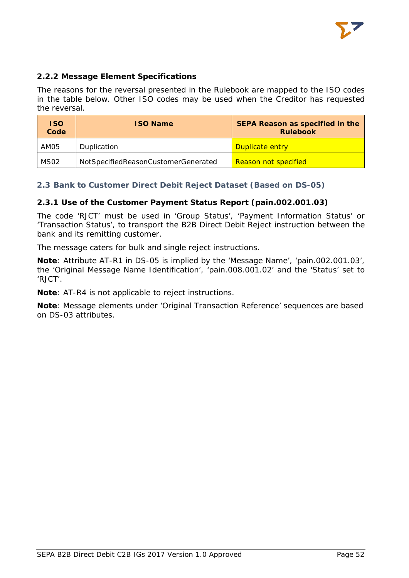

# <span id="page-52-0"></span>**2.2.2 Message Element Specifications**

The reasons for the reversal presented in the Rulebook are mapped to the ISO codes in the table below. Other ISO codes may be used when the Creditor has requested the reversal.

| <b>ISO</b><br>Code | <b>ISO Name</b>                     | <b>SEPA Reason as specified in the</b><br><b>Rulebook</b> |
|--------------------|-------------------------------------|-----------------------------------------------------------|
| AM05               | Duplication                         | Duplicate entry                                           |
| MS <sub>02</sub>   | NotSpecifiedReasonCustomerGenerated | <b>Reason not specified</b>                               |

# <span id="page-52-1"></span>**2.3 Bank to Customer Direct Debit Reject Dataset (Based on DS-05)**

### <span id="page-52-2"></span>**2.3.1 Use of the Customer Payment Status Report (pain.002.001.03)**

The code 'RJCT' must be used in 'Group Status', 'Payment Information Status' or 'Transaction Status', to transport the B2B Direct Debit Reject instruction between the bank and its remitting customer.

The message caters for bulk and single reject instructions.

**Note**: Attribute AT-R1 in DS-05 is implied by the 'Message Name', 'pain.002.001.03', the 'Original Message Name Identification', 'pain.008.001.02' and the 'Status' set to 'RJCT'.

**Note**: AT-R4 is not applicable to reject instructions.

**Note**: Message elements under 'Original Transaction Reference' sequences are based on DS-03 attributes.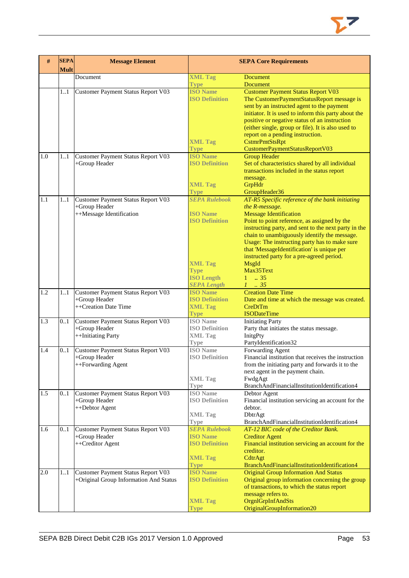

| #   | <b>SEPA</b><br><b>Mult</b> | <b>Message Element</b>                              |                                          | <b>SEPA Core Requirements</b>                                                           |  |
|-----|----------------------------|-----------------------------------------------------|------------------------------------------|-----------------------------------------------------------------------------------------|--|
|     |                            | Document                                            | <b>XML Tag</b>                           | <b>Document</b>                                                                         |  |
|     |                            |                                                     | <b>Type</b>                              | <b>Document</b>                                                                         |  |
|     | 1.1                        | Customer Payment Status Report V03                  | <b>ISO Name</b>                          | <b>Customer Payment Status Report V03</b>                                               |  |
|     |                            |                                                     | <b>ISO Definition</b>                    | The CustomerPaymentStatusReport message is                                              |  |
|     |                            |                                                     |                                          | sent by an instructed agent to the payment                                              |  |
|     |                            |                                                     |                                          | initiator. It is used to inform this party about the                                    |  |
|     |                            |                                                     |                                          | positive or negative status of an instruction                                           |  |
|     |                            |                                                     |                                          | (either single, group or file). It is also used to                                      |  |
|     |                            |                                                     |                                          | report on a pending instruction.                                                        |  |
|     |                            |                                                     | <b>XML Tag</b><br><b>Type</b>            | CstmrPmtStsRpt<br>CustomerPaymentStatusReportV03                                        |  |
| 1.0 | 1.1                        | Customer Payment Status Report V03                  | <b>ISO Name</b>                          | <b>Group Header</b>                                                                     |  |
|     |                            | +Group Header                                       | <b>ISO Definition</b>                    | Set of characteristics shared by all individual                                         |  |
|     |                            |                                                     |                                          | transactions included in the status report                                              |  |
|     |                            |                                                     |                                          | message.                                                                                |  |
|     |                            |                                                     | <b>XML Tag</b>                           | GrpHdr                                                                                  |  |
|     |                            |                                                     | <b>Type</b>                              | GroupHeader36                                                                           |  |
| 1.1 | $11$                       | Customer Payment Status Report V03                  | <b>SEPA Rulebook</b>                     | AT-R5 Specific reference of the bank initiating                                         |  |
|     |                            | +Group Header                                       |                                          | the R-message.                                                                          |  |
|     |                            | ++Message Identification                            | <b>ISO Name</b>                          | <b>Message Identification</b>                                                           |  |
|     |                            |                                                     | <b>ISO Definition</b>                    | Point to point reference, as assigned by the                                            |  |
|     |                            |                                                     |                                          | instructing party, and sent to the next party in the                                    |  |
|     |                            |                                                     |                                          | chain to unambiguously identify the message.                                            |  |
|     |                            |                                                     |                                          | Usage: The instructing party has to make sure                                           |  |
|     |                            |                                                     |                                          | that 'MessageIdentification' is unique per<br>instructed party for a pre-agreed period. |  |
|     |                            |                                                     | <b>XML Tag</b>                           | MsgId                                                                                   |  |
|     |                            |                                                     | <b>Type</b>                              | Max35Text                                                                               |  |
|     |                            |                                                     | <b>ISO Length</b>                        | $1 \t . 35$                                                                             |  |
|     |                            |                                                     | <b>SEPA Length</b>                       | $1-.35$                                                                                 |  |
| 1.2 | 1.1                        | Customer Payment Status Report V03                  | <b>ISO Name</b>                          | <b>Creation Date Time</b>                                                               |  |
|     |                            | +Group Header                                       | <b>ISO Definition</b>                    | Date and time at which the message was created.                                         |  |
|     |                            | ++Creation Date Time                                | <b>XML Tag</b>                           | CreDtTm                                                                                 |  |
|     |                            |                                                     | <b>Type</b>                              | <b>ISODateTime</b>                                                                      |  |
| 1.3 | 0.1                        | Customer Payment Status Report V03                  | <b>ISO</b> Name                          | <b>Initiating Party</b>                                                                 |  |
|     |                            | +Group Header                                       | <b>ISO Definition</b>                    | Party that initiates the status message.                                                |  |
|     |                            | ++Initiating Party                                  | <b>XML Tag</b>                           | InitgPty                                                                                |  |
| 1.4 | 0.1                        |                                                     | <b>Type</b><br><b>ISO</b> Name           | PartyIdentification32<br>Forwarding Agent                                               |  |
|     |                            | Customer Payment Status Report V03<br>+Group Header | <b>ISO Definition</b>                    | Financial institution that receives the instruction                                     |  |
|     |                            | ++Forwarding Agent                                  |                                          | from the initiating party and forwards it to the                                        |  |
|     |                            |                                                     |                                          | next agent in the payment chain.                                                        |  |
|     |                            |                                                     | <b>XML Tag</b>                           | FwdgAgt                                                                                 |  |
|     |                            |                                                     | <b>Type</b>                              | BranchAndFinancialInstitutionIdentification4                                            |  |
| 1.5 | 01                         | Customer Payment Status Report V03                  | <b>ISO</b> Name                          | Debtor Agent                                                                            |  |
|     |                            | +Group Header                                       | <b>ISO Definition</b>                    | Financial institution servicing an account for the                                      |  |
|     |                            | ++Debtor Agent                                      |                                          | debtor.                                                                                 |  |
|     |                            |                                                     | <b>XML Tag</b>                           | DbtrAgt                                                                                 |  |
|     |                            |                                                     | Type                                     | BranchAndFinancialInstitutionIdentification4                                            |  |
| 1.6 | 0.1                        | Customer Payment Status Report V03                  | <b>SEPA Rulebook</b>                     | AT-12 BIC code of the Creditor Bank.                                                    |  |
|     |                            | +Group Header                                       | <b>ISO Name</b><br><b>ISO Definition</b> | <b>Creditor Agent</b>                                                                   |  |
|     |                            | ++Creditor Agent                                    |                                          | Financial institution servicing an account for the<br>creditor.                         |  |
|     |                            |                                                     | <b>XML Tag</b>                           | CdtrAgt                                                                                 |  |
|     |                            |                                                     | <b>Type</b>                              | BranchAndFinancialInstitutionIdentification4                                            |  |
| 2.0 | 1.1                        | Customer Payment Status Report V03                  | <b>ISO Name</b>                          | <b>Original Group Information And Status</b>                                            |  |
|     |                            | +Original Group Information And Status              | <b>ISO Definition</b>                    | Original group information concerning the group                                         |  |
|     |                            |                                                     |                                          | of transactions, to which the status report                                             |  |
|     |                            |                                                     |                                          | message refers to.                                                                      |  |
|     |                            |                                                     | <b>XML Tag</b>                           | OrgnlGrpInfAndSts                                                                       |  |
|     |                            |                                                     | <b>Type</b>                              | OriginalGroupInformation20                                                              |  |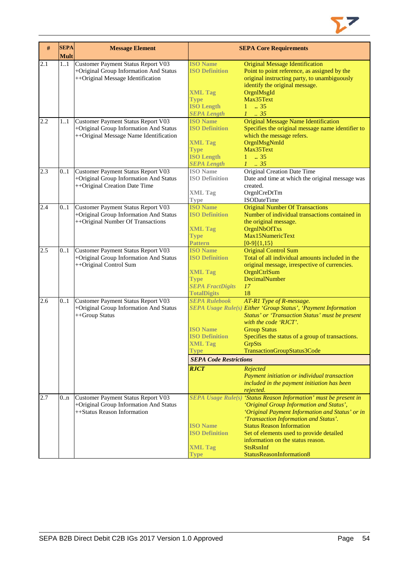

| $\#$ | <b>SEPA</b><br><b>Mult</b> | <b>Message Element</b>                    |                               | <b>SEPA Core Requirements</b>                                     |
|------|----------------------------|-------------------------------------------|-------------------------------|-------------------------------------------------------------------|
| 2.1  | 11                         | <b>Customer Payment Status Report V03</b> | <b>ISO Name</b>               | <b>Original Message Identification</b>                            |
|      |                            | +Original Group Information And Status    | <b>ISO Definition</b>         | Point to point reference, as assigned by the                      |
|      |                            | ++Original Message Identification         |                               | original instructing party, to unambiguously                      |
|      |                            |                                           |                               | identify the original message.                                    |
|      |                            |                                           | <b>XML Tag</b>                | OrgnlMsgId                                                        |
|      |                            |                                           | <b>Type</b>                   | Max35Text                                                         |
|      |                            |                                           | <b>ISO Length</b>             | $1 \t . 35$                                                       |
|      |                            |                                           | <b>SEPA Length</b>            | $1-.35$                                                           |
| 2.2  | 11                         | Customer Payment Status Report V03        | <b>ISO Name</b>               | <b>Original Message Name Identification</b>                       |
|      |                            | +Original Group Information And Status    | <b>ISO Definition</b>         | Specifies the original message name identifier to                 |
|      |                            | ++Original Message Name Identification    |                               | which the message refers.                                         |
|      |                            |                                           | <b>XML Tag</b>                | OrgnlMsgNmId                                                      |
|      |                            |                                           | <b>Type</b>                   | Max35Text                                                         |
|      |                            |                                           | <b>ISO Length</b>             | $1 \t . 35$                                                       |
|      |                            |                                           | <b>SEPA Length</b>            | $1 \t35$                                                          |
| 2.3  | 0.1                        | Customer Payment Status Report V03        | <b>ISO</b> Name               | <b>Original Creation Date Time</b>                                |
|      |                            | +Original Group Information And Status    | <b>ISO Definition</b>         | Date and time at which the original message was                   |
|      |                            | ++Original Creation Date Time             |                               | created.                                                          |
|      |                            |                                           | <b>XML Tag</b>                | OrgnlCreDtTm                                                      |
|      |                            |                                           | Type                          | ISODateTime                                                       |
| 2.4  | 0.1                        | Customer Payment Status Report V03        | <b>ISO Name</b>               | <b>Original Number Of Transactions</b>                            |
|      |                            | +Original Group Information And Status    | <b>ISO Definition</b>         | Number of individual transactions contained in                    |
|      |                            | ++Original Number Of Transactions         |                               | the original message.                                             |
|      |                            |                                           | <b>XML Tag</b>                | OrgnlNbOfTxs                                                      |
|      |                            |                                           | <b>Type</b>                   | Max15NumericText                                                  |
|      |                            |                                           | <b>Pattern</b>                | $[0-9]{1,15}$                                                     |
| 2.5  | 0.1                        | Customer Payment Status Report V03        | <b>ISO Name</b>               | <b>Original Control Sum</b>                                       |
|      |                            | +Original Group Information And Status    | <b>ISO Definition</b>         | Total of all individual amounts included in the                   |
|      |                            | ++Original Control Sum                    |                               | original message, irrespective of currencies.                     |
|      |                            |                                           | <b>XML Tag</b>                | OrgnlCtrlSum                                                      |
|      |                            |                                           | <b>Type</b>                   | DecimalNumber                                                     |
|      |                            |                                           | <b>SEPA FractDigits</b>       | 17                                                                |
|      |                            |                                           | <b>TotalDigits</b>            | 18                                                                |
| 2.6  | 0.1                        | Customer Payment Status Report V03        | <b>SEPA Rulebook</b>          | AT-R1 Type of R-message.                                          |
|      |                            | +Original Group Information And Status    |                               | SEPA Usage Rule(s) Either 'Group Status', 'Payment Information    |
|      |                            | ++Group Status                            |                               | Status' or 'Transaction Status' must be present                   |
|      |                            |                                           |                               | with the code 'RJCT'.                                             |
|      |                            |                                           | <b>ISO</b> Name               | <b>Group Status</b>                                               |
|      |                            |                                           | <b>ISO Definition</b>         | Specifies the status of a group of transactions.                  |
|      |                            |                                           | <b>XML Tag</b>                | <b>GrpSts</b>                                                     |
|      |                            |                                           | <b>Type</b>                   | TransactionGroupStatus3Code                                       |
|      |                            |                                           | <b>SEPA Code Restrictions</b> |                                                                   |
|      |                            |                                           |                               |                                                                   |
|      |                            |                                           | <b>RJCT</b>                   | Rejected                                                          |
|      |                            |                                           |                               | Payment initiation or individual transaction                      |
|      |                            |                                           |                               | included in the payment initiation has been                       |
|      |                            |                                           |                               | rejected.                                                         |
| 2.7  | 0n                         | Customer Payment Status Report V03        |                               | SEPA Usage Rule(s) 'Status Reason Information' must be present in |
|      |                            | +Original Group Information And Status    |                               | 'Original Group Information and Status',                          |
|      |                            | ++Status Reason Information               |                               | 'Original Payment Information and Status' or in                   |
|      |                            |                                           |                               | 'Transaction Information and Status'.                             |
|      |                            |                                           | <b>ISO Name</b>               | <b>Status Reason Information</b>                                  |
|      |                            |                                           | <b>ISO Definition</b>         | Set of elements used to provide detailed                          |
|      |                            |                                           |                               | information on the status reason.                                 |
|      |                            |                                           | <b>XML Tag</b>                | <b>StsRsnInf</b>                                                  |
|      |                            |                                           | <b>Type</b>                   | StatusReasonInformation8                                          |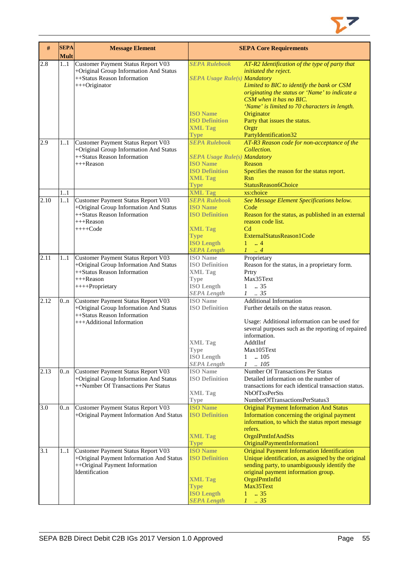

| #    | <b>SEPA</b><br><b>Mult</b> | <b>Message Element</b>                   |                                     | <b>SEPA Core Requirements</b>                       |
|------|----------------------------|------------------------------------------|-------------------------------------|-----------------------------------------------------|
| 2.8  | 11                         | Customer Payment Status Report V03       | <b>SEPA Rulebook</b>                | AT-R2 Identification of the type of party that      |
|      |                            | +Original Group Information And Status   |                                     | initiated the reject.                               |
|      |                            | ++Status Reason Information              | <b>SEPA Usage Rule(s) Mandatory</b> |                                                     |
|      |                            | +++Originator                            |                                     | Limited to BIC to identify the bank or CSM          |
|      |                            |                                          |                                     | originating the status or 'Name' to indicate a      |
|      |                            |                                          |                                     | CSM when it has no BIC.                             |
|      |                            |                                          |                                     | 'Name' is limited to 70 characters in length.       |
|      |                            |                                          | <b>ISO Name</b>                     | Originator                                          |
|      |                            |                                          | <b>ISO Definition</b>               | Party that issues the status.                       |
|      |                            |                                          | <b>XML Tag</b>                      | Orgtr                                               |
|      |                            |                                          | <b>Type</b>                         | PartyIdentification32                               |
| 2.9  | 11                         | Customer Payment Status Report V03       | <b>SEPA Rulebook</b>                | AT-R3 Reason code for non-acceptance of the         |
|      |                            | +Original Group Information And Status   |                                     | Collection.                                         |
|      |                            | ++Status Reason Information              | <b>SEPA Usage Rule(s) Mandatory</b> |                                                     |
|      |                            | $+++$ Reason                             | <b>ISO Name</b>                     | Reason                                              |
|      |                            |                                          | <b>ISO Definition</b>               | Specifies the reason for the status report.         |
|      |                            |                                          | <b>XML Tag</b>                      | <b>R</b> sn                                         |
|      |                            |                                          | <b>Type</b>                         | StatusReason6Choice                                 |
|      | 1.1                        |                                          | <b>XML Tag</b>                      | xs:choice                                           |
| 2.10 | 11                         | Customer Payment Status Report V03       | <b>SEPA Rulebook</b>                | See Message Element Specifications below.           |
|      |                            | +Original Group Information And Status   | <b>ISO Name</b>                     | Code                                                |
|      |                            | ++Status Reason Information              | <b>ISO Definition</b>               | Reason for the status, as published in an external  |
|      |                            | $+++$ Reason                             |                                     | reason code list.                                   |
|      |                            | $+++Code$                                | <b>XML Tag</b>                      | C <sub>d</sub>                                      |
|      |                            |                                          | <b>Type</b>                         | ExternalStatusReason1Code                           |
|      |                            |                                          | <b>ISO Length</b>                   | $\ldots$ 4<br>1                                     |
|      |                            |                                          | <b>SEPA Length</b>                  | $1 \ldots 4$                                        |
| 2.11 | 11                         | Customer Payment Status Report V03       | <b>ISO</b> Name                     | Proprietary                                         |
|      |                            | +Original Group Information And Status   | <b>ISO Definition</b>               | Reason for the status, in a proprietary form.       |
|      |                            | ++Status Reason Information              | <b>XML Tag</b>                      | Prtry                                               |
|      |                            | +++Reason                                | Type                                | Max35Text                                           |
|      |                            | ++++Proprietary                          | <b>ISO Length</b>                   | $1-.35$                                             |
|      |                            |                                          | <b>SEPA</b> Length                  | $1-.35$                                             |
| 2.12 | 0 <sub>nn</sub>            | Customer Payment Status Report V03       | <b>ISO</b> Name                     | <b>Additional Information</b>                       |
|      |                            | +Original Group Information And Status   | <b>ISO Definition</b>               | Further details on the status reason.               |
|      |                            | ++Status Reason Information              |                                     |                                                     |
|      |                            | +++Additional Information                |                                     | Usage: Additional information can be used for       |
|      |                            |                                          |                                     | several purposes such as the reporting of repaired  |
|      |                            |                                          |                                     | information.                                        |
|      |                            |                                          | <b>XML</b> Tag                      | AddtlInf                                            |
|      |                            |                                          | Type                                | Max105Text                                          |
|      |                            |                                          | <b>ISO</b> Length                   | $\mathbf{1}$<br>.105                                |
|      |                            |                                          | <b>SEPA Length</b>                  | .105<br>$\mathcal{I}$                               |
| 2.13 | 0 <sub>nn</sub>            | Customer Payment Status Report V03       | <b>ISO</b> Name                     | <b>Number Of Transactions Per Status</b>            |
|      |                            | +Original Group Information And Status   | <b>ISO Definition</b>               | Detailed information on the number of               |
|      |                            | ++Number Of Transactions Per Status      |                                     | transactions for each identical transaction status. |
|      |                            |                                          | <b>XML Tag</b>                      | <b>NbOfTxsPerSts</b>                                |
|      |                            |                                          | <b>Type</b>                         | NumberOfTransactionsPerStatus3                      |
| 3.0  | 0 <sub>nn</sub>            | Customer Payment Status Report V03       | <b>ISO</b> Name                     | <b>Original Payment Information And Status</b>      |
|      |                            | +Original Payment Information And Status | <b>ISO Definition</b>               | Information concerning the original payment         |
|      |                            |                                          |                                     | information, to which the status report message     |
|      |                            |                                          |                                     | refers.                                             |
|      |                            |                                          | <b>XML Tag</b>                      | OrgnlPmtInfAndSts                                   |
|      |                            |                                          | <b>Type</b>                         | OriginalPaymentInformation1                         |
| 3.1  | 1.1                        | Customer Payment Status Report V03       | <b>ISO Name</b>                     | <b>Original Payment Information Identification</b>  |
|      |                            | +Original Payment Information And Status | <b>ISO Definition</b>               | Unique identification, as assigned by the original  |
|      |                            | ++Original Payment Information           |                                     | sending party, to unambiguously identify the        |
|      |                            | Identification                           |                                     | original payment information group.                 |
|      |                            |                                          | <b>XML Tag</b>                      | OrgnlPmtInfId                                       |
|      |                            |                                          | <b>Type</b>                         | Max35Text                                           |
|      |                            |                                          | <b>ISO Length</b>                   | .35<br>$\mathbf{1}$                                 |
|      |                            |                                          | <b>SEPA Length</b>                  | $1 - .35$                                           |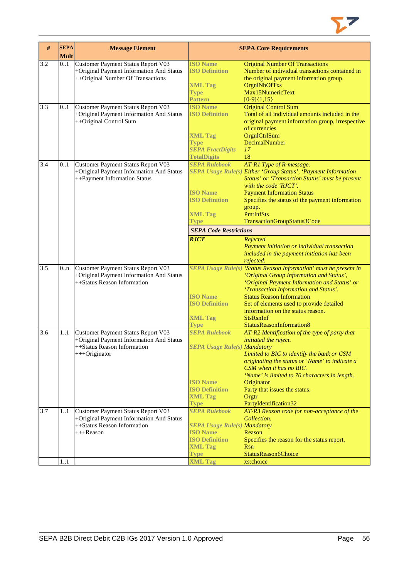

| 3.2              | <b>Mult</b><br>0.1 |                                                                                                                                |                                                                                                                                                            |                                                                                                                                                                                                                                                                                                                                                                                                                                 |
|------------------|--------------------|--------------------------------------------------------------------------------------------------------------------------------|------------------------------------------------------------------------------------------------------------------------------------------------------------|---------------------------------------------------------------------------------------------------------------------------------------------------------------------------------------------------------------------------------------------------------------------------------------------------------------------------------------------------------------------------------------------------------------------------------|
|                  |                    | Customer Payment Status Report V03<br>+Original Payment Information And Status<br>++Original Number Of Transactions            | <b>ISO Name</b><br><b>ISO Definition</b><br><b>XML Tag</b><br><b>Type</b><br>Pattern                                                                       | <b>Original Number Of Transactions</b><br>Number of individual transactions contained in<br>the original payment information group.<br>OrgnlNbOfTxs<br>Max15NumericText<br>$[0-9]{1,15}$                                                                                                                                                                                                                                        |
| 3.3              | 0.1                | Customer Payment Status Report V03<br>+Original Payment Information And Status<br>++Original Control Sum                       | <b>ISO Name</b><br><b>ISO Definition</b><br><b>XML Tag</b><br><b>Type</b><br><b>SEPA FractDigits</b><br><b>TotalDigits</b>                                 | <b>Original Control Sum</b><br>Total of all individual amounts included in the<br>original payment information group, irrespective<br>of currencies.<br>OrgnlCtrlSum<br>DecimalNumber<br>17<br>18                                                                                                                                                                                                                               |
| 3.4              | 0.1                | Customer Payment Status Report V03<br>+Original Payment Information And Status<br>++Payment Information Status                 | <b>SEPA Rulebook</b><br><b>ISO Name</b><br><b>ISO Definition</b><br><b>XML Tag</b><br><b>Type</b><br><b>SEPA Code Restrictions</b><br><b>RJCT</b>          | AT-R1 Type of R-message.<br>SEPA Usage Rule(s) Either 'Group Status', 'Payment Information<br>Status' or 'Transaction Status' must be present<br>with the code 'RJCT'.<br><b>Payment Information Status</b><br>Specifies the status of the payment information<br>group.<br>PmtInfSts<br>TransactionGroupStatus3Code<br>Rejected<br>Payment initiation or individual transaction<br>included in the payment initiation has been |
| $\overline{3.5}$ | 0.n                | Customer Payment Status Report V03<br>+Original Payment Information And Status<br>++Status Reason Information                  | <b>ISO Name</b><br><b>ISO Definition</b><br><b>XML Tag</b><br><b>Type</b>                                                                                  | rejected.<br>SEPA Usage Rule(s) 'Status Reason Information' must be present in<br>'Original Group Information and Status',<br>'Original Payment Information and Status' or<br>'Transaction Information and Status'.<br><b>Status Reason Information</b><br>Set of elements used to provide detailed<br>information on the status reason.<br><b>StsRsnInf</b><br>StatusReasonInformation8                                        |
| 3.6              | 1.1                | Customer Payment Status Report V03<br>+Original Payment Information And Status<br>++Status Reason Information<br>+++Originator | <b>SEPA Rulebook</b><br><b>SEPA Usage Rule(s) Mandatory</b><br><b>ISO</b> Name<br><b>ISO Definition</b><br><b>XML Tag</b><br><b>Type</b>                   | AT-R2 Identification of the type of party that<br>initiated the reject.<br>Limited to BIC to identify the bank or CSM<br>originating the status or 'Name' to indicate a<br>CSM when it has no BIC.<br>'Name' is limited to 70 characters in length.<br>Originator<br>Party that issues the status.<br>Orgtr<br>PartyIdentification32                                                                                            |
| 3.7              | 1.1<br>11          | Customer Payment Status Report V03<br>+Original Payment Information And Status<br>++Status Reason Information<br>+++Reason     | <b>SEPA Rulebook</b><br><b>SEPA Usage Rule(s) Mandatory</b><br><b>ISO</b> Name<br><b>ISO Definition</b><br><b>XML Tag</b><br><b>Type</b><br><b>XML Tag</b> | AT-R3 Reason code for non-acceptance of the<br>Collection.<br>Reason<br>Specifies the reason for the status report.<br>Rsn<br>StatusReason6Choice<br>xs:choice                                                                                                                                                                                                                                                                  |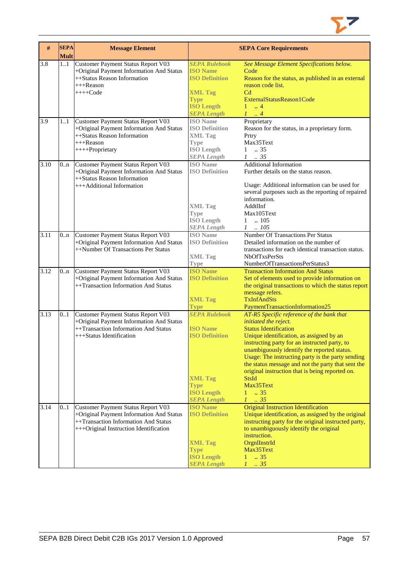

| #    | <b>SEPA</b><br><b>Mult</b> | <b>Message Element</b>                                                                                                                                           |                                                                                                                                              | <b>SEPA Core Requirements</b>                                                                                                                                                                                                                                                                                                                                                                                                                                           |
|------|----------------------------|------------------------------------------------------------------------------------------------------------------------------------------------------------------|----------------------------------------------------------------------------------------------------------------------------------------------|-------------------------------------------------------------------------------------------------------------------------------------------------------------------------------------------------------------------------------------------------------------------------------------------------------------------------------------------------------------------------------------------------------------------------------------------------------------------------|
| 3.8  | 1.1                        | Customer Payment Status Report V03<br>+Original Payment Information And Status<br>++Status Reason Information<br>$+++$ Reason<br>$+++Code$                       | <b>SEPA Rulebook</b><br><b>ISO Name</b><br><b>ISO Definition</b><br><b>XML Tag</b><br><b>Type</b><br><b>ISO Length</b><br><b>SEPA Length</b> | See Message Element Specifications below.<br>Code<br>Reason for the status, as published in an external<br>reason code list.<br>C <sub>d</sub><br>ExternalStatusReason1Code<br>$1 \dots 4$<br>$1 \ldots 4$                                                                                                                                                                                                                                                              |
| 3.9  | 11                         | Customer Payment Status Report V03<br>+Original Payment Information And Status<br>++Status Reason Information<br>$+++$ Reason<br>++++Proprietary                 | <b>ISO</b> Name<br><b>ISO Definition</b><br><b>XML Tag</b><br><b>Type</b><br><b>ISO Length</b><br><b>SEPA</b> Length                         | Proprietary<br>Reason for the status, in a proprietary form.<br>Prtry<br>Max35Text<br>$1 \t . 35$<br>$1 \t . 35$                                                                                                                                                                                                                                                                                                                                                        |
| 3.10 | 0 <sub>nn</sub>            | Customer Payment Status Report V03<br>+Original Payment Information And Status<br>++Status Reason Information<br>+++Additional Information                       | <b>ISO</b> Name<br><b>ISO Definition</b><br><b>XML Tag</b><br><b>Type</b><br><b>ISO Length</b><br><b>SEPA</b> Length                         | <b>Additional Information</b><br>Further details on the status reason.<br>Usage: Additional information can be used for<br>several purposes such as the reporting of repaired<br>information.<br>AddtlInf<br>Max105Text<br>$1 \quad .105$<br>$1 \quad .105$                                                                                                                                                                                                             |
| 3.11 | 0 <sub>nn</sub>            | Customer Payment Status Report V03<br>+Original Payment Information And Status<br>++Number Of Transactions Per Status                                            | <b>ISO</b> Name<br><b>ISO Definition</b><br><b>XML Tag</b><br><b>Type</b>                                                                    | <b>Number Of Transactions Per Status</b><br>Detailed information on the number of<br>transactions for each identical transaction status.<br><b>NbOfTxsPerSts</b><br>NumberOfTransactionsPerStatus3                                                                                                                                                                                                                                                                      |
| 3.12 | 0.n                        | Customer Payment Status Report V03<br>+Original Payment Information And Status<br>++Transaction Information And Status                                           | <b>ISO Name</b><br><b>ISO Definition</b><br><b>XML Tag</b><br><b>Type</b>                                                                    | <b>Transaction Information And Status</b><br>Set of elements used to provide information on<br>the original transactions to which the status report<br>message refers.<br><b>TxInfAndSts</b><br>PaymentTransactionInformation25                                                                                                                                                                                                                                         |
| 3.13 | 0.1                        | Customer Payment Status Report V03<br>+Original Payment Information And Status<br>++Transaction Information And Status<br>+++Status Identification               | <b>SEPA Rulebook</b><br><b>ISO Name</b><br><b>ISO Definition</b><br><b>XML Tag</b><br><b>Type</b><br><b>ISO Length</b><br><b>SEPA Length</b> | AT-R5 Specific reference of the bank that<br>initiated the reject.<br><b>Status Identification</b><br>Unique identification, as assigned by an<br>instructing party for an instructed party, to<br>unambiguously identify the reported status.<br>Usage: The instructing party is the party sending<br>the status message and not the party that sent the<br>original instruction that is being reported on.<br><b>StsId</b><br>Max35Text<br>$1 \t . 35$<br>$1 \t . 35$ |
| 3.14 | 0.1                        | Customer Payment Status Report V03<br>+Original Payment Information And Status<br>++Transaction Information And Status<br>+++Original Instruction Identification | <b>ISO Name</b><br><b>ISO Definition</b><br><b>XML Tag</b><br><b>Type</b><br><b>ISO Length</b><br><b>SEPA Length</b>                         | <b>Original Instruction Identification</b><br>Unique identification, as assigned by the original<br>instructing party for the original instructed party,<br>to unambiguously identify the original<br>instruction.<br>OrgnIInstrId<br>Max35Text<br>$\therefore$ 35<br>1<br>$\therefore$ 35<br>$\mathcal{I}$                                                                                                                                                             |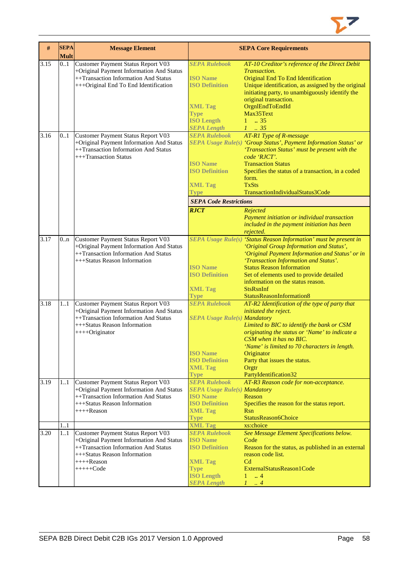

| #    | <b>SEPA</b><br><b>Mult</b> | <b>Message Element</b>                                                                                                                                                                |                                                                                                                                                         | <b>SEPA Core Requirements</b>                                                                                                                                                                                                                                                                                                                                                                                  |
|------|----------------------------|---------------------------------------------------------------------------------------------------------------------------------------------------------------------------------------|---------------------------------------------------------------------------------------------------------------------------------------------------------|----------------------------------------------------------------------------------------------------------------------------------------------------------------------------------------------------------------------------------------------------------------------------------------------------------------------------------------------------------------------------------------------------------------|
| 3.15 | 0.1                        | Customer Payment Status Report V03<br>+Original Payment Information And Status<br>++Transaction Information And Status<br>+++Original End To End Identification                       | <b>SEPA Rulebook</b><br><b>ISO</b> Name<br><b>ISO Definition</b><br><b>XML Tag</b><br><b>Type</b><br><b>ISO Length</b><br><b>SEPA Length</b>            | AT-10 Creditor's reference of the Direct Debit<br>Transaction.<br>Original End To End Identification<br>Unique identification, as assigned by the original<br>initiating party, to unambiguously identify the<br>original transaction.<br>OrgnlEndToEndId<br>Max35Text<br>$1 \t . 35$<br>$1 \t 35$                                                                                                             |
| 3.16 | 0.1                        | Customer Payment Status Report V03<br>+Original Payment Information And Status<br>++Transaction Information And Status<br>+++Transaction Status                                       | <b>SEPA Rulebook</b><br><b>ISO Name</b><br><b>ISO Definition</b><br><b>XML Tag</b><br>Type<br><b>SEPA Code Restrictions</b><br><b>RJCT</b>              | <b>AT-R1 Type of R-message</b><br>SEPA Usage Rule(s) 'Group Status', Payment Information Status' or<br>'Transaction Status' must be present with the<br>code 'RJCT'.<br><b>Transaction Status</b><br>Specifies the status of a transaction, in a coded<br>form.<br><b>TxSts</b><br>TransactionIndividualStatus3Code<br>Rejected<br>Payment initiation or individual transaction                                |
| 3.17 | 0.n                        | Customer Payment Status Report V03<br>+Original Payment Information And Status<br>++Transaction Information And Status<br>+++Status Reason Information                                | <b>ISO Name</b><br><b>ISO Definition</b><br><b>XML Tag</b>                                                                                              | included in the payment initiation has been<br>rejected.<br>SEPA Usage Rule(s) 'Status Reason Information' must be present in<br>'Original Group Information and Status',<br>'Original Payment Information and Status' or in<br>'Transaction Information and Status'.<br><b>Status Reason Information</b><br>Set of elements used to provide detailed<br>information on the status reason.<br><b>StsRsnInf</b> |
| 3.18 | 11                         | Customer Payment Status Report V03<br>+Original Payment Information And Status<br>++Transaction Information And Status<br>+++Status Reason Information<br>$+++O$ riginator            | <b>Type</b><br><b>SEPA Rulebook</b><br><b>SEPA Usage Rule(s) Mandatory</b><br><b>ISO Name</b><br><b>ISO Definition</b><br><b>XML Tag</b><br><b>Type</b> | StatusReasonInformation8<br>AT-R2 Identification of the type of party that<br>initiated the reject.<br>Limited to BIC to identify the bank or CSM<br>originating the status or 'Name' to indicate a<br>CSM when it has no BIC.<br>'Name' is limited to 70 characters in length.<br>Originator<br>Party that issues the status.<br>Orgtr<br>PartyIdentification32                                               |
| 3.19 | 11                         | Customer Payment Status Report V03<br>+Original Payment Information And Status<br>++Transaction Information And Status<br>+++Status Reason Information<br>++++Reason                  | <b>SEPA Rulebook</b><br><b>SEPA Usage Rule(s) Mandatory</b><br><b>ISO Name</b><br><b>ISO Definition</b><br><b>XML Tag</b><br><b>Type</b>                | AT-R3 Reason code for non-acceptance.<br>Reason<br>Specifies the reason for the status report.<br>Rsn<br>StatusReason6Choice                                                                                                                                                                                                                                                                                   |
|      | 11                         |                                                                                                                                                                                       | <b>XML Tag</b>                                                                                                                                          | xs:choice                                                                                                                                                                                                                                                                                                                                                                                                      |
| 3.20 | 1.1                        | Customer Payment Status Report V03<br>+Original Payment Information And Status<br>++Transaction Information And Status<br>+++Status Reason Information<br>$++++Reason$<br>$+++++Code$ | <b>SEPA Rulebook</b><br><b>ISO Name</b><br><b>ISO Definition</b><br><b>XML Tag</b><br>Type<br><b>ISO Length</b><br><b>SEPA Length</b>                   | See Message Element Specifications below.<br>Code<br>Reason for the status, as published in an external<br>reason code list.<br>C <sub>d</sub><br>ExternalStatusReason1Code<br>$\therefore$ 4<br>$1 -$<br>1<br>$\cdot$ 4                                                                                                                                                                                       |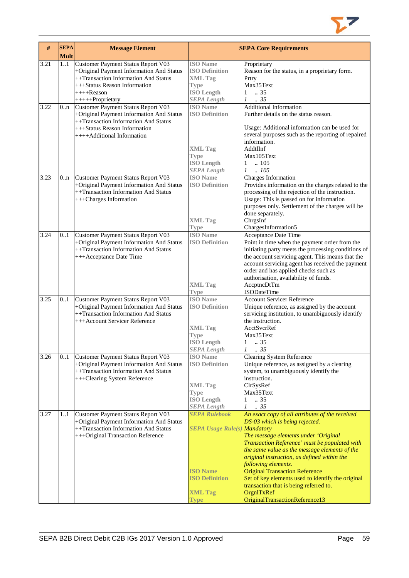

| #    | <b>SEPA</b><br><b>Mult</b> | <b>Message Element</b>                                                                                                                                                                     |                                                                                                                                          | <b>SEPA Core Requirements</b>                                                                                                                                                                                                                                                                                                                                                                                                                                                             |
|------|----------------------------|--------------------------------------------------------------------------------------------------------------------------------------------------------------------------------------------|------------------------------------------------------------------------------------------------------------------------------------------|-------------------------------------------------------------------------------------------------------------------------------------------------------------------------------------------------------------------------------------------------------------------------------------------------------------------------------------------------------------------------------------------------------------------------------------------------------------------------------------------|
| 3.21 | 11                         | Customer Payment Status Report V03<br>+Original Payment Information And Status<br>++Transaction Information And Status<br>+++Status Reason Information<br>$+++$ Reason<br>+++++Proprietary | <b>ISO</b> Name<br><b>ISO Definition</b><br><b>XML Tag</b><br><b>Type</b><br><b>ISO Length</b><br><b>SEPA Length</b>                     | Proprietary<br>Reason for the status, in a proprietary form.<br>Prtry<br>Max35Text<br>.35<br>1<br>$\mathcal{I}$<br>.35                                                                                                                                                                                                                                                                                                                                                                    |
| 3.22 | 0n                         | Customer Payment Status Report V03<br>+Original Payment Information And Status<br>++Transaction Information And Status<br>+++Status Reason Information<br>++++Additional Information       | <b>ISO</b> Name<br><b>ISO Definition</b><br><b>XML Tag</b><br><b>Type</b><br><b>ISO Length</b><br><b>SEPA</b> Length                     | <b>Additional Information</b><br>Further details on the status reason.<br>Usage: Additional information can be used for<br>several purposes such as the reporting of repaired<br>information.<br>AddtlInf<br>Max105Text<br>.105<br>$\mathbf{1}$<br>$1 \quad .105$                                                                                                                                                                                                                         |
| 3.23 | 0.n                        | Customer Payment Status Report V03<br>+Original Payment Information And Status<br>++Transaction Information And Status<br>+++Charges Information                                           | <b>ISO</b> Name<br><b>ISO Definition</b><br><b>XML Tag</b><br><b>Type</b>                                                                | Charges Information<br>Provides information on the charges related to the<br>processing of the rejection of the instruction.<br>Usage: This is passed on for information<br>purposes only. Settlement of the charges will be<br>done separately.<br>ChrgsInf<br>ChargesInformation5                                                                                                                                                                                                       |
| 3.24 | 0.1                        | Customer Payment Status Report V03<br>+Original Payment Information And Status<br>++Transaction Information And Status<br>+++Acceptance Date Time                                          | <b>ISO</b> Name<br><b>ISO Definition</b><br><b>XML Tag</b><br><b>Type</b>                                                                | Acceptance Date Time<br>Point in time when the payment order from the<br>initiating party meets the processing conditions of<br>the account servicing agent. This means that the<br>account servicing agent has received the payment<br>order and has applied checks such as<br>authorisation, availability of funds.<br>AccptncDtTm<br><b>ISODateTime</b>                                                                                                                                |
| 3.25 | 01                         | Customer Payment Status Report V03<br>+Original Payment Information And Status<br>++Transaction Information And Status<br>+++Account Servicer Reference                                    | <b>ISO Name</b><br><b>ISO Definition</b><br><b>XML Tag</b><br>Type<br><b>ISO</b> Length<br><b>SEPA Length</b>                            | <b>Account Servicer Reference</b><br>Unique reference, as assigned by the account<br>servicing institution, to unambiguously identify<br>the instruction.<br>AcctSvcrRef<br>Max35Text<br>1<br>$\therefore$ 35<br>$\mathcal{I}$<br>$\frac{1}{2}35$                                                                                                                                                                                                                                         |
| 3.26 | 01                         | Customer Payment Status Report V03<br>+Original Payment Information And Status<br>++Transaction Information And Status<br>+++Clearing System Reference                                     | <b>ISO</b> Name<br><b>ISO Definition</b><br><b>XML Tag</b><br><b>Type</b><br><b>ISO Length</b><br><b>SEPA Length</b>                     | Clearing System Reference<br>Unique reference, as assigned by a clearing<br>system, to unambiguously identify the<br>instruction.<br>ClrSysRef<br>Max35Text<br>.35<br>1<br>.35<br>$\mathcal{I}$                                                                                                                                                                                                                                                                                           |
| 3.27 | 11                         | Customer Payment Status Report V03<br>+Original Payment Information And Status<br>++Transaction Information And Status<br>+++Original Transaction Reference                                | <b>SEPA Rulebook</b><br><b>SEPA Usage Rule(s) Mandatory</b><br><b>ISO Name</b><br><b>ISO Definition</b><br><b>XML Tag</b><br><b>Type</b> | An exact copy of all attributes of the received<br>DS-03 which is being rejected.<br>The message elements under 'Original<br>Transaction Reference' must be populated with<br>the same value as the message elements of the<br>original instruction, as defined within the<br>following elements.<br><b>Original Transaction Reference</b><br>Set of key elements used to identify the original<br>transaction that is being referred to.<br>OrgnITxRef<br>OriginalTransactionReference13 |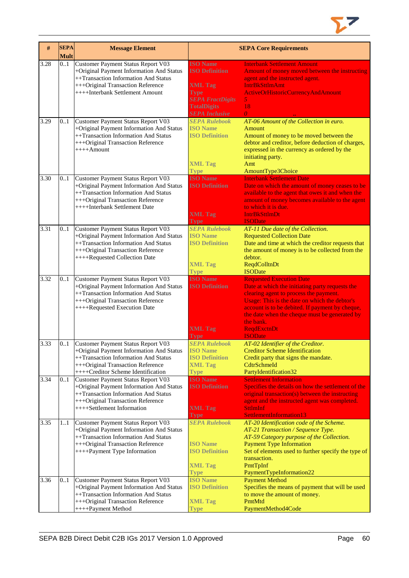

| #    | <b>SEPA</b><br><b>Mult</b> | <b>Message Element</b>                                                                                                                                                                            |                                                                                                                                                     | <b>SEPA Core Requirements</b>                                                                                                                                                                                                                                                                                                          |
|------|----------------------------|---------------------------------------------------------------------------------------------------------------------------------------------------------------------------------------------------|-----------------------------------------------------------------------------------------------------------------------------------------------------|----------------------------------------------------------------------------------------------------------------------------------------------------------------------------------------------------------------------------------------------------------------------------------------------------------------------------------------|
| 3.28 | 0.1                        | Customer Payment Status Report V03<br>+Original Payment Information And Status<br>++Transaction Information And Status<br>+++Original Transaction Reference<br>++++Interbank Settlement Amount    | <b>ISO Name</b><br><b>ISO Definition</b><br><b>XML Tag</b><br><b>Type</b><br><b>SEPA FractDigits</b><br><b>TotalDigits</b><br><b>SEPA Inclusive</b> | <b>Interbank Settlement Amount</b><br>Amount of money moved between the instructing<br>agent and the instructed agent.<br><b>IntrBkSttlmAmt</b><br>ActiveOrHistoricCurrencyAndAmount<br>5 <sub>1</sub><br>18<br>$\theta$                                                                                                               |
| 3.29 | 01                         | Customer Payment Status Report V03<br>+Original Payment Information And Status<br>++Transaction Information And Status<br>+++Original Transaction Reference<br>$+++$ Amount                       | <b>SEPA Rulebook</b><br><b>ISO Name</b><br><b>ISO Definition</b><br><b>XML Tag</b><br><b>Type</b>                                                   | AT-06 Amount of the Collection in euro.<br>Amount<br>Amount of money to be moved between the<br>debtor and creditor, before deduction of charges,<br>expressed in the currency as ordered by the<br>initiating party.<br>Amt<br>AmountType3Choice                                                                                      |
| 3.30 | 0.1                        | Customer Payment Status Report V03<br>+Original Payment Information And Status<br>++Transaction Information And Status<br>+++Original Transaction Reference<br>++++Interbank Settlement Date      | <b>ISO Name</b><br><b>ISO Definition</b><br><b>XML Tag</b><br><b>Type</b>                                                                           | <b>Interbank Settlement Date</b><br>Date on which the amount of money ceases to be<br>available to the agent that owes it and when the<br>amount of money becomes available to the agent<br>to which it is due.<br><b>IntrBkSttImDt</b><br><b>ISODate</b>                                                                              |
| 3.31 | 01                         | Customer Payment Status Report V03<br>+Original Payment Information And Status<br>++Transaction Information And Status<br>+++Original Transaction Reference<br>++++Requested Collection Date      | <b>SEPA Rulebook</b><br><b>ISO Name</b><br><b>ISO Definition</b><br><b>XML Tag</b><br><b>Type</b>                                                   | AT-11 Due date of the Collection.<br><b>Requested Collection Date</b><br>Date and time at which the creditor requests that<br>the amount of money is to be collected from the<br>debtor.<br><b>ReqdColltnDt</b><br><b>ISODate</b>                                                                                                      |
| 3.32 | 0.1                        | Customer Payment Status Report V03<br>+Original Payment Information And Status<br>++Transaction Information And Status<br>+++Original Transaction Reference<br>++++Requested Execution Date       | <b>ISO Name</b><br><b>ISO Definition</b><br><b>XML Tag</b><br>Type                                                                                  | <b>Requested Execution Date</b><br>Date at which the initiating party requests the<br>clearing agent to process the payment.<br>Usage: This is the date on which the debtor's<br>account is to be debited. If payment by cheque,<br>the date when the cheque must be generated by<br>the bank.<br><b>ReqdExctnDt</b><br><b>ISODate</b> |
| 3.33 | 0.1                        | Customer Payment Status Report V03<br>+Original Payment Information And Status<br>++Transaction Information And Status<br>+++Original Transaction Reference<br>++++Creditor Scheme Identification | <b>SEPA Rulebook</b><br><b>ISO Name</b><br><b>ISO Definition</b><br><b>XML Tag</b><br><b>Type</b>                                                   | AT-02 Identifier of the Creditor.<br><b>Creditor Scheme Identification</b><br>Credit party that signs the mandate.<br>CdtrSchmeId<br>PartyIdentification32                                                                                                                                                                             |
| 3.34 | 0.1                        | Customer Payment Status Report V03<br>+Original Payment Information And Status<br>++Transaction Information And Status<br>+++Original Transaction Reference<br>++++Settlement Information         | <b>ISO</b> Name<br><b>ISO Definition</b><br><b>XML Tag</b><br><b>Type</b>                                                                           | <b>Settlement Information</b><br>Specifies the details on how the settlement of the<br>original transaction(s) between the instructing<br>agent and the instructed agent was completed.<br><b>SttlmInf</b><br>SettlementInformation13                                                                                                  |
| 3.35 | 11                         | Customer Payment Status Report V03<br>+Original Payment Information And Status<br>++Transaction Information And Status<br>+++Original Transaction Reference<br>++++Payment Type Information       | <b>SEPA Rulebook</b><br><b>ISO Name</b><br><b>ISO Definition</b><br><b>XML Tag</b><br><b>Type</b>                                                   | AT-20 Identification code of the Scheme.<br>AT-21 Transaction / Sequence Type.<br>AT-59 Category purpose of the Collection.<br><b>Payment Type Information</b><br>Set of elements used to further specify the type of<br>transaction.<br>PmtTpInf<br>PaymentTypeInformation22                                                          |
| 3.36 | 0.1                        | Customer Payment Status Report V03<br>+Original Payment Information And Status<br>++Transaction Information And Status<br>+++Original Transaction Reference<br>++++Payment Method                 | <b>ISO Name</b><br><b>ISO Definition</b><br><b>XML Tag</b><br><b>Type</b>                                                                           | <b>Payment Method</b><br>Specifies the means of payment that will be used<br>to move the amount of money.<br>PmtMtd<br>PaymentMethod4Code                                                                                                                                                                                              |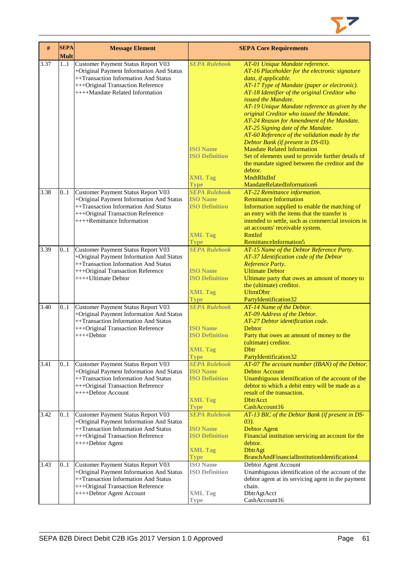

| $\#$ | <b>SEPA</b><br><b>Mult</b> | <b>Message Element</b>                                                                                                                                                                         |                                                                                                   | <b>SEPA Core Requirements</b>                                                                                                                                                                                                                                                                                                                                                                                                                                                                                                                                                                                                                                                        |
|------|----------------------------|------------------------------------------------------------------------------------------------------------------------------------------------------------------------------------------------|---------------------------------------------------------------------------------------------------|--------------------------------------------------------------------------------------------------------------------------------------------------------------------------------------------------------------------------------------------------------------------------------------------------------------------------------------------------------------------------------------------------------------------------------------------------------------------------------------------------------------------------------------------------------------------------------------------------------------------------------------------------------------------------------------|
| 3.37 | 11                         | Customer Payment Status Report V03<br>+Original Payment Information And Status<br>++Transaction Information And Status<br>+++Original Transaction Reference<br>++++Mandate Related Information | <b>SEPA Rulebook</b><br><b>ISO Name</b><br><b>ISO Definition</b><br><b>XML Tag</b>                | AT-01 Unique Mandate reference.<br>AT-16 Placeholder for the electronic signature<br>data, if applicable.<br>AT-17 Type of Mandate (paper or electronic).<br>AT-18 Identifier of the original Creditor who<br>issued the Mandate.<br>AT-19 Unique Mandate reference as given by the<br>original Creditor who issued the Mandate.<br>AT-24 Reason for Amendment of the Mandate.<br>AT-25 Signing date of the Mandate.<br>AT-60 Reference of the validation made by the<br>Debtor Bank (if present in DS-03).<br><b>Mandate Related Information</b><br>Set of elements used to provide further details of<br>the mandate signed between the creditor and the<br>debtor.<br>MndtRltdInf |
|      |                            |                                                                                                                                                                                                | <b>Type</b>                                                                                       | MandateRelatedInformation6                                                                                                                                                                                                                                                                                                                                                                                                                                                                                                                                                                                                                                                           |
| 3.38 | 0.1                        | Customer Payment Status Report V03<br>+Original Payment Information And Status<br>++Transaction Information And Status<br>+++Original Transaction Reference<br>++++Remittance Information      | <b>SEPA Rulebook</b><br><b>ISO Name</b><br><b>ISO Definition</b><br><b>XML Tag</b>                | AT-22 Remittance information.<br><b>Remittance Information</b><br>Information supplied to enable the matching of<br>an entry with the items that the transfer is<br>intended to settle, such as commercial invoices in<br>an accounts' receivable system.<br><b>RmtInf</b>                                                                                                                                                                                                                                                                                                                                                                                                           |
| 3.39 |                            |                                                                                                                                                                                                | <b>Type</b><br><b>SEPA Rulebook</b>                                                               | RemittanceInformation5                                                                                                                                                                                                                                                                                                                                                                                                                                                                                                                                                                                                                                                               |
|      | 0.1                        | Customer Payment Status Report V03<br>+Original Payment Information And Status<br>++Transaction Information And Status<br>+++Original Transaction Reference<br>$++++$ Ultimate Debtor          | <b>ISO</b> Name<br><b>ISO Definition</b><br><b>XML Tag</b><br><b>Type</b>                         | AT-15 Name of the Debtor Reference Party.<br>AT-37 Identification code of the Debtor<br>Reference Party.<br><b>Ultimate Debtor</b><br>Ultimate party that owes an amount of money to<br>the (ultimate) creditor.<br><b>UltmtDbtr</b><br>PartyIdentification32                                                                                                                                                                                                                                                                                                                                                                                                                        |
| 3.40 | 0.1                        | Customer Payment Status Report V03                                                                                                                                                             | <b>SEPA Rulebook</b>                                                                              | AT-14 Name of the Debtor.                                                                                                                                                                                                                                                                                                                                                                                                                                                                                                                                                                                                                                                            |
|      |                            | +Original Payment Information And Status<br>++Transaction Information And Status<br>+++Original Transaction Reference<br>$+++Debtor$                                                           | <b>ISO Name</b><br><b>ISO Definition</b><br><b>XML Tag</b><br><b>Type</b>                         | AT-09 Address of the Debtor.<br>AT-27 Debtor identification code.<br>Debtor<br>Party that owes an amount of money to the<br>(ultimate) creditor.<br>Dbtr<br>PartyIdentification32                                                                                                                                                                                                                                                                                                                                                                                                                                                                                                    |
| 3.41 | 0.1                        | Customer Payment Status Report V03<br>+Original Payment Information And Status<br>++Transaction Information And Status<br>+++Original Transaction Reference<br>++++Debtor Account              | <b>SEPA Rulebook</b><br><b>ISO</b> Name<br><b>ISO Definition</b><br><b>XML Tag</b><br><b>Type</b> | AT-07 The account number (IBAN) of the Debtor.<br><b>Debtor Account</b><br>Unambiguous identification of the account of the<br>debtor to which a debit entry will be made as a<br>result of the transaction.<br><b>DbtrAcct</b><br>CashAccount16                                                                                                                                                                                                                                                                                                                                                                                                                                     |
| 3.42 | 0.1                        | Customer Payment Status Report V03<br>+Original Payment Information And Status<br>++Transaction Information And Status<br>+++Original Transaction Reference<br>++++Debtor Agent                | <b>SEPA Rulebook</b><br><b>ISO</b> Name<br><b>ISO Definition</b><br><b>XML Tag</b><br><b>Type</b> | AT-13 BIC of the Debtor Bank (if present in DS-<br>$(03)$ .<br><b>Debtor Agent</b><br>Financial institution servicing an account for the<br>debtor.<br><b>DbtrAgt</b><br>BranchAndFinancialInstitutionIdentification4                                                                                                                                                                                                                                                                                                                                                                                                                                                                |
| 3.43 | 01                         | Customer Payment Status Report V03<br>+Original Payment Information And Status<br>++Transaction Information And Status<br>+++Original Transaction Reference<br>++++Debtor Agent Account        | <b>ISO</b> Name<br><b>ISO Definition</b><br><b>XML Tag</b><br>Type                                | Debtor Agent Account<br>Unambiguous identification of the account of the<br>debtor agent at its servicing agent in the payment<br>chain.<br>DbtrAgtAcct<br>CashAccount16                                                                                                                                                                                                                                                                                                                                                                                                                                                                                                             |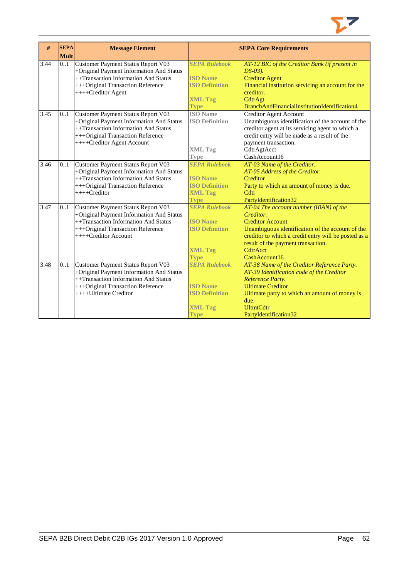

| #    | <b>SEPA</b> | <b>Message Element</b>                   |                       | <b>SEPA Core Requirements</b>                        |
|------|-------------|------------------------------------------|-----------------------|------------------------------------------------------|
|      | <b>Mult</b> |                                          |                       |                                                      |
| 3.44 | 0.1         | Customer Payment Status Report V03       | <b>SEPA Rulebook</b>  | AT-12 BIC of the Creditor Bank (if present in        |
|      |             | +Original Payment Information And Status |                       | $DS-03$ ).                                           |
|      |             | ++Transaction Information And Status     | <b>ISO</b> Name       | <b>Creditor Agent</b>                                |
|      |             | +++Original Transaction Reference        | <b>ISO Definition</b> | Financial institution servicing an account for the   |
|      |             | ++++Creditor Agent                       |                       | creditor.                                            |
|      |             |                                          | <b>XML Tag</b>        | CdtrAgt                                              |
|      |             |                                          | <b>Type</b>           | BranchAndFinancialInstitutionIdentification4         |
| 3.45 | 0.1         | Customer Payment Status Report V03       | <b>ISO</b> Name       | Creditor Agent Account                               |
|      |             | +Original Payment Information And Status | <b>ISO Definition</b> | Unambiguous identification of the account of the     |
|      |             | ++Transaction Information And Status     |                       | creditor agent at its servicing agent to which a     |
|      |             | +++Original Transaction Reference        |                       | credit entry will be made as a result of the         |
|      |             | ++++Creditor Agent Account               |                       | payment transaction.                                 |
|      |             |                                          | <b>XML Tag</b>        | CdtrAgtAcct                                          |
|      |             |                                          | <b>Type</b>           | CashAccount16                                        |
| 3.46 | 0.1         | Customer Payment Status Report V03       | <b>SEPA Rulebook</b>  | AT-03 Name of the Creditor.                          |
|      |             | +Original Payment Information And Status |                       | AT-05 Address of the Creditor.                       |
|      |             | ++Transaction Information And Status     | <b>ISO</b> Name       | Creditor                                             |
|      |             | +++Original Transaction Reference        | <b>ISO Definition</b> | Party to which an amount of money is due.            |
|      |             | ++++Creditor                             | <b>XML Tag</b>        | Cdtr                                                 |
|      |             |                                          | <b>Type</b>           | PartyIdentification32                                |
| 3.47 | 01          | Customer Payment Status Report V03       | <b>SEPA Rulebook</b>  | AT-04 The account number (IBAN) of the               |
|      |             | +Original Payment Information And Status |                       | Creditor.                                            |
|      |             | ++Transaction Information And Status     | <b>ISO</b> Name       | <b>Creditor Account</b>                              |
|      |             | +++Original Transaction Reference        | <b>ISO Definition</b> | Unambiguous identification of the account of the     |
|      |             | ++++Creditor Account                     |                       | creditor to which a credit entry will be posted as a |
|      |             |                                          |                       | result of the payment transaction.                   |
|      |             |                                          | <b>XML Tag</b>        | CdtrAcct                                             |
|      |             |                                          | <b>Type</b>           | CashAccount16                                        |
| 3.48 | 0.1         | Customer Payment Status Report V03       | <b>SEPA Rulebook</b>  | AT-38 Name of the Creditor Reference Party.          |
|      |             | +Original Payment Information And Status |                       | AT-39 Identification code of the Creditor            |
|      |             | ++Transaction Information And Status     |                       | Reference Party.                                     |
|      |             | +++Original Transaction Reference        | <b>ISO Name</b>       | <b>Ultimate Creditor</b>                             |
|      |             | ++++Ultimate Creditor                    | <b>ISO Definition</b> | Ultimate party to which an amount of money is        |
|      |             |                                          |                       | due.                                                 |
|      |             |                                          | <b>XML Tag</b>        | <b>UltmtCdtr</b>                                     |
|      |             |                                          | <b>Type</b>           | PartyIdentification32                                |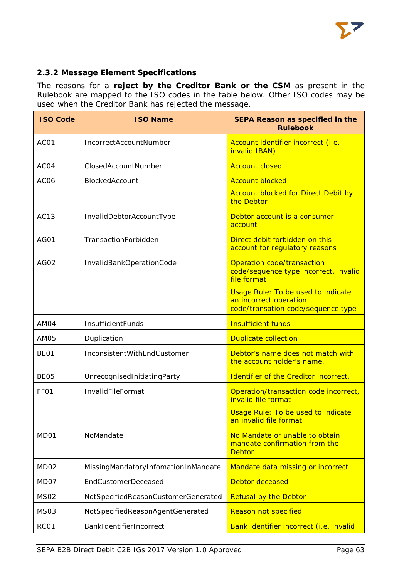

# <span id="page-63-0"></span>**2.3.2 Message Element Specifications**

The reasons for a **reject by the Creditor Bank or the CSM** as present in the Rulebook are mapped to the ISO codes in the table below. Other ISO codes may be used when the Creditor Bank has rejected the message.

| <b>ISO Code</b>  | <b>ISO Name</b>                     | SEPA Reason as specified in the<br><b>Rulebook</b>                                                        |
|------------------|-------------------------------------|-----------------------------------------------------------------------------------------------------------|
| AC01             | IncorrectAccountNumber              | Account identifier incorrect (i.e.<br>invalid IBAN)                                                       |
| AC04             | ClosedAccountNumber                 | <b>Account closed</b>                                                                                     |
| AC <sub>06</sub> | BlockedAccount                      | <b>Account blocked</b>                                                                                    |
|                  |                                     | <b>Account blocked for Direct Debit by</b><br>the Debtor                                                  |
| AC <sub>13</sub> | InvalidDebtorAccountType            | Debtor account is a consumer<br>account                                                                   |
| AG01             | TransactionForbidden                | Direct debit forbidden on this<br>account for regulatory reasons                                          |
| AG02             | InvalidBankOperationCode            | Operation code/transaction<br>code/sequence type incorrect, invalid<br>file format                        |
|                  |                                     | <b>Usage Rule: To be used to indicate</b><br>an incorrect operation<br>code/transation code/sequence type |
| AM04             | InsufficientFunds                   | <b>Insufficient funds</b>                                                                                 |
| AM <sub>05</sub> | Duplication                         | <b>Duplicate collection</b>                                                                               |
| BE <sub>01</sub> | InconsistentWithEndCustomer         | Debtor's name does not match with<br>the account holder's name.                                           |
| BE <sub>05</sub> | UnrecognisedInitiatingParty         | Identifier of the Creditor incorrect.                                                                     |
| FF <sub>01</sub> | InvalidFileFormat                   | Operation/transaction code incorrect,<br>invalid file format                                              |
|                  |                                     | <b>Usage Rule: To be used to indicate</b><br>an invalid file format                                       |
| MD <sub>01</sub> | NoMandate                           | No Mandate or unable to obtain<br>mandate confirmation from the<br><b>Debtor</b>                          |
| MD <sub>02</sub> | MissingMandatoryInfomationInMandate | Mandate data missing or incorrect                                                                         |
| MD07             | <b>EndCustomerDeceased</b>          | Debtor deceased                                                                                           |
| <b>MS02</b>      | NotSpecifiedReasonCustomerGenerated | <b>Refusal by the Debtor</b>                                                                              |
| <b>MS03</b>      | NotSpecifiedReasonAgentGenerated    | Reason not specified                                                                                      |
| RC01             | BankIdentifierIncorrect             | Bank identifier incorrect (i.e. invalid                                                                   |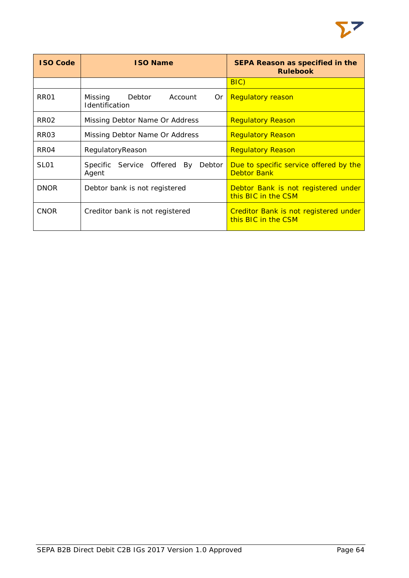| <b>ISO Code</b>  | <b>ISO Name</b>                                       | <b>SEPA Reason as specified in the</b><br><b>Rulebook</b>    |  |  |
|------------------|-------------------------------------------------------|--------------------------------------------------------------|--|--|
|                  |                                                       | $BIC$ )                                                      |  |  |
| <b>RR01</b>      | Account<br>Missing<br>Debtor<br>Or.<br>Identification | <b>Regulatory reason</b>                                     |  |  |
| <b>RR02</b>      | Missing Debtor Name Or Address                        | <b>Regulatory Reason</b>                                     |  |  |
| RR <sub>03</sub> | Missing Debtor Name Or Address                        | <b>Regulatory Reason</b>                                     |  |  |
| RR <sub>04</sub> | RegulatoryReason                                      | <b>Regulatory Reason</b>                                     |  |  |
| <b>SL01</b>      | Service Offered By<br>Specific<br>Debtor<br>Agent     | Due to specific service offered by the<br><b>Debtor Bank</b> |  |  |
| <b>DNOR</b>      | Debtor bank is not registered                         | Debtor Bank is not registered under<br>this BIC in the CSM   |  |  |
| <b>CNOR</b>      | Creditor bank is not registered                       | Creditor Bank is not registered under<br>this BIC in the CSM |  |  |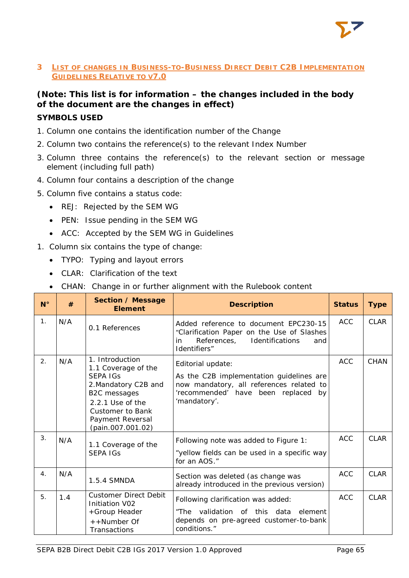

# <span id="page-65-0"></span>**3 LIST OF CHANGES IN BUSINESS-TO-BUSINESS DIRECT DEBIT C2B IMPLEMENTATION GUIDELINES RELATIVE TO V7.0**

# **(Note: This list is for information – the changes included in the body of the document are the changes in effect)**

# **SYMBOLS USED**

- 1. Column one contains the identification number of the Change
- 2. Column two contains the reference(s) to the relevant Index Number
- 3. Column three contains the reference(s) to the relevant section or message element (including full path)
- 4. Column four contains a description of the change
- 5. Column five contains a status code:
	- REJ: Rejected by the SEM WG
	- PEN: Issue pending in the SEM WG
	- ACC: Accepted by the SEM WG in Guidelines
- 1. Column six contains the type of change:
	- TYPO: Typing and layout errors
	- CLAR: Clarification of the text
	- CHAN: Change in or further alignment with the Rulebook content

| $N^{\circ}$    | #   | Section / Message<br><b>Element</b>                                                                                                                                                       | <b>Description</b>                                                                                                                                               | <b>Status</b> | <b>Type</b> |
|----------------|-----|-------------------------------------------------------------------------------------------------------------------------------------------------------------------------------------------|------------------------------------------------------------------------------------------------------------------------------------------------------------------|---------------|-------------|
| 1 <sub>1</sub> | N/A | 0.1 References                                                                                                                                                                            | Added reference to document EPC230-15<br>"Clarification Paper on the Use of Slashes<br>References, Identifications<br>in<br>and<br>Identifiers"                  | <b>ACC</b>    | <b>CLAR</b> |
| 2.             | N/A | 1. Introduction<br>1.1 Coverage of the<br><b>SEPA IGS</b><br>2. Mandatory C2B and<br>B2C messages<br>2.2.1 Use of the<br><b>Customer to Bank</b><br>Payment Reversal<br>(pain.007.001.02) | Editorial update:<br>As the C2B implementation guidelines are<br>now mandatory, all references related to<br>'recommended' have been replaced by<br>'mandatory'. | <b>ACC</b>    | <b>CHAN</b> |
| 3.             | N/A | 1.1 Coverage of the<br><b>SEPA IGS</b>                                                                                                                                                    | Following note was added to Figure 1:<br>"yellow fields can be used in a specific way<br>for an AOS."                                                            | ACC           | CI AR       |
| 4 <sub>1</sub> | N/A | 1.5.4 SMNDA                                                                                                                                                                               | Section was deleted (as change was<br>already introduced in the previous version)                                                                                | <b>ACC</b>    | <b>CLAR</b> |
| 5.             | 1.4 | <b>Customer Direct Debit</b><br>Initiation V02<br>+Group Header<br>++Number Of<br>Transactions                                                                                            | Following clarification was added:<br>"The validation of this data element<br>depends on pre-agreed customer-to-bank<br>conditions."                             | <b>ACC</b>    | <b>CLAR</b> |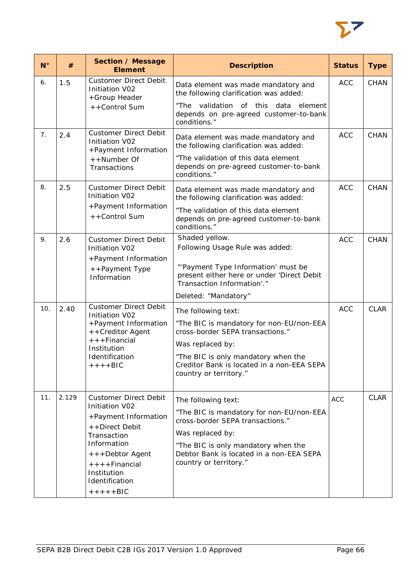

| $N^{\circ}$ | #     | Section / Message<br><b>Element</b>                                                                                                                                                                            | <b>Description</b>                                                                                                                                                                                                                     | <b>Status</b> | <b>Type</b> |
|-------------|-------|----------------------------------------------------------------------------------------------------------------------------------------------------------------------------------------------------------------|----------------------------------------------------------------------------------------------------------------------------------------------------------------------------------------------------------------------------------------|---------------|-------------|
| 6.          | 1.5   | <b>Customer Direct Debit</b><br>Initiation V02<br>+Group Header<br>++Control Sum                                                                                                                               | Data element was made mandatory and<br>the following clarification was added:<br>"The validation of this<br>data<br>element<br>depends on pre-agreed customer-to-bank<br>conditions."                                                  | <b>ACC</b>    | <b>CHAN</b> |
| 7.          | 2.4   | <b>Customer Direct Debit</b><br><b>Initiation V02</b><br>+Payment Information<br>++Number Of<br>Transactions                                                                                                   | Data element was made mandatory and<br>the following clarification was added:<br>"The validation of this data element<br>depends on pre-agreed customer-to-bank<br>conditions."                                                        | <b>ACC</b>    | <b>CHAN</b> |
| 8.          | 2.5   | <b>Customer Direct Debit</b><br><b>Initiation V02</b><br>+Payment Information<br>++Control Sum                                                                                                                 | Data element was made mandatory and<br>the following clarification was added:<br>"The validation of this data element<br>depends on pre-agreed customer-to-bank<br>conditions."                                                        | <b>ACC</b>    | <b>CHAN</b> |
| 9.          | 2.6   | <b>Customer Direct Debit</b><br>Initiation V02<br>+Payment Information<br>++Payment Type<br>Information                                                                                                        | Shaded yellow.<br>Following Usage Rule was added:<br>"'Payment Type Information' must be<br>present either here or under 'Direct Debit<br>Transaction Information'."<br>Deleted: "Mandatory"                                           | <b>ACC</b>    | <b>CHAN</b> |
| 10.         | 2.40  | <b>Customer Direct Debit</b><br>Initiation V02<br>+Payment Information<br>++Creditor Agent<br>$++$ + Financial<br>Institution<br>Identification<br>$+++BIC$                                                    | The following text:<br>"The BIC is mandatory for non-EU/non-EEA<br>cross-border SEPA transactions."<br>Was replaced by:<br>"The BIC is only mandatory when the<br>Creditor Bank is located in a non-EEA SEPA<br>country or territory." | <b>ACC</b>    | <b>CLAR</b> |
| 11.         | 2.129 | <b>Customer Direct Debit</b><br>Initiation V02<br>+Payment Information<br>++Direct Debit<br>Transaction<br>Information<br>+ + + Debtor Agent<br>$++++Financial$<br>Institution<br>Identification<br>$+++++BIC$ | The following text:<br>"The BIC is mandatory for non-EU/non-EEA<br>cross-border SEPA transactions."<br>Was replaced by:<br>"The BIC is only mandatory when the<br>Debtor Bank is located in a non-EEA SEPA<br>country or territory."   | <b>ACC</b>    | <b>CLAR</b> |